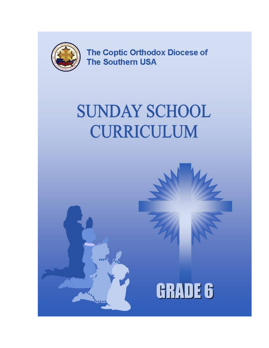

The Coptic Orthodox Diocese of<br>The Southern USA

# **SUNDAY SCHOOL CURRICULUM**



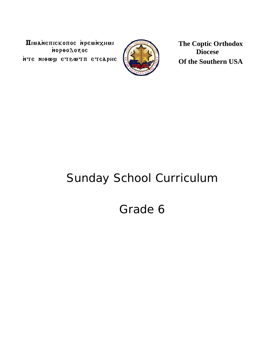Πιαλήθητα του δρεαήχειαι nopoo $\Delta$ ozoc hTe niowy etswth etcaphe



**The Coptic Orthodox Diocese Of the Southern USA** 

# Sunday School Curriculum

Grade 6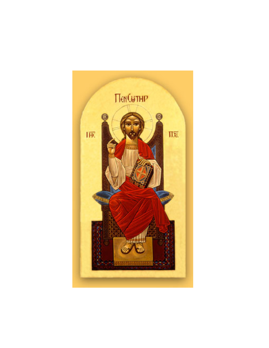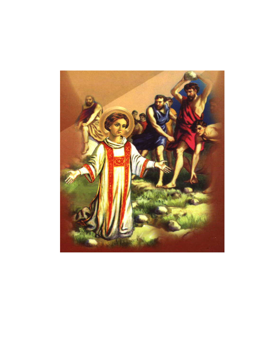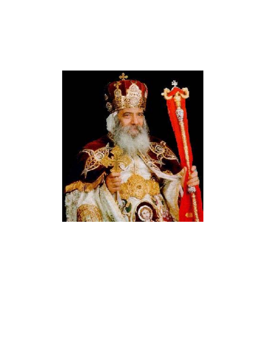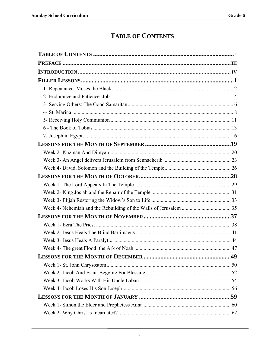# **TABLE OF CONTENTS**

<span id="page-6-0"></span>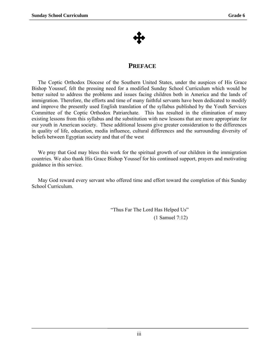

# **PREFACE**

<span id="page-8-0"></span>The Coptic Orthodox Diocese of the Southern United States, under the auspices of His Grace Bishop Youssef, felt the pressing need for a modified Sunday School Curriculum which would be better suited to address the problems and issues facing children both in America and the lands of immigration. Therefore, the efforts and time of many faithful servants have been dedicated to modify and improve the presently used English translation of the syllabus published by the Youth Services Committee of the Coptic Orthodox Patriarchate. This has resulted in the elimination of many existing lessons from this syllabus and the substitution with new lessons that are more appropriate for our youth in American society. These additional lessons give greater consideration to the differences in quality of life, education, media influence, cultural differences and the surrounding diversity of beliefs between Egyptian society and that of the west

We pray that God may bless this work for the spiritual growth of our children in the immigration countries. We also thank His Grace Bishop Youssef for his continued support, prayers and motivating guidance in this service.

May God reward every servant who offered time and effort toward the completion of this Sunday School Curriculum.

> "Thus Far The Lord Has Helped Us" (1 Samuel 7:12)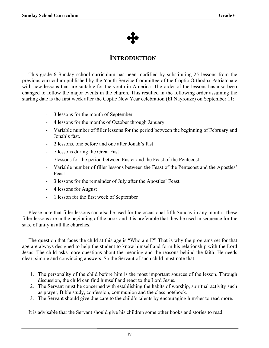

#### **INTRODUCTION**

<span id="page-9-0"></span>This grade 6 Sunday school curriculum has been modified by substituting 25 lessons from the previous curriculum published by the Youth Service Committee of the Coptic Orthodox Patriatchate with new lessons that are suitable for the youth in America. The order of the lessons has also been changed to follow the major events in the church. This resulted in the following order assuming the starting date is the first week after the Coptic New Year celebration (El Nayrouze) on September 11:

- 3 lessons for the month of September
- 4 lessons for the months of October through January
- Variable number of filler lessons for the period between the beginning of February and Jonah's fast.
- 2 lessons, one before and one after Jonah's fast
- 7 lessons during the Great Fast
- 7lessons for the period between Easter and the Feast of the Pentecost
- Variable number of filler lessons between the Feast of the Pentecost and the Apostles' Feast
- 3 lessons for the remainder of July after the Apostles' Feast
- 4 lessons for August
- 1 lesson for the first week of September

Please note that filler lessons can also be used for the occasional fifth Sunday in any month. These filler lessons are in the beginning of the book and it is preferable that they be used in sequence for the sake of unity in all the churches.

The question that faces the child at this age is "Who am I?" That is why the programs set for that age are always designed to help the student to know himself and form his relationship with the Lord Jesus. The child asks more questions about the meaning and the reasons behind the faith. He needs clear, simple and convincing answers. So the Servant of such child must note that:

- 1. The personality of the child before him is the most important sources of the lesson. Through discussion, the child can find himself and react to the Lord Jesus.
- 2. The Servant must be concerned with establishing the habits of worship, spiritual activity such as prayer, Bible study, confession, communion and the class notebook.
- 3. The Servant should give due care to the child's talents by encouraging him/her to read more.

It is advisable that the Servant should give his children some other books and stories to read.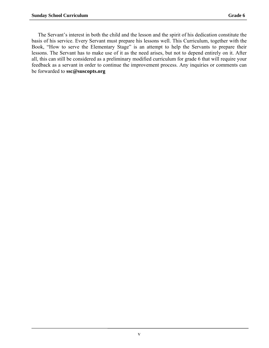The Servant's interest in both the child and the lesson and the spirit of his dedication constitute the basis of his service. Every Servant must prepare his lessons well. This Curriculum, together with the Book, "How to serve the Elementary Stage" is an attempt to help the Servants to prepare their lessons. The Servant has to make use of it as the need arises, but not to depend entirely on it. After all, this can still be considered as a preliminary modified curriculum for grade 6 that will require your feedback as a servant in order to continue the improvement process. Any inquiries or comments can be forwarded to **ssc@suscopts.org**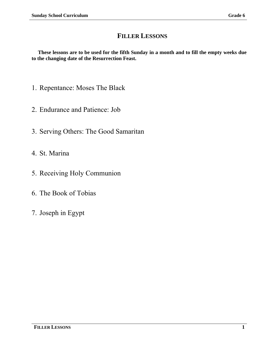# **FILLER LESSONS**

<span id="page-12-0"></span>**These lessons are to be used for the fifth Sunday in a month and to fill the empty weeks due to the changing date of the Resurrection Feast.** 

- 1. Repentance: Moses The Black
- 2. Endurance and Patience: Job
- 3. Serving Others: The Good Samaritan
- 4. St. Marina
- 5. Receiving Holy Communion
- 6. The Book of Tobias
- 7. Joseph in Egypt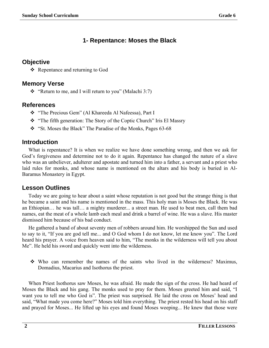# **1- Repentance: Moses the Black**

#### <span id="page-13-0"></span>**Objective**

Repentance and returning to God

#### **Memory Verse**

 $\cdot$  "Return to me, and I will return to you" (Malachi 3:7)

# **References**

- "The Precious Gem" (Al Khareeda Al Nafeessa), Part I
- \* "The fifth generation: The Story of the Coptic Church" Iris El Massry
- \* "St. Moses the Black" The Paradise of the Monks, Pages 63-68

# **Introduction**

What is repentance? It is when we realize we have done something wrong, and then we ask for God's forgiveness and determine not to do it again. Repentance has changed the nature of a slave who was an unbeliever, adulterer and apostate and turned him into a father, a servant and a priest who laid rules for monks, and whose name is mentioned on the altars and his body is buried in Al-Baramus Monastery in Egypt.

# **Lesson Outlines**

Today we are going to hear about a saint whose reputation is not good but the strange thing is that he became a saint and his name is mentioned in the mass. This holy man is Moses the Black. He was an Ethiopian… he was tall… a mighty murderer... a street man. He used to beat men, call them bad names, eat the meat of a whole lamb each meal and drink a barrel of wine. He was a slave. His master dismissed him because of his bad conduct.

He gathered a band of about seventy men of robbers around him. He worshipped the Sun and used to say to it, "If you are god tell me... and O God whom I do not know, let me know you". The Lord heard his prayer. A voice from heaven said to him, "The monks in the wilderness will tell you about Me". He held his sword and quickly went into the wilderness.

 Who can remember the names of the saints who lived in the wilderness? Maximus, Domadius, Macarius and Isothorus the priest.

When Priest Isothorus saw Moses, he was afraid. He made the sign of the cross. He had heard of Moses the Black and his gang. The monks used to pray for them. Moses greeted him and said, "I want you to tell me who God is". The priest was surprised. He laid the cross on Moses' head and said, "What made you come here?" Moses told him everything. The priest rested his head on his staff and prayed for Moses... He lifted up his eyes and found Moses weeping... He knew that those were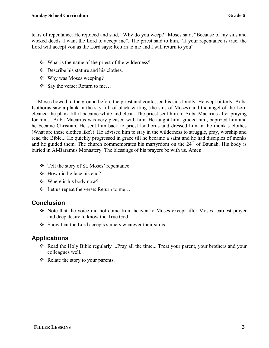- What is the name of the priest of the wilderness?
- Describe his stature and his clothes.
- Why was Moses weeping?
- $\triangleleft$  Say the verse: Return to me...

Moses bowed to the ground before the priest and confessed his sins loudly. He wept bitterly. Anba Isothorus saw a plank in the sky full of black writing (the sins of Moses) and the angel of the Lord cleaned the plank till it became white and clean. The priest sent him to Anba Macarius after praying for him... Anba Macarius was very pleased with him. He taught him, guided him, baptized him and he became Christian. He sent him back to priest Isothorus and dressed him in the monk's clothes (What are these clothes like?). He advised him to stay in the wilderness to struggle, pray, worship and read the Bible... He quickly progressed in grace till he became a saint and he had disciples of monks and he guided them. The church commemorates his martyrdom on the  $24<sup>th</sup>$  of Baunah. His body is buried in Al-Baramus Monastery. The blessings of his prayers be with us. Amen.

- Tell the story of St. Moses' repentance.
- How did he face his end?
- $\bullet$  Where is his body now?
- Let us repeat the verse: Return to me…

# **Conclusion**

- Note that the voice did not come from heaven to Moses except after Moses' earnest prayer and deep desire to know the True God.
- $\triangle$  Show that the Lord accepts sinners whatever their sin is.

- \* Read the Holy Bible regularly ...Pray all the time... Treat your parent, your brothers and your colleagues well.
- ❖ Relate the story to your parents.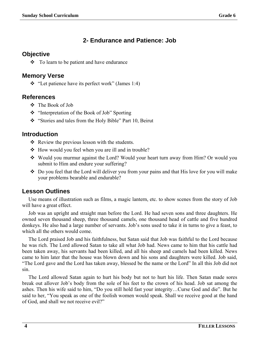# **2- Endurance and Patience: Job**

#### <span id="page-15-0"></span>**Objective**

 $\div$  To learn to be patient and have endurance

# **Memory Verse**

 $\cdot$  "Let patience have its perfect work" (James 1:4)

# **References**

- The Book of Job
- "Interpretation of the Book of Job" Sporting
- "Stories and tales from the Holy Bible" Part 10, Beirut

# **Introduction**

- Review the previous lesson with the students.
- How would you feel when you are ill and in trouble?
- \* Would you murmur against the Lord? Would your heart turn away from Him? Or would you submit to Him and endure your suffering?
- Do you feel that the Lord will deliver you from your pains and that His love for you will make your problems bearable and endurable?

# **Lesson Outlines**

Use means of illustration such as films, a magic lantern, etc. to show scenes from the story of Job will have a great effect.

Job was an upright and straight man before the Lord. He had seven sons and three daughters. He owned seven thousand sheep, three thousand camels, one thousand head of cattle and five hundred donkeys. He also had a large number of servants. Job's sons used to take it in turns to give a feast, to which all the others would come.

The Lord praised Job and his faithfulness, but Satan said that Job was faithful to the Lord because he was rich. The Lord allowed Satan to take all what Job had. News came to him that his cattle had been taken away, his servants had been killed, and all his sheep and camels had been killed. News came to him later that the house was blown down and his sons and daughters were killed. Job said, "The Lord gave and the Lord has taken away, blessed be the name or the Lord" In all this Job did not sin.

The Lord allowed Satan again to hurt his body but not to hurt his life. Then Satan made sores break out allover Job's body from the sole of his feet to the crown of his head. Job sat among the ashes. Then his wife said to him, "Do you still hold fast your integrity…Curse God and die". But he said to her, "You speak as one of the foolish women would speak. Shall we receive good at the hand of God, and shall we not receive evil?"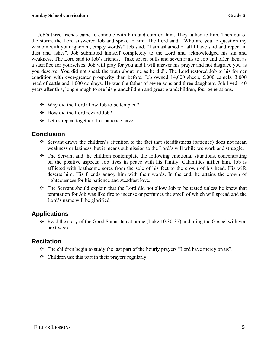Job's three friends came to condole with him and comfort him. They talked to him. Then out of the storm, the Lord answered Job and spoke to him. The Lord said, "Who are you to question my wisdom with your ignorant, empty words?" Job said, "I am ashamed of all I have said and repent in dust and ashes". Job submitted himself completely to the Lord and acknowledged his sin and weakness. The Lord said to Job's friends, "Take seven bulls and seven rams to Job and offer them as a sacrifice for yourselves. Job will pray for you and I will answer his prayer and not disgrace you as you deserve. You did not speak the truth about me as he did". The Lord restored Job to his former condition with ever-greater prosperity than before. Job owned 14,000 sheep, 6,000 camels, 3,000 head of cattle and 1,000 donkeys. He was the father of seven sons and three daughters. Job lived 140 years after this, long enough to see his grandchildren and great-grandchildren, four generations.

- Why did the Lord allow Job to be tempted?
- How did the Lord reward Job?
- Let us repeat together: Let patience have…

#### **Conclusion**

- Servant draws the children's attention to the fact that steadfastness (patience) does not mean weakness or laziness, but it means submission to the Lord's will while we work and struggle.
- The Servant and the children contemplate the following emotional situations, concentrating on the positive aspects: Job lives in peace with his family. Calamities afflict him. Job is afflicted with loathsome sores from the sole of his feet to the crown of his head. His wife deserts him. His friends annoy him with their words. In the end, he attains the crown of righteousness for his patience and steadfast love.
- The Servant should explain that the Lord did not allow Job to be tested unless he knew that temptation for Job was like fire to incense or perfumes the smell of which will spread and the Lord's name will be glorified.

#### **Applications**

Read the story of the Good Samaritan at home (Luke 10:30-37) and bring the Gospel with you next week.

#### **Recitation**

- $\div$  The children begin to study the last part of the hourly prayers "Lord have mercy on us".
- $\triangleleft$  Children use this part in their prayers regularly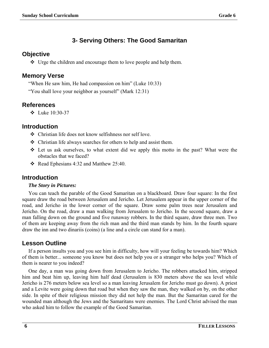# **3- Serving Others: The Good Samaritan**

#### <span id="page-17-0"></span>**Objective**

Urge the children and encourage them to love people and help them.

#### **Memory Verse**

"When He saw him, He had compassion on him" (Luke 10:33)

"You shall love your neighbor as yourself" (Mark 12:31)

# **References**

Luke 10:30-37

#### **Introduction**

- Christian life does not know selfishness nor self love.
- Christian life always searches for others to help and assist them.
- Let us ask ourselves, to what extent did we apply this motto in the past? What were the obstacles that we faced?
- $\div$  Read Ephesians 4:32 and Matthew 25:40.

# **Introduction**

#### *The Story in Pictures:*

You can teach the parable of the Good Samaritan on a blackboard. Draw four square: In the first square draw the road between Jerusalem and Jericho. Let Jerusalem appear in the upper corner of the road, and Jericho in the lower corner of the square. Draw some palm trees near Jerusalem and Jericho. On the road, draw a man walking from Jerusalem to Jericho. In the second square, draw a man falling down on the ground and five runaway robbers. In the third square, draw three men. Two of them are keeping away from the rich man and the third man stands by him. In the fourth square draw the inn and two dinariis (coins) (a line and a circle can stand for a man).

# **Lesson Outline**

If a person insults you and you see him in difficulty, how will your feeling be towards him? Which of them is better... someone you know but does not help you or a stranger who helps you? Which of them is nearer to you indeed?

One day, a man was going down from Jerusalem to Jericho. The robbers attacked him, stripped him and beat him up, leaving him half dead (Jerusalem is 830 meters above the sea level while Jericho is 276 meters below sea level so a man leaving Jerusalem for Jericho must go down). A priest and a Levite were going down that road but when they saw the man, they walked on by, on the other side. In spite of their religious mission they did not help the man. But the Samaritan cared for the wounded man although the Jews and the Samaritans were enemies. The Lord Christ advised the man who asked him to follow the example of the Good Samaritan.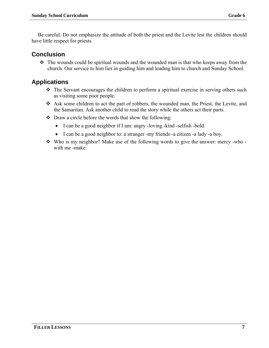Be careful. Do not emphasize the attitude of both the priest and the Levite lest the children should have little respect for priests.

#### **Conclusion**

\* The wounds could be spiritual wounds and the wounded man is that who keeps away from the church. Our service to him lies in guiding him and leading him to church and Sunday School.

- The Servant encourages the children to perform a spiritual exercise in serving others such as visiting some poor people.
- Ask some children to act the part of robbers, the wounded man, the Priest, the Levite, and the Samaritan. Ask another child to read the story while the others act their parts.
- Draw a circle before the words that show the following:
	- I can be a good neighbor if I am: angry -loving -kind -selfish -bold.
	- I can be a good neighbor to: a stranger -my friends -a citizen -a lady -a boy.
- Who is my neighbor? Make use of the following words to give the answer: mercy -who with me -make.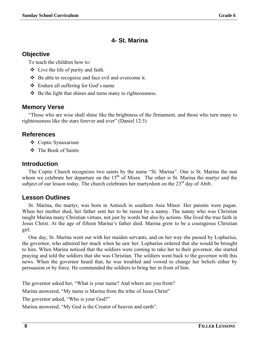# **4- St. Marina**

# <span id="page-19-0"></span>**Objective**

To teach the children how to:

- $\triangleleft$  Live the life of purity and faith.
- $\triangle$  Be able to recognize and face evil and overcome it.
- $\triangleleft$  Endure all suffering for God's name
- $\triangle$  Be the light that shines and turns many to righteousness.

# **Memory Verse**

"Those who are wise shall shine like the brightness of the firmament, and those who turn many to righteousness like the stars forever and ever" (Daniel 12:3)

# **References**

- Coptic Synaxarium
- The Book of Saints

# **Introduction**

The Coptic Church recognizes two saints by the name "St. Marina". One is St. Marina the nun whom we celebrate her departure on the  $15<sup>th</sup>$  of Misra. The other is St. Marina the martyr and the subject of our lesson today. The church celebrates her martyrdom on the  $23<sup>rd</sup>$  day of Abib.

# **Lesson Outlines**

St. Marina, the martyr, was born in Antioch in southern Asia Minor. Her parents were pagan. When her mother died, her father sent her to be raised by a nanny. The nanny who was Christian taught Marina many Christian virtues, not just by words but also by actions. She lived the true faith in Jesus Christ. At the age of fifteen Marina's father died. Marina grew to be a courageous Christian girl.

One day, St. Marina went out with her maiden servants, and on her way she passed by Lopharius, the governor, who admired her much when he saw her. Lopharius ordered that she would be brought to him. When Marina noticed that the soldiers were coming to take her to their governor, she started praying and told the soldiers that she was Christian. The soldiers went back to the governor with this news. When the governor heard that, he was troubled and vowed to change her beliefs either by persuasion or by force. He commended the soldiers to bring her in front of him.

The governor asked her, "What is your name? And where are you from?

Marina answered, "My name is Marina from the tribe of Jesus Christ"

The governor asked, "Who is your God?"

Marina answered, "My God is the Creator of heaven and earth".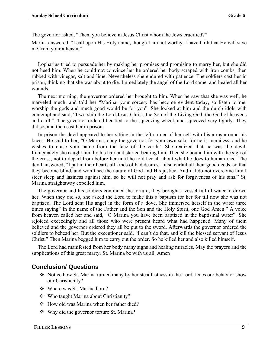The governor asked, "Then, you believe in Jesus Christ whom the Jews crucified?" Marina answered, "I call upon His Holy name, though I am not worthy. I have faith that He will save me from your atheism."

Lopharius tried to persuade her by making her promises and promising to marry her, but she did not heed him. When he could not convince her he ordered her body scraped with iron combs, then rubbed with vinegar, salt and lime. Nevertheless she endured with patience. The soldiers cast her in prison, thinking that she was about to die. Immediately the angel of the Lord came, and healed all her wounds.

The next morning, the governor ordered her brought to him. When he saw that she was well, he marveled much, and told her "Marina, your sorcery has become evident today, so listen to me, worship the gods and much good would be for you". She looked at him and the dumb idols with contempt and said, "I worship the Lord Jesus Christ, the Son of the Living God, the God of heavens and earth". The governor ordered her tied to the squeezing wheel, and squeezed very tightly. They did so, and then cast her in prison.

In prison the devil appeared to her sitting in the left corner of her cell with his arms around his knees. He said to her, "O Marina, obey the governor for your own sake for he is merciless, and he wishes to erase your name from the face of the earth". She realized that he was the devil. Immediately she caught him by his hair and started beating him. Then she bound him with the sign of the cross, not to depart from before her until he told her all about what he does to human race. The devil answered, "I put in their hearts all kinds of bad desires. I also curtail all their good deeds, so that they become blind, and won't see the nature of God and His justice. And if I do not overcome him I steer sleep and laziness against him, so he will not pray and ask for forgiveness of his sins." St. Marina straightaway expelled him.

The governor and his soldiers continued the torture; they brought a vessel full of water to drown her. When they did so, she asked the Lord to make this a baptism for her for till now she was not baptized. The Lord sent His angel in the form of a dove. She immersed herself in the water three times saying "In the name of the Father and the Son and the Holy Spirit, one God Amen." A voice from heaven called her and said, "O Marina you have been baptized in the baptismal water". She rejoiced exceedingly and all those who were present heard what had happened. Many of them believed and the governor ordered they all be put to the sword. Afterwards the governor ordered the soldiers to behead her. But the executioner said, "I can't do that, and kill the blessed servant of Jesus Christ." Then Marina begged him to carry out the order. So he killed her and also killed himself.

The Lord had manifested from her body many signs and healing miracles. May the prayers and the supplications of this great martyr St. Marina be with us all. Amen

#### **Conclusion/ Questions**

- Notice how St. Marina turned many by her steadfastness in the Lord. Does our behavior show our Christianity?
- Where was St. Marina born?
- Who taught Marina about Christianity?
- How old was Marina when her father died?
- Why did the governor torture St. Marina?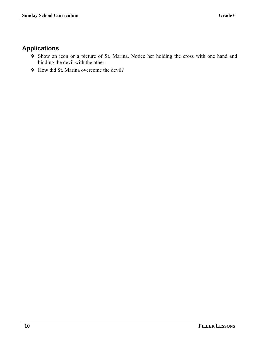- Show an icon or a picture of St. Marina. Notice her holding the cross with one hand and binding the devil with the other.
- How did St. Marina overcome the devil?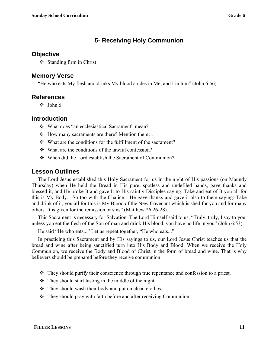# **5- Receiving Holy Communion**

#### <span id="page-22-0"></span>**Objective**

**❖** Standing firm in Christ

#### **Memory Verse**

"He who eats My flesh and drinks My blood abides in Me, and I in him" (John 6:56)

#### **References**

 $\div$  Iohn 6

#### **Introduction**

- What does "an ecclesiastical Sacrament" mean?
- $\triangleleft$  How many sacraments are there? Mention them...
- What are the conditions for the fulfillment of the sacrament?
- What are the conditions of the lawful confession?
- When did the Lord establish the Sacrament of Communion?

#### **Lesson Outlines**

The Lord Jesus established this Holy Sacrament for us in the night of His passions (on Maundy Thursday) when He held the Bread in His pure, spotless and undefiled hands, gave thanks and blessed it, and He broke It and gave It to His saintly Disciples saying: Take and eat of It you all for this is My Body... So too with the Chalice... He gave thanks and gave it also to them saying: Take and drink of it, you all for this is My Blood of the New Covenant which is shed for you and for many others. It is given for the remission or sins" (Matthew 26:26-28).

This Sacrament is necessary for Salvation. The Lord Himself said to us, "Truly, truly, I say to you, unless you eat the flesh of the Son of man and drink His blood, you have no life in you" (John 6:53).

He said "He who eats..." Let us repeat together, "He who eats..."

In practicing this Sacrament and by His sayings to us, our Lord Jesus Christ teaches us that the bread and wine after being sanctified turn into His Body and Blood. When we receive the Holy Communion, we receive the Body and Blood of Christ in the form of bread and wine. That is why believers should be prepared before they receive communion:

- They should purify their conscience through true repentance and confession to a priest.
- They should start fasting in the middle of the night.
- $\triangleleft$  They should wash their body and put on clean clothes.
- They should pray with faith before and after receiving Communion.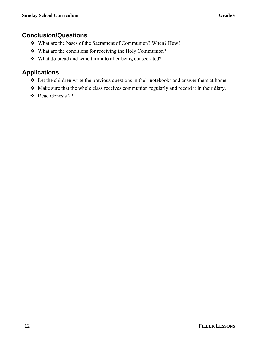# **Conclusion/Questions**

- What are the bases of the Sacrament of Communion? When? How?
- What are the conditions for receiving the Holy Communion?
- ◆ What do bread and wine turn into after being consecrated?

- Let the children write the previous questions in their notebooks and answer them at home.
- Make sure that the whole class receives communion regularly and record it in their diary.
- Read Genesis 22.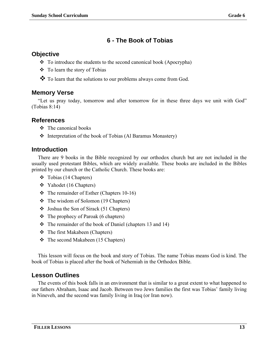# **6 - The Book of Tobias**

#### <span id="page-24-0"></span>**Objective**

- To introduce the students to the second canonical book (Apocrypha)
- To learn the story of Tobias
- To learn that the solutions to our problems always come from God.

# **Memory Verse**

"Let us pray today, tomorrow and after tomorrow for in these three days we unit with God" (Tobias 8:14)

# **References**

- $\div$  The canonical books
- Interpretation of the book of Tobias (Al Baramus Monastery)

# **Introduction**

There are 9 books in the Bible recognized by our orthodox church but are not included in the usually used protestant Bibles, which are widely available. These books are included in the Bibles printed by our church or the Catholic Church. These books are:

- $\div$  Tobias (14 Chapters)
- Yahodet (16 Chapters)
- The remainder of Esther (Chapters 10-16)
- The wisdom of Solomon (19 Chapters)
- Joshua the Son of Sirack (51 Chapters)
- $\triangleleft$  The prophecy of Paroak (6 chapters)
- $\div$  The remainder of the book of Daniel (chapters 13 and 14)
- The first Makabeen (Chapters)
- The second Makabeen (15 Chapters)

This lesson will focus on the book and story of Tobias. The name Tobias means God is kind. The book of Tobias is placed after the book of Nehemiah in the Orthodox Bible.

# **Lesson Outlines**

The events of this book falls in an environment that is similar to a great extent to what happened to our fathers Abraham, Isaac and Jacob. Between two Jews families the first was Tobias' family living in Nineveh, and the second was family living in Iraq (or Iran now).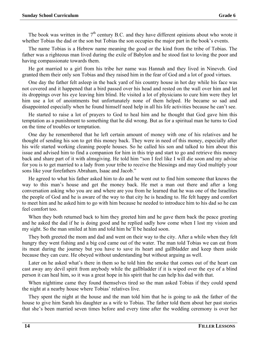The book was written in the  $7<sup>th</sup>$  century B.C. and they have different opinions about who wrote it whether Tobias the dad or the son but Tobias the son occupies the major part in the book's events.

The name Tobias is a Hebrew name meaning the good or the kind from the tribe of Tobias. The father was a righteous man lived during the exile of Babylon and he stood fast to loving the poor and having compassionate towards them.

He got married to a girl from his tribe her name was Hannah and they lived in Nineveh. God granted them their only son Tobias and they raised him in the fear of God and a lot of good virtues.

One day the father felt asleep in the back yard of his country house in hot day while his face was not covered and it happened that a bird passed over his head and rested on the wall over him and let its droppings over his eye leaving him blind. He visited a lot of physicians to cure him were they let him use a lot of anointments but unfortunately none of them helped. He became so sad and disappointed especially when he found himself need help in all his life activities because he can't see.

He started to raise a lot of prayers to God to heal him and he thought that God gave him this temptation as a punishment to something that he did wrong. But as for a spiritual man he turns to God on the time of troubles or temptation.

One day he remembered that he left certain amount of money with one of his relatives and he thought of sending his son to get this money back. They were in need of this money, especially after his wife started working cleaning people houses. So he called his son and talked to him about this issue and advised him to find a companion for him in this trip and start to go and retrieve this money back and share part of it with almsgiving. He told him "son I feel like I will die soon and my advise for you is to get married to a lady from your tribe to receive the blessings and may God multiply your sons like your forefathers Abraham, Isaac and Jacob."

He agreed to what his father asked him to do and he went out to find him someone that knows the way to this man's house and get the money back. He met a man out there and after a long conversation asking who you are and where are you from he learned that he was one of the Israelites the people of God and he is aware of the way to that city he is heading to. He felt happy and comfort to meet him and he asked him to go with him because he needed to introduce him to his dad so he can feel comfort too.

When they both returned back to him they greeted him and he gave them back the peace greeting and he asked the dad if he is doing good and he replied sadly how come when I lost my vision and my sight. So the man smiled at him and told him he'll be healed soon.

They both greeted the mom and dad and went on their way to the city. After a while when they felt hungry they went fishing and a big cod came out of the water. The man told Tobias we can eat from its meat during the journey but you have to save its heart and gallbladder and keep them aside because they can cure. He obeyed without understanding but without arguing as well.

Later on he asked what's there in them so he told him the smoke that comes out of the heart can cast away any devil spirit from anybody while the gallbladder if it is wiped over the eye of a blind person it can heal him, so it was a great hope in his spirit that he can help his dad with that.

When nighttime came they found themselves tired so the man asked Tobias if they could spend the night at a nearby house where Tobias' relatives live.

They spent the night at the house and the man told him that he is going to ask the father of the house to give him Sarah his daughter as a wife to Tobias. The father told them about her past stories that she's been married seven times before and every time after the wedding ceremony is over her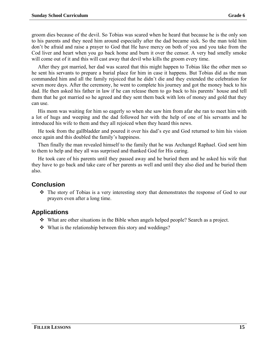groom dies because of the devil. So Tobias was scared when he heard that because he is the only son to his parents and they need him around especially after the dad became sick. So the man told him don't be afraid and raise a prayer to God that He have mercy on both of you and you take from the Cod liver and heart when you go back home and burn it over the censor. A very bad smelly smoke will come out of it and this will cast away that devil who kills the groom every time.

After they got married, her dad was scared that this might happen to Tobias like the other men so he sent his servants to prepare a burial place for him in case it happens. But Tobias did as the man commanded him and all the family rejoiced that he didn't die and they extended the celebration for seven more days. After the ceremony, he went to complete his journey and got the money back to his dad. He then asked his father in law if he can release them to go back to his parents' house and tell them that he got married so he agreed and they sent them back with lots of money and gold that they can use.

His mom was waiting for him so eagerly so when she saw him from afar she ran to meet him with a lot of hugs and weeping and the dad followed her with the help of one of his servants and he introduced his wife to them and they all rejoiced when they heard this news.

He took from the gallbladder and poured it over his dad's eye and God returned to him his vision once again and this doubled the family's happiness.

Then finally the man revealed himself to the family that he was Archangel Raphael. God sent him to them to help and they all was surprised and thanked God for His caring.

He took care of his parents until they passed away and he buried them and he asked his wife that they have to go back and take care of her parents as well and until they also died and he buried them also.

#### **Conclusion**

 The story of Tobias is a very interesting story that demonstrates the response of God to our prayers even after a long time.

- What are other situations in the Bible when angels helped people? Search as a project.
- What is the relationship between this story and weddings?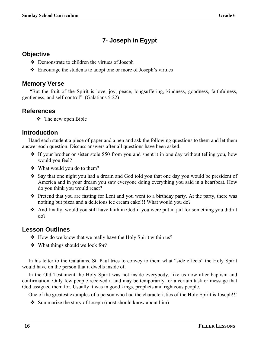# **7- Joseph in Egypt**

#### <span id="page-27-0"></span>**Objective**

- Demonstrate to children the virtues of Joseph
- Encourage the students to adopt one or more of Joseph's virtues

#### **Memory Verse**

"But the fruit of the Spirit is love, joy, peace, longsuffering, kindness, goodness, faithfulness, gentleness, and self-control" (Galatians 5:22)

# **References**

 $\div$  The new open Bible

# **Introduction**

Hand each student a piece of paper and a pen and ask the following questions to them and let them answer each question. Discuss answers after all questions have been asked.

- $\cdot$  If your brother or sister stole \$50 from you and spent it in one day without telling you, how would you feel?
- What would you do to them?
- Say that one night you had a dream and God told you that one day you would be president of America and in your dream you saw everyone doing everything you said in a heartbeat. How do you think you would react?
- Pretend that you are fasting for Lent and you went to a birthday party. At the party, there was nothing but pizza and a delicious ice cream cake!!! What would you do?
- And finally, would you still have faith in God if you were put in jail for something you didn't do?

#### **Lesson Outlines**

- ◆ How do we know that we really have the Holy Spirit within us?
- What things should we look for?

In his letter to the Galatians, St. Paul tries to convey to them what "side effects" the Holy Spirit would have on the person that it dwells inside of.

In the Old Testament the Holy Spirit was not inside everybody, like us now after baptism and confirmation. Only few people received it and may be temporarily for a certain task or message that God assigned them for. Usually it was in good kings, prophets and righteous people.

One of the greatest examples of a person who had the characteristics of the Holy Spirit is Joseph!!!

Summarize the story of Joseph (most should know about him)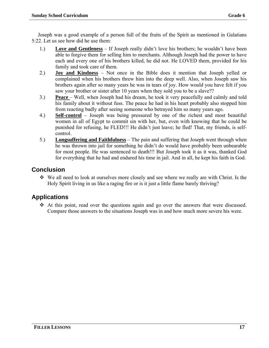Joseph was a good example of a person full of the fruits of the Spirit as mentioned in Galatians 5:22. Let us see how did he use them:

- 1.) **Love and Gentleness** If Joseph really didn't love his brothers; he wouldn't have been able to forgive them for selling him to merchants. Although Joseph had the power to have each and every one of his brothers killed, he did not. He LOVED them, provided for his family and took care of them.
- 2.) **Joy and Kindness** Not once in the Bible does it mention that Joseph yelled or complained when his brothers threw him into the deep well. Also, when Joseph saw his brothers again after so many years he was in tears of joy. How would you have felt if you saw your brother or sister after 10 years when they sold you to be a slave??
- 3.) **Peace**  Well, when Joseph had his dream, he took it very peacefully and calmly and told his family about it without fuss. The peace he had in his heart probably also stopped him from reacting badly after seeing someone who betrayed him so many years ago.
- 4.) **Self-control** Joseph was being pressured by one of the richest and most beautiful women in all of Egypt to commit sin with her, but, even with knowing that he could be punished for refusing, he FLED!!! He didn't just leave; he fled! That, my friends, is selfcontrol.
- 5.) **Longsuffering and Faithfulness** The pain and suffering that Joseph went through when he was thrown into jail for something he didn't do would have probably been unbearable for most people. He was sentenced to death!!! But Joseph took it as it was, thanked God for everything that he had and endured his time in jail. And in all, he kept his faith in God.

# **Conclusion**

 We all need to look at ourselves more closely and see where we really are with Christ. Is the Holy Spirit living in us like a raging fire or is it just a little flame barely thriving?

# **Applications**

 At this point, read over the questions again and go over the answers that were discussed. Compare those answers to the situations Joseph was in and how much more severe his were.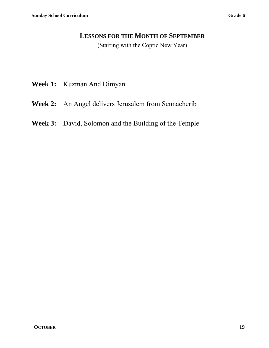# <span id="page-30-0"></span>**LESSONS FOR THE MONTH OF SEPTEMBER**

(Starting with the Coptic New Year)

- **Week 1:** Kuzman And Dimyan
- **Week 2:** An Angel delivers Jerusalem from Sennacherib
- **Week 3:** David, Solomon and the Building of the Temple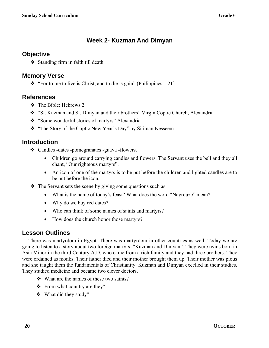# **Week 2- Kuzman And Dimyan**

#### <span id="page-31-0"></span>**Objective**

 $\triangleleft$  Standing firm in faith till death

# **Memory Verse**

 $\mathbf{\hat{P}}$  "For to me to live is Christ, and to die is gain" (Philippines 1:21)

# **References**

- The Bible: Hebrews 2
- "St. Kuzman and St. Dimyan and their brothers" Virgin Coptic Church, Alexandria
- "Some wonderful stories of martyrs" Alexandria
- \* "The Story of the Coptic New Year's Day" by Siliman Nesseem

# **Introduction**

- Candles -dates -pomegranates -guava -flowers.
	- Children go around carrying candles and flowers. The Servant uses the bell and they all chant, "Our righteous martyrs".
	- An icon of one of the martyrs is to be put before the children and lighted candles are to be put before the icon.
- $\cdot \cdot$  The Servant sets the scene by giving some questions such as:
	- What is the name of today's feast? What does the word "Nayrouze" mean?
	- Why do we buy red dates?
	- Who can think of some names of saints and martyrs?
	- How does the church honor those martyrs?

# **Lesson Outlines**

There was martyrdom in Egypt. There was martyrdom in other countries as well. Today we are going to listen to a story about two foreign martyrs, "Kuzman and Dimyan". They were twins born in Asia Minor in the third Century A.D. who came from a rich family and they had three brothers. They were ordained as monks. Their father died and their mother brought them up. Their mother was pious and she taught them the fundamentals of Christianity. Kuzman and Dimyan excelled in their studies. They studied medicine and became two clever doctors.

- What are the names of these two saints?
- $\triangleleft$  From what country are they?
- What did they study?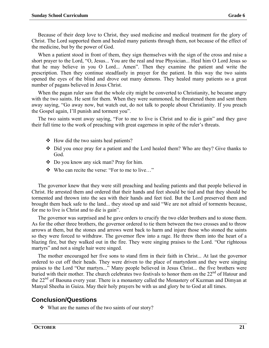Because of their deep love to Christ, they used medicine and medical treatment for the glory of Christ. The Lord supported them and healed many patients through them, not because of the effect of the medicine, but by the power of God.

When a patient stood in front of them, they sign themselves with the sign of the cross and raise a short prayer to the Lord, "O, Jesus... You are the real and true Physician... Heal him O Lord Jesus so that he may believe in you O Lord... Amen". Then they examine the patient and write the prescription. Then they continue steadfastly in prayer for the patient. In this way the two saints opened the eyes of the blind and drove out many demons. They healed many patients so a great number of pagans believed in Jesus Christ.

When the pagan ruler saw that the whole city might be converted to Christianity, he became angry with the two saints. He sent for them. When they were summoned, he threatened them and sent them away saying, "Go away now, but watch out, do not talk to people about Christianity. If you preach the Gospel again, I'll punish and torment you".

The two saints went away saying, "For to me to live is Christ and to die is gain" and they gave their full time to the work of preaching with great eagerness in spite of the ruler's threats.

- How did the two saints heal patients?
- Did you once pray for a patient and the Lord healed them? Who are they? Give thanks to God.
- Do you know any sick man? Pray for him.
- Who can recite the verse: "For to me to live…"

The governor knew that they were still preaching and healing patients and that people believed in Christ. He arrested them and ordered that their hands and feet should be tied and that they should be tormented and thrown into the sea with their hands and feet tied. But the Lord preserved them and brought them back safe to the land... they stood up and said "We are not afraid of torments because, for me to live is Christ and to die is gain".

The governor was surprised and he gave orders to crucify the two elder brothers and to stone them. As for the other three brothers, the governor ordered to tie them between the two crosses and to throw arrows at them, but the stones and arrows went back to harm and injure those who stoned the saints so they were forced to withdraw. The governor flew into a rage. He threw them into the heart of a blazing fire, but they walked out in the fire. They were singing praises to the Lord. "Our righteous martyrs" and not a single hair were singed.

The mother encouraged her five sons to stand firm in their faith in Christ... At last the governor ordered to cut off their heads. They were driven to the place of martyrdom and they were singing praises to the Lord "Our martyrs..." Many people believed in Jesus Christ... the five brothers were buried with their mother. The church celebrates two festivals to honor them on the  $22<sup>nd</sup>$  of Hatour and the 22<sup>nd</sup> of Baouna every year. There is a monastery called the Monastery of Kuzman and Dimyan at Manyal Sheeha in Guiza. May their holy prayers be with us and glory be to God at all times.

#### **Conclusion/Questions**

What are the names of the two saints of our story?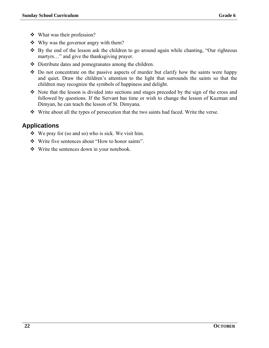- What was their profession?
- $\triangleleft$  Why was the governor angry with them?
- By the end of the lesson ask the children to go around again while chanting, "Our righteous martyrs…" and give the thanksgiving prayer.
- Distribute dates and pomegranates among the children.
- Do not concentrate on the passive aspects of murder but clarify how the saints were happy and quiet. Draw the children's attention to the light that surrounds the saints so that the children may recognize the symbols of happiness and delight.
- Note that the lesson is divided into sections and stages preceded by the sign of the cross and followed by questions. If the Servant has time or wish to change the lesson of Kuzman and Dimyan, he can teach the lesson of St. Dimyana.
- Write about all the types of persecution that the two saints had faced. Write the verse.

- $\bullet$  We pray for (so and so) who is sick. We visit him.
- Write five sentences about "How to honor saints".
- $\mathbf{\hat{P}}$  Write the sentences down in your notebook.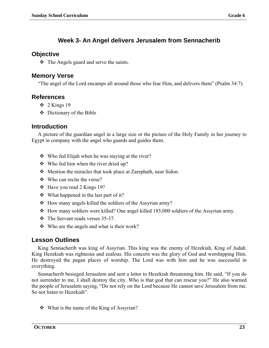# **Week 3- An Angel delivers Jerusalem from Sennacherib**

#### <span id="page-34-0"></span>**Objective**

 $\triangleleft$  The Angels guard and serve the saints.

#### **Memory Verse**

"The angel of the Lord encamps all around those who fear Him, and delivers them" (Psalm 34:7).

#### **References**

- $\div$  2 Kings 19
- $\triangle$  Dictionary of the Bible

#### **Introduction**

A picture of the guardian angel in a large size or the picture of the Holy Family in her journey to Egypt in company with the angel who guards and guides them.

- Who fed Elijah when he was staying at the river?
- $\bullet\bullet\text{ Who fed him when the river dried up?}$
- Mention the miracles that took place at Zarephath, near Sidon.
- Who can recite the verse?
- Have you read 2 Kings 19?
- What happened in the last part of it?
- ❖ How many angels killed the soldiers of the Assyrian army?
- $\cdot$  How many soldiers were killed? One angel killed 185,000 soldiers of the Assyrian army.
- The Servant reads verses 35-37.
- $\bullet\bullet\text{ Who are the angles and what is their work?}$

#### **Lesson Outlines**

King Sennacherib was king of Assyrian. This king was the enemy of Hezekiah, King of Judah. King Hezekiah was righteous and zealous. His concern was the glory of God and worshipping Him. He destroyed the pagan places of worship. The Lord was with him and he was successful in everything.

Sennacherib besieged Jerusalem and sent a letter to Hezekiah threatening him. He said, "If you do not surrender to me, I shall destroy the city. Who is that god that can rescue you?" He also warned the people of Jerusalem saying, "Do not rely on the Lord because He cannot save Jerusalem from me. So not listen to Hezekiah".

What is the name of the King of Assyrian?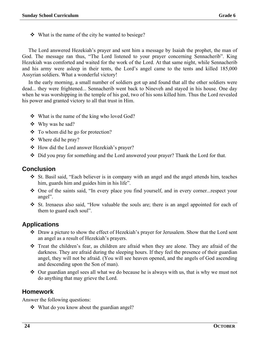What is the name of the city he wanted to besiege?

The Lord answered Hezekiah's prayer and sent him a message by Isaiah the prophet, the man of God. The message ran thus, "The Lord listened to your prayer concerning Sennacherib". King Hezekiah was comforted and waited for the work of the Lord. At that same night, while Sennacherib and his army were asleep in their tents, the Lord's angel came to the tents and killed 185,000 Assyrian soldiers. What a wonderful victory!

In the early morning, a small number of soldiers got up and found that all the other soldiers were dead... they were frightened... Sennacherib went back to Nineveh and stayed in his house. One day when he was worshipping in the temple of his god, two of his sons killed him. Thus the Lord revealed his power and granted victory to all that trust in Him.

- **❖** What is the name of the king who loved God?
- ❖ Why was he sad?
- $\bullet$  To whom did he go for protection?
- Where did he pray?
- ❖ How did the Lord answer Hezekiah's prayer?
- Did you pray for something and the Lord answered your prayer? Thank the Lord for that.

#### **Conclusion**

- St. Basil said, "Each believer is in company with an angel and the angel attends him, teaches him, guards him and guides him in his life".
- One of the saints said, "In every place you find yourself, and in every corner...respect your angel".
- St. Irenaeus also said, "How valuable the souls are; there is an angel appointed for each of them to guard each soul".

# **Applications**

- Draw a picture to show the effect of Hezekiah's prayer for Jerusalem. Show that the Lord sent an angel as a result of Hezekiah's prayers.
- Treat the children's fear, as children are afraid when they are alone. They are afraid of the darkness. They are afraid during the sleeping hours. If they feel the presence of their guardian angel, they will not be afraid. (You will see heaven opened, and the angels of God ascending and descending upon the Son of man).
- ◆ Our guardian angel sees all what we do because he is always with us, that is why we must not do anything that may grieve the Lord.

#### **Homework**

Answer the following questions:

❖ What do you know about the guardian angel?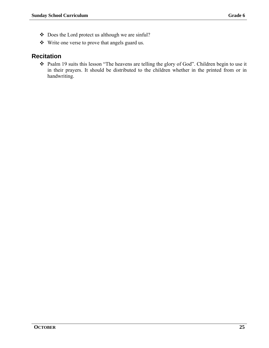- Does the Lord protect us although we are sinful?
- Write one verse to prove that angels guard us.

## **Recitation**

 Psalm 19 suits this lesson "The heavens are telling the glory of God". Children begin to use it in their prayers. It should be distributed to the children whether in the printed from or in handwriting.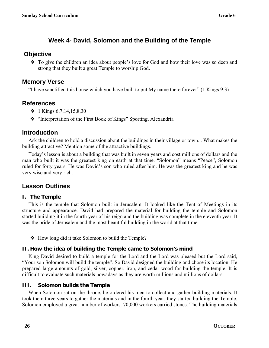## **Week 4- David, Solomon and the Building of the Temple**

#### **Objective**

 To give the children an idea about people's love for God and how their love was so deep and strong that they built a great Temple to worship God.

#### **Memory Verse**

"I have sanctified this house which you have built to put My name there forever" (1 Kings 9:3)

#### **References**

- $\div$  1 Kings 6,7,14,15,8,30
- \* "Interpretation of the First Book of Kings" Sporting, Alexandria

#### **Introduction**

Ask the children to hold a discussion about the buildings in their village or town... What makes the building attractive? Mention some of the attractive buildings.

Today's lesson is about a building that was built in seven years and cost millions of dollars and the man who built it was the greatest king on earth at that time. "Solomon" means "Peace", Solomon ruled for forty years. He was David's son who ruled after him. He was the greatest king and he was very wise and very rich.

#### **Lesson Outlines**

#### **I. The Temple**

This is the temple that Solomon built in Jerusalem. It looked like the Tent of Meetings in its structure and appearance. David had prepared the material for building the temple and Solomon started building it in the fourth year of his reign and the building was complete in the eleventh year. It was the pride of Jerusalem and the most beautiful building in the world at that time.

◆ How long did it take Solomon to build the Temple?

#### **II. How the idea of building the Temple came to Solomon's mind**

King David desired to build a temple for the Lord and the Lord was pleased but the Lord said, "Your son Solomon will build the temple". So David designed the building and chose its location. He prepared large amounts of gold, silver, copper, iron, and cedar wood for building the temple. It is difficult to evaluate such materials nowadays as they are worth millions and millions of dollars.

#### **III. Solomon builds the Temple**

When Solomon sat on the throne, he ordered his men to collect and gather building materials. It took them three years to gather the materials and in the fourth year, they started building the Temple. Solomon employed a great number of workers. 70,000 workers carried stones. The building materials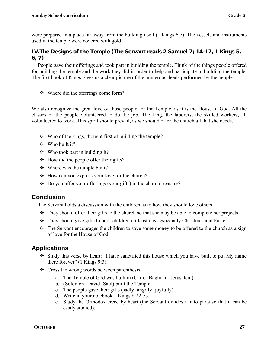were prepared in a place far away from the building itself (1 Kings 6,7). The vessels and instruments used in the temple were covered with gold.

#### **IV.The Designs of the Temple (The Servant reads 2 Samuel 7; 14-17, 1 Kings 5, 6, 7)**

People gave their offerings and took part in building the temple. Think of the things people offered for building the temple and the work they did in order to help and participate in building the temple. The first book of Kings gives us a clear picture of the numerous deeds performed by the people.

Where did the offerings come form?

We also recognize the great love of those people for the Temple, as it is the House of God. All the classes of the people volunteered to do the job. The king, the laborers, the skilled workers, all volunteered to work. This spirit should prevail, as we should offer the church all that she needs.

- $\bullet\bullet\text{ Who of the kings, thought first of building the temple?}$
- Who built it?
- $\div$  Who took part in building it?
- $\triangleleft$  How did the people offer their gifts?
- Where was the temple built?
- How can you express your love for the church?
- Do you offer your offerings (your gifts) in the church treasury?

#### **Conclusion**

The Servant holds a discussion with the children as to how they should love others.

- $\div$  They should offer their gifts to the church so that she may be able to complete her projects.
- They should give gifts to poor children on feast days especially Christmas and Easter.
- The Servant encourages the children to save some money to be offered to the church as a sign of love for the House of God.

- Study this verse by heart: "I have sanctified this house which you have built to put My name there forever" (1 Kings 9:3).
- ❖ Cross the wrong words between parenthesis:
	- a. The Temple of God was built in (Cairo -Baghdad -Jerusalem).
	- b. (Solomon -David -Saul) built the Temple.
	- c. The people gave their gifts (sadly -angrily -joyfully).
	- d. Write in your notebook 1 Kings 8:22-53.
	- e. Study the Orthodox creed by heart (the Servant divides it into parts so that it can be easily studied).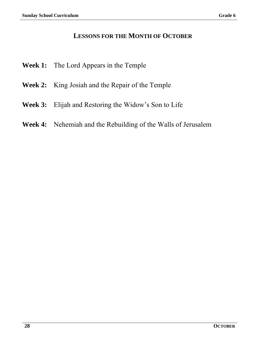# **LESSONS FOR THE MONTH OF OCTOBER**

- **Week 1:** The Lord Appears in the Temple
- **Week 2:** King Josiah and the Repair of the Temple
- **Week 3:** Elijah and Restoring the Widow's Son to Life
- **Week 4:** Nehemiah and the Rebuilding of the Walls of Jerusalem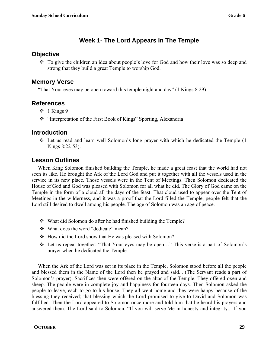# **Week 1- The Lord Appears In The Temple**

## **Objective**

 To give the children an idea about people's love for God and how their love was so deep and strong that they build a great Temple to worship God.

## **Memory Verse**

"That Your eyes may be open toward this temple night and day" (1 Kings 8:29)

# **References**

- $\div$  1 Kings 9
- "Interpretation of the First Book of Kings" Sporting, Alexandria

## **Introduction**

 $\div$  Let us read and learn well Solomon's long prayer with which he dedicated the Temple (1) Kings 8:22-53).

# **Lesson Outlines**

When King Solomon finished building the Temple, he made a great feast that the world had not seen its like. He brought the Ark of the Lord God and put it together with all the vessels used in the service in its new place. Those vessels were in the Tent of Meetings. Then Solomon dedicated the House of God and God was pleased with Solomon for all what he did. The Glory of God came on the Temple in the form of a cloud all the days of the feast. That cloud used to appear over the Tent of Meetings in the wilderness, and it was a proof that the Lord filled the Temple, people felt that the Lord still desired to dwell among his people. The age of Solomon was an age of peace.

- What did Solomon do after he had finished building the Temple?
- What does the word "dedicate" mean?
- How did the Lord show that He was pleased with Solomon?
- Let us repeat together: "That Your eyes may be open…" This verse is a part of Solomon's prayer when he dedicated the Temple.

When the Ark of the Lord was set in its place in the Temple, Solomon stood before all the people and blessed them in the Name of the Lord then he prayed and said... (The Servant reads a part of Solomon's prayer). Sacrifices then were offered on the altar of the Temple. They offered oxen and sheep. The people were in complete joy and happiness for fourteen days. Then Solomon asked the people to leave, each to go to his house. They all went home and they were happy because of the blessing they received; that blessing which the Lord promised to give to David and Solomon was fulfilled. Then the Lord appeared to Solomon once more and told him that he heard his prayers and answered them. The Lord said to Solomon, "If you will serve Me in honesty and integrity... If you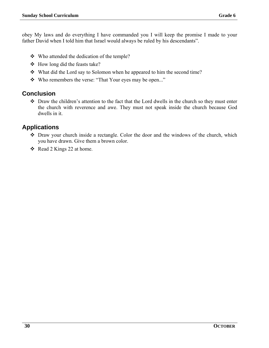obey My laws and do everything I have commanded you I will keep the promise I made to your father David when I told him that Israel would always be ruled by his descendants".

- Who attended the dedication of the temple?
- $\div$  How long did the feasts take?
- What did the Lord say to Solomon when he appeared to him the second time?
- \* Who remembers the verse: "That Your eyes may be open..."

#### **Conclusion**

 Draw the children's attention to the fact that the Lord dwells in the church so they must enter the church with reverence and awe. They must not speak inside the church because God dwells in it.

- Draw your church inside a rectangle. Color the door and the windows of the church, which you have drawn. Give them a brown color.
- $\triangleleft$  Read 2 Kings 22 at home.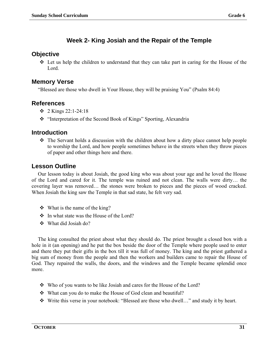# **Week 2- King Josiah and the Repair of the Temple**

#### **Objective**

 Let us help the children to understand that they can take part in caring for the House of the Lord.

## **Memory Verse**

"Blessed are those who dwell in Your House, they will be praising You" (Psalm 84:4)

# **References**

- $\div$  2 Kings 22:1-24:18
- \* "Interpretation of the Second Book of Kings" Sporting, Alexandria

## **Introduction**

 The Servant holds a discussion with the children about how a dirty place cannot help people to worship the Lord, and how people sometimes behave in the streets when they throw pieces of paper and other things here and there.

# **Lesson Outline**

Our lesson today is about Josiah, the good king who was about your age and he loved the House of the Lord and cared for it. The temple was ruined and not clean. The walls were dirty… the covering layer was removed… the stones were broken to pieces and the pieces of wood cracked. When Josiah the king saw the Temple in that sad state, he felt very sad.

- $\bullet$  What is the name of the king?
- $\div$  In what state was the House of the Lord?
- What did Josiah do?

The king consulted the priest about what they should do. The priest brought a closed box with a hole in it (an opening) and he put the box beside the door of the Temple where people used to enter and there they put their gifts in the box till it was full of money. The king and the priest gathered a big sum of money from the people and then the workers and builders came to repair the House of God. They repaired the walls, the doors, and the windows and the Temple became splendid once more.

- Who of you wants to be like Josiah and cares for the House of the Lord?
- What can you do to make the House of God clean and beautiful?
- Write this verse in your notebook: "Blessed are those who dwell…" and study it by heart.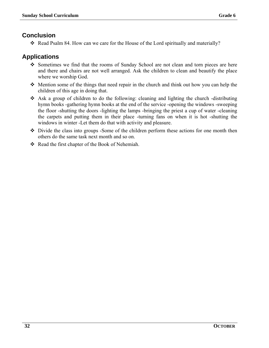#### **Conclusion**

\* Read Psalm 84. How can we care for the House of the Lord spiritually and materially?

- \* Sometimes we find that the rooms of Sunday School are not clean and torn pieces are here and there and chairs are not well arranged. Ask the children to clean and beautify the place where we worship God.
- Mention some of the things that need repair in the church and think out how you can help the children of this age in doing that.
- Ask a group of children to do the following: cleaning and lighting the church -distributing hymn books -gathering hymn books at the end of the service -opening the windows -sweeping the floor -shutting the doors -lighting the lamps -bringing the priest a cup of water -cleaning the carpets and putting them in their place -turning fans on when it is hot -shutting the windows in winter -Let them do that with activity and pleasure.
- Divide the class into groups -Some of the children perform these actions for one month then others do the same task next month and so on.
- $\triangleleft$  Read the first chapter of the Book of Nehemiah.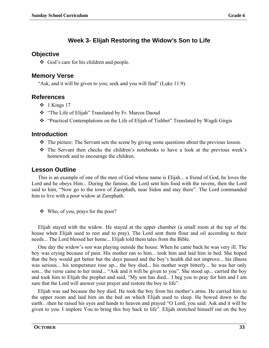# **Week 3- Elijah Restoring the Widow's Son to Life**

#### **Objective**

 $\triangleleft$  God's care for his children and people.

## **Memory Verse**

"Ask, and it will be given to you; seek and you will find" (Luke 11:9).

## **References**

- $\div$  1 Kings 17
- \* "The Life of Elijah" Translated by Fr. Marcos Daoud
- \* "Practical Contemplations on the Life of Elijah of Tishbet" Translated by Wagdi Girgis

## **Introduction**

- The picture: The Servant sets the scene by giving some questions about the previous lesson.
- The Servant then checks the children's notebooks to have a look at the previous week's homework and to encourage the children.

# **Lesson Outline**

This is an example of one of the men of God whose name is Elijah... a friend of God, he loves the Lord and he obeys Him... During the famine, the Lord sent him food with the ravens, then the Lord said to him, "Now go to the town of Zarephath, near Sidon and stay there". The Lord commanded him to live with a poor widow at Zarephath.

Who, of you, prays for the poor?

Elijah stayed with the widow. He stayed at the upper chamber (a small room at the top of the house when Elijah used to rest and to pray). The Lord sent them flour and oil according to their needs... The Lord blessed her home... Elijah told them tales from the Bible.

One day the widow's son was playing outside the house. When he came back he was very ill. The boy was crying because of pain. His mother ran to him... took him and laid him in bed. She hoped that the boy would get better but the days passed and the boy's health did not improve... his illness was serious... his temperature rose up... the boy died... his mother wept bitterly... he was her only son... the verse came to her mind... "Ask and it will be given to you". She stood up... carried the boy and took him to Elijah the prophet and said, "My son has died... I beg you to pray for him and I am sure that the Lord will answer your prayer and restore the boy to life".

Elijah was sad because the boy died. He took the boy from his mother's arms. He carried him to the upper room and laid him on the bed on which Elijah used to sleep. He bowed down to the earth…then he raised his eyes and hands to heaven and prayed "O Lord, you said: Ask and it will be given to you. I implore You to bring this boy back to life". Elijah stretched himself out on the boy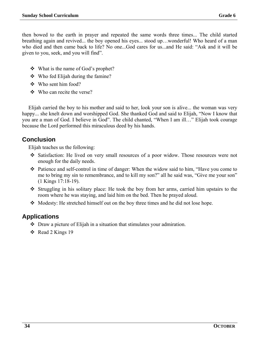then bowed to the earth in prayer and repeated the same words three times... The child started breathing again and revived... the boy opened his eyes... stood up…wonderful! Who heard of a man who died and then came back to life? No one...God cares for us...and He said: "Ask and it will be given to you, seek, and you will find".

- What is the name of God's prophet?
- $\bullet\bullet\text{ Who fed Elijah during the fame?}$
- Who sent him food?
- Who can recite the verse?

Elijah carried the boy to his mother and said to her, look your son is alive... the woman was very happy... she knelt down and worshipped God. She thanked God and said to Elijah, "Now I know that you are a man of God. I believe in God". The child chanted, "When I am ill…" Elijah took courage because the Lord performed this miraculous deed by his hands.

## **Conclusion**

Elijah teaches us the following:

- Satisfaction: He lived on very small resources of a poor widow. Those resources were not enough for the daily needs.
- Patience and self-control in time of danger: When the widow said to him, "Have you come to me to bring my sin to remembrance, and to kill my son?" all he said was, "Give me your son" (1 Kings 17:18-19).
- Struggling in his solitary place: He took the boy from her arms, carried him upstairs to the room where he was staying, and laid him on the bed. Then he prayed aloud.
- Modesty: He stretched himself out on the boy three times and he did not lose hope.

- Draw a picture of Elijah in a situation that stimulates your admiration.
- $\div$  Read 2 Kings 19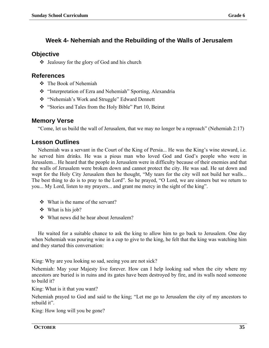# **Week 4- Nehemiah and the Rebuilding of the Walls of Jerusalem**

## **Objective**

 $\triangleleft$  Jealousy for the glory of God and his church

## **References**

- The Book of Nehemiah
- "Interpretation of Ezra and Nehemiah" Sporting, Alexandria
- "Nehemiah's Work and Struggle" Edward Dennett
- "Stories and Tales from the Holy Bible" Part 10, Beirut

# **Memory Verse**

"Come, let us build the wall of Jerusalem, that we may no longer be a reproach" (Nehemiah 2:17)

# **Lesson Outlines**

Nehemiah was a servant in the Court of the King of Persia... He was the King's wine steward, i.e. he served him drinks. He was a pious man who loved God and God's people who were in Jerusalem... He heard that the people in Jerusalem were in difficulty because of their enemies and that the walls of Jerusalem were broken down and cannot protect the city. He was sad. He sat down and wept for the Holy City Jerusalem then he thought, "My tears for the city will not build her walls... The best thing to do is to pray to the Lord". So he prayed, "O Lord, we are sinners but we return to you... My Lord, listen to my prayers... and grant me mercy in the sight of the king".

- What is the name of the servant?
- $\div$  What is his job?
- What news did he hear about Jerusalem?

He waited for a suitable chance to ask the king to allow him to go back to Jerusalem. One day when Nehemiah was pouring wine in a cup to give to the king, he felt that the king was watching him and they started this conversation:

King: Why are you looking so sad, seeing you are not sick?

Nehemiah: May your Majesty live forever. How can I help looking sad when the city where my ancestors are buried is in ruins and its gates have been destroyed by fire, and its walls need someone to build it?

King: What is it that you want?

Nehemiah prayed to God and said to the king; "Let me go to Jerusalem the city of my ancestors to rebuild it".

King: How long will you be gone?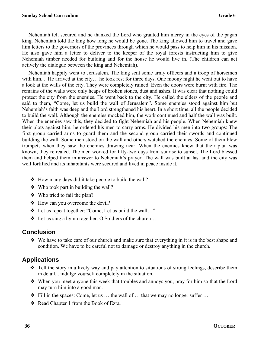Nehemiah felt secured and he thanked the Lord who granted him mercy in the eyes of the pagan king. Nehemiah told the king how long he would be gone. The king allowed him to travel and gave him letters to the governors of the provinces through which he would pass to help him in his mission. He also gave him a letter to deliver to the keeper of the royal forests instructing him to give Nehemiah timber needed for building and for the house he would live in. (The children can act actively the dialogue between the king and Nehemiah).

Nehemiah happily went to Jerusalem. The king sent some army officers and a troop of horsemen with him... He arrived at the city... he took rest for three days. One moony night he went out to have a look at the walls of the city. They were completely ruined. Even the doors were burnt with fire. The remains of the walls were only heaps of broken stones, dust and ashes. It was clear that nothing could protect the city from the enemies. He went back to the city. He called the elders of the people and said to them, "Come, let us build the wall of Jerusalem". Some enemies stood against him but Nehemiah's faith was deep and the Lord strengthened his heart. In a short time, all the people decided to build the wall. Although the enemies mocked him, the work continued and half the wall was built. When the enemies saw this, they decided to fight Nehemiah and his people. When Nehemiah knew their plots against him, he ordered his men to carry arms. He divided his men into two groups: The first group carried arms to guard them and the second group carried their swords and continued building the wall. Some men stood on the wall and others watched the enemies. Some of them blew trumpets when they saw the enemies drawing near. When the enemies knew that their plan was known, they retreated. The men worked for fifty-two days from sunrise to sunset. The Lord blessed them and helped them in answer to Nehemiah's prayer. The wall was built at last and the city was well fortified and its inhabitants were secured and lived in peace inside it.

- $\triangleleft$  How many days did it take people to build the wall?
- $\div$  Who took part in building the wall?
- Who tried to fail the plan?
- How can you overcome the devil?
- Let us repeat together: "Come, Let us build the wall…"
- $\triangleleft$  Let us sing a hymn together: O Soldiers of the church...

#### **Conclusion**

 We have to take care of our church and make sure that everything in it is in the best shape and condition. We have to be careful not to damage or destroy anything in the church.

- Tell the story in a lively way and pay attention to situations of strong feelings, describe them in detail... indulge yourself completely in the situation.
- When you meet anyone this week that troubles and annoys you, pray for him so that the Lord may turn him into a good man.
- $\div$  Fill in the spaces: Come, let us ... the wall of ... that we may no longer suffer ...
- Read Chapter 1 from the Book of Ezra.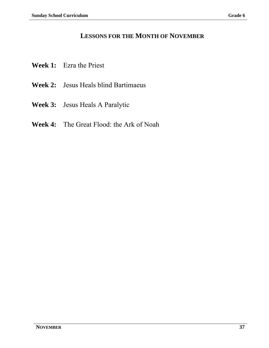# **LESSONS FOR THE MONTH OF NOVEMBER**

- **Week 1:** Ezra the Priest
- **Week 2:** Jesus Heals blind Bartimaeus
- **Week 3:** Jesus Heals A Paralytic
- **Week 4:** The Great Flood: the Ark of Noah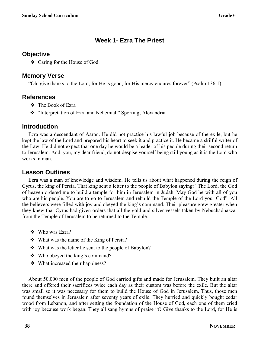#### **Week 1- Ezra The Priest**

#### **Objective**

Caring for the House of God.

#### **Memory Verse**

"Oh, give thanks to the Lord, for He is good, for His mercy endures forever" (Psalm 136:1)

#### **References**

- The Book of Ezra
- "Interpretation of Ezra and Nehemiah" Sporting, Alexandria

## **Introduction**

Ezra was a descendant of Aaron. He did not practice his lawful job because of the exile, but he kept the law of the Lord and prepared his heart to seek it and practice it. He became a skilful writer of the Law. He did not expect that one day he would be a leader of his people during their second return to Jerusalem. And, you, my dear friend, do not despise yourself being still young as it is the Lord who works in man.

# **Lesson Outlines**

Ezra was a man of knowledge and wisdom. He tells us about what happened during the reign of Cyrus, the king of Persia. That king sent a letter to the people of Babylon saying: "The Lord, the God of heaven ordered me to build a temple for him in Jerusalem in Judah. May God be with all of you who are his people. You are to go to Jerusalem and rebuild the Temple of the Lord your God". All the believers were filled with joy and obeyed the king's command. Their pleasure grew greater when they knew that Cyrus had given orders that all the gold and silver vessels taken by Nebuchadnazzar from the Temple of Jerusalem to be returned to the Temple.

- Who was Ezra?
- What was the name of the King of Persia?
- What was the letter he sent to the people of Babylon?
- $\cdot \cdot \cdot$  Who obeyed the king's command?
- **❖** What increased their happiness?

About 50,000 men of the people of God carried gifts and made for Jerusalem. They built an altar there and offered their sacrifices twice each day as their custom was before the exile. But the altar was small so it was necessary for them to build the House of God in Jerusalem. Thus, those men found themselves in Jerusalem after seventy years of exile. They hurried and quickly bought cedar wood from Lebanon, and after setting the foundation of the House of God, each one of them cried with joy because work began. They all sang hymns of praise "O Give thanks to the Lord, for He is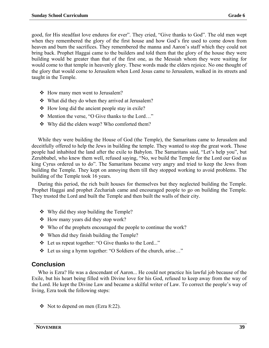good, for His steadfast love endures for ever". They cried, "Give thanks to God". The old men wept when they remembered the glory of the first house and how God's fire used to come down from heaven and burn the sacrifices. They remembered the manna and Aaron's staff which they could not bring back. Prophet Haggai came to the builders and told them that the glory of the house they were building would be greater than that of the first one, as the Messiah whom they were waiting for would come to that temple in heavenly glory. These words made the elders rejoice. No one thought of the glory that would come to Jerusalem when Lord Jesus came to Jerusalem, walked in its streets and taught in the Temple.

- How many men went to Jerusalem?
- What did they do when they arrived at Jerusalem?
- $\bullet$  How long did the ancient people stay in exile?
- Mention the verse, "O Give thanks to the Lord…"
- Why did the elders weep? Who comforted them?

While they were building the House of God (the Temple), the Samaritans came to Jerusalem and deceitfully offered to help the Jews in building the temple. They wanted to stop the great work. Those people had inhabited the land after the exile to Babylon. The Samaritans said, "Let's help you", but Zerubbabel, who knew them well, refused saying, "No, we build the Temple for the Lord our God as king Cyrus ordered us to do". The Samaritans became very angry and tried to keep the Jews from building the Temple. They kept on annoying them till they stopped working to avoid problems. The building of the Temple took 16 years.

During this period, the rich built houses for themselves but they neglected building the Temple. Prophet Haggai and prophet Zechariah came and encouraged people to go on building the Temple. They trusted the Lord and built the Temple and then built the walls of their city.

- ❖ Why did they stop building the Temple?
- $\triangleleft$  How many years did they stop work?
- Who of the prophets encouraged the people to continue the work?
- When did they finish building the Temple?
- Let us repeat together: "O Give thanks to the Lord..."
- Let us sing a hymn together: "O Soldiers of the church, arise…"

#### **Conclusion**

Who is Ezra? He was a descendant of Aaron... He could not practice his lawful job because of the Exile, but his heart being filled with Divine love for his God, refused to keep away from the way of the Lord. He kept the Divine Law and became a skilful writer of Law. To correct the people's way of living, Ezra took the following steps:

 $\bullet$  Not to depend on men (Ezra 8:22).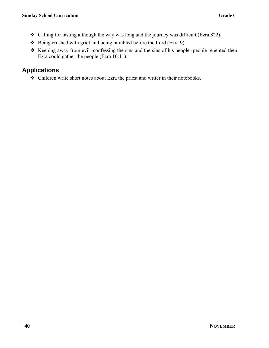- Calling for fasting although the way was long and the journey was difficult (Ezra 822).
- Being crushed with grief and being humbled before the Lord (Ezra 9).
- \* Keeping away from evil -confessing the sins and the sins of his people -people repented then Ezra could gather the people (Ezra 10:11).

## **Applications**

Children write short notes about Ezra the priest and writer in their notebooks.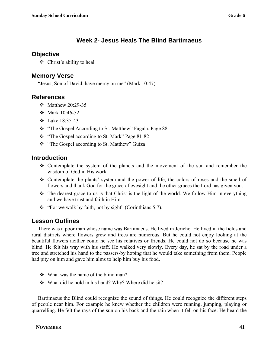# **Week 2- Jesus Heals The Blind Bartimaeus**

## **Objective**

 $\triangleleft$  Christ's ability to heal.

## **Memory Verse**

"Jesus, Son of David, have mercy on me" (Mark 10:47)

## **References**

- Matthew 20:29-35
- $\div$  Mark 10:46-52
- $\div$  Luke 18:35-43
- \* "The Gospel According to St. Matthew" Fagala, Page 88
- \* "The Gospel according to St. Mark" Page 81-82
- \* "The Gospel according to St. Matthew" Guiza

# **Introduction**

- Contemplate the system of the planets and the movement of the sun and remember the wisdom of God in His work.
- Contemplate the plants' system and the power of life, the colors of roses and the smell of flowers and thank God for the grace of eyesight and the other graces the Lord has given you.
- The dearest grace to us is that Christ is the light of the world. We follow Him in everything and we have trust and faith in Him.
- $\bullet$  "For we walk by faith, not by sight" (Corinthians 5:7).

# **Lesson Outlines**

There was a poor man whose name was Bartimaeus. He lived in Jericho. He lived in the fields and rural districts where flowers grew and trees are numerous. But he could not enjoy looking at the beautiful flowers neither could he see his relatives or friends. He could not do so because he was blind. He felt his way with his staff. He walked very slowly. Every day, he sat by the road under a tree and stretched his hand to the passers-by hoping that he would take something from them. People had pity on him and gave him alms to help him buy his food.

- ❖ What was the name of the blind man?
- What did he hold in his hand? Why? Where did he sit?

Bartimaeus the Blind could recognize the sound of things. He could recognize the different steps of people near him. For example he knew whether the children were running, jumping, playing or quarrelling. He felt the rays of the sun on his back and the rain when it fell on his face. He heard the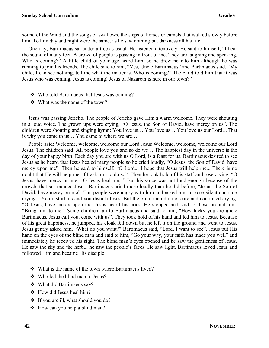sound of the Wind and the songs of swallows, the steps of horses or camels that walked slowly before him. To him day and night were the same, as he saw nothing but darkness all his life.

One day, Bartimaeus sat under a tree as usual. He listened attentively. He said to himself, "I hear the sound of many feet. A crowd of people is passing in front of me. They are laughing and speaking. Who is coming?" A little child of your age heard him, so he drew near to him although he was running to join his friends. The child said to him, "Yes, Uncle Bartimaeus" and Bartimaeus said, "My child, I can see nothing, tell me what the matter is. Who is coming?" The child told him that it was Jesus who was coming. Jesus is coming! Jesus of Nazareth is here in our town?"

- Who told Bartimaeus that Jesus was coming?
- What was the name of the town?

Jesus was passing Jericho. The people of Jericho gave Him a warm welcome. They were shouting in a loud voice. The grown ups were crying, "O Jesus, the Son of David, have mercy on us". The children were shouting and singing hymn: You love us… You love us… You love us our Lord…That is why you came to us… You came to where we are…

People said: Welcome, welcome, welcome our Lord Jesus Welcome, welcome, welcome our Lord Jesus. The children said: All people love you and so do we… The happiest day in the universe is the day of your happy birth. Each day you are with us O Lord, is a feast for us. Bartimaeus desired to see Jesus as he heard that Jesus healed many people so he cried loudly, "O Jesus, the Son of David, have mercy upon me". Then he said to himself, "O Lord... I hope that Jesus will help me... There is no doubt that He will help me, if I ask him to do so". Then he took hold of his staff and rose crying, "O Jesus, have mercy on me... O Jesus heal me..." But his voice was not loud enough because of the crowds that surrounded Jesus. Bartimaeus cried more loudly than he did before, "Jesus, the Son of David, have mercy on me". The people were angry with him and asked him to keep silent and stop crying... You disturb us and you disturb Jesus. But the blind man did not care and continued crying, "O Jesus, have mercy upon me. Jesus heard his cries. He stopped and said to those around him: "Bring him to me". Some children ran to Bartimaeus and said to him, "How lucky you are uncle Bartimaeus, Jesus call you, come with us". They took hold of his hand and led him to Jesus. Because of his great happiness, he jumped, his cloak fell down but he left it on the ground and went to Jesus. Jesus gently asked him, "What do you want?" Bartimaeus said, "Lord, I want to see". Jesus put His hand on the eyes of the blind man and said to him, "Go your way, your faith has made you well" and immediately he received his sight. The blind man's eyes opened and he saw the gentleness of Jesus. He saw the sky and the herb... he saw the people's faces. He saw light. Bartimaeus loved Jesus and followed Him and became His disciple.

- What is the name of the town where Bartimaeus lived?
- Who led the blind man to Jesus?
- What did Bartimaeus say?
- How did Jesus heal him?
- $\cdot \cdot$  If you are ill, what should you do?
- $\triangleleft$  How can you help a blind man?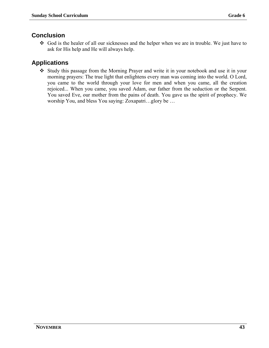#### **Conclusion**

 God is the healer of all our sicknesses and the helper when we are in trouble. We just have to ask for His help and He will always help.

## **Applications**

 Study this passage from the Morning Prayer and write it in your notebook and use it in your morning prayers: The true light that enlightens every man was coming into the world. O Lord, you came to the world through your love for men and when you came, all the creation rejoiced... When you came, you saved Adam, our father from the seduction or the Serpent. You saved Eve, our mother from the pains of death. You gave us the spirit of prophecy. We worship You, and bless You saying: Zoxapatri…glory be …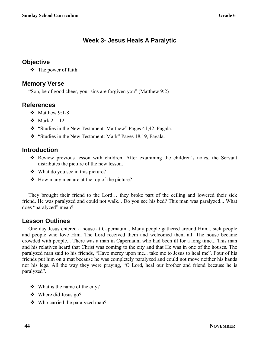## **Week 3- Jesus Heals A Paralytic**

## **Objective**

 $\triangleleft$  The power of faith

#### **Memory Verse**

"Son, be of good cheer, your sins are forgiven you" (Matthew 9:2)

## **References**

- $\div$  Matthew 9.1-8
- $\div$  Mark 2:1-12
- \* "Studies in the New Testament: Matthew" Pages 41,42, Fagala.
- \* "Studies in the New Testament: Mark" Pages 18,19, Fagala.

## **Introduction**

- Review previous lesson with children. After examining the children's notes, the Servant distributes the picture of the new lesson.
- What do you see in this picture?
- $\triangleleft$  How many men are at the top of the picture?

They brought their friend to the Lord… they broke part of the ceiling and lowered their sick friend. He was paralyzed and could not walk... Do you see his bed? This man was paralyzed... What does "paralyzed" mean?

## **Lesson Outlines**

One day Jesus entered a house at Capernaum... Many people gathered around Him... sick people and people who love Him. The Lord received them and welcomed them all. The house became crowded with people... There was a man in Capernaum who had been ill for a long time... This man and his relatives heard that Christ was coming to the city and that He was in one of the houses. The paralyzed man said to his friends, "Have mercy upon me... take me to Jesus to heal me". Four of his friends put him on a mat because he was completely paralyzed and could not move neither his hands nor his legs. All the way they were praying, "O Lord, heal our brother and friend because he is paralyzed".

- $\triangleleft$  What is the name of the city?
- Where did Jesus go?
- **❖** Who carried the paralyzed man?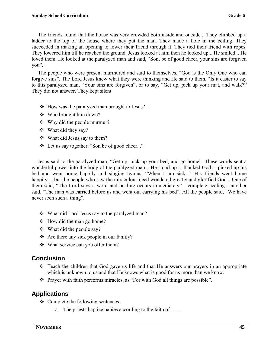The friends found that the house was very crowded both inside and outside... They climbed up a ladder to the top of the house where they put the man. They made a hole in the ceiling. They succeeded in making an opening to lower their friend through it. They tied their friend with ropes. They lowered him till he reached the ground. Jesus looked at him then he looked up... He smiled... He loved them. He looked at the paralyzed man and said, "Son, be of good cheer, your sins are forgiven you".

The people who were present murmured and said to themselves, "God is the Only One who can forgive sins". The Lord Jesus knew what they were thinking and He said to them, "Is it easier to say to this paralyzed man, "Your sins are forgiven", or to say, "Get up, pick up your mat, and walk?" They did not answer. They kept silent.

- How was the paralyzed man brought to Jesus?
- Who brought him down?
- Why did the people murmur?
- What did they say?
- What did Jesus say to them?
- Let us say together, "Son be of good cheer..."

Jesus said to the paralyzed man, "Get up, pick up your bed, and go home". These words sent a wonderful power into the body of the paralyzed man... He stood up… thanked God… picked up his bed and went home happily and singing hymns, "When I am sick..." His friends went home happily... but the people who saw the miraculous deed wondered greatly and glorified God... One of them said, "The Lord says a word and healing occurs immediately"... complete healing... another said, "The man was carried before us and went out carrying his bed". All the people said, "We have never seen such a thing".

- What did Lord Jesus say to the paralyzed man?
- $\div$  How did the man go home?
- What did the people say?
- Are there any sick people in our family?
- What service can you offer them?

#### **Conclusion**

- Teach the children that God gave us life and that He answers our prayers in an appropriate which is unknown to us and that He knows what is good for us more than we know.
- Prayer with faith performs miracles, as "For with God all things are possible".

- ❖ Complete the following sentences:
	- a. The priests baptize babies according to the faith of ……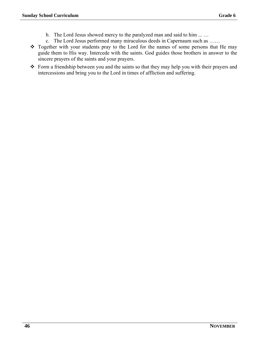- b. The Lord Jesus showed mercy to the paralyzed man and said to him ... …
- c. The Lord Jesus performed many miraculous deeds in Capernaum such as ……
- \* Together with your students pray to the Lord for the names of some persons that He may guide them to His way. Intercede with the saints. God guides those brothers in answer to the sincere prayers of the saints and your prayers.
- \* Form a friendship between you and the saints so that they may help you with their prayers and intercessions and bring you to the Lord in times of affliction and suffering.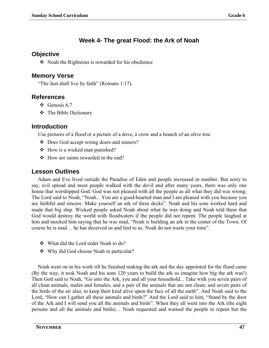# **Week 4- The great Flood: the Ark of Noah**

## **Objective**

 $\bullet$  Noah the Righteous is rewarded for his obedience

#### **Memory Verse**

"The Just shall live by faith" (Romans 1:17).

## **References**

- $\div$  Genesis 6,7
- The Bible Dictionary

## **Introduction**

Use pictures of a flood or a picture of a dove, a crow and a branch of an olive tree

- Does God accept wrong doers and sinners?
- $\div$  How is a wicked man punished?
- $\div$  How are saints rewarded in the end?

# **Lesson Outlines**

Adam and Eve lived outside the Paradise of Eden and people increased in number. But sorry to say, evil spread and most people walked with the devil and after many years, there was only one house that worshipped God. God was not pleased with all the people as all what they did was wrong. The Lord said to Noah, "Noah... You are a good-hearted man and I am pleased with you because you are faithful and sincere. Make yourself an ark of three decks". Noah and his sons worked hard and made that big ship. Wicked people asked Noah about what he was doing and Noah told them that God would destroy the world with floodwaters if the people did not repent. The people laughed at him and mocked him saying that he was mad, "Noah is building an ark in the center of the Town. Of course he is mad… he has deceived us and lied to us. Noah do not waste your time".

- What did the Lord order Noah to do?
- Why did God choose Noah in particular?

Noah went on in his work till he finished making the ark and the day appointed for the flood came (By the way, it took Noah and his sons 120 years to build the ark so imagine how big the ark was!) Then God said to Noah, "Go into the Ark, you and all your household... Take with you seven pairs of all clean animals, males and females; and a pair of the animals that are not clean; and seven pairs of the birds of the air also, to keep their kind alive upon the face of all the earth". And Noah said to the Lord, "How can I gather all these animals and birds?" And the Lord said to him, "Stand by the door of the Ark and I will send you all the animals and birds". When they all went into the Ark (the eight persons and all the animals and birds)… Noah requested and warned the people to repent but the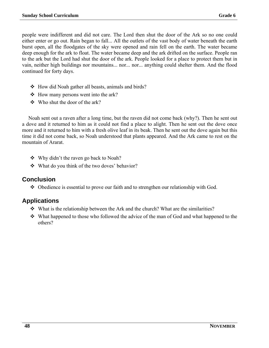people were indifferent and did not care. The Lord then shut the door of the Ark so no one could either enter or go out. Rain began to fall... All the outlets of the vast body of water beneath the earth burst open, all the floodgates of the sky were opened and rain fell on the earth. The water became deep enough for the ark to float. The water became deep and the ark drifted on the surface. People ran to the ark but the Lord had shut the door of the ark. People looked for a place to protect them but in vain, neither high buildings nor mountains... nor... nor... anything could shelter them. And the flood continued for forty days.

- ❖ How did Noah gather all beasts, animals and birds?
- $\div$  How many persons went into the ark?
- Who shut the door of the ark?

Noah sent out a raven after a long time, but the raven did not come back (why?). Then he sent out a dove and it returned to him as it could not find a place to alight. Then he sent out the dove once more and it returned to him with a fresh olive leaf in its beak. Then he sent out the dove again but this time it did not come back, so Noah understood that plants appeared. And the Ark came to rest on the mountain of Ararat.

- **❖** Why didn't the raven go back to Noah?
- What do you think of the two doves' behavior?

#### **Conclusion**

Obedience is essential to prove our faith and to strengthen our relationship with God.

- $\bullet\bullet\text{ What is the relationship between the Ark and the church? What are the similarities?}$
- What happened to those who followed the advice of the man of God and what happened to the others?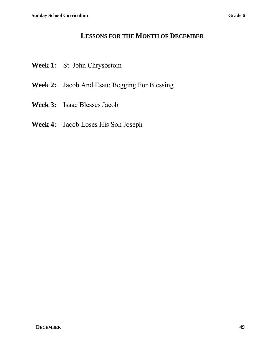## **LESSONS FOR THE MONTH OF DECEMBER**

- **Week 1:** St. John Chrysostom
- **Week 2:** Jacob And Esau: Begging For Blessing
- **Week 3:** Isaac Blesses Jacob
- **Week 4:** Jacob Loses His Son Joseph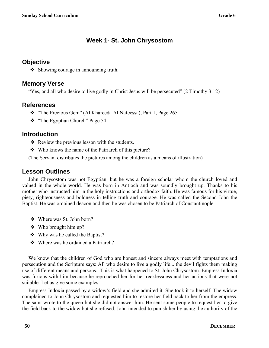## **Week 1- St. John Chrysostom**

#### **Objective**

❖ Showing courage in announcing truth.

#### **Memory Verse**

"Yes, and all who desire to live godly in Christ Jesus will be persecuted" (2 Timothy 3:12)

#### **References**

- \* "The Precious Gem" (Al Khareeda Al Nafeessa), Part 1, Page 265
- "The Egyptian Church" Page 54

#### **Introduction**

- Review the previous lesson with the students.
- Who knows the name of the Patriarch of this picture?

(The Servant distributes the pictures among the children as a means of illustration)

#### **Lesson Outlines**

John Chrysostom was not Egyptian, but he was a foreign scholar whom the church loved and valued in the whole world. He was born in Antioch and was soundly brought up. Thanks to his mother who instructed him in the holy instructions and orthodox faith. He was famous for his virtue, piety, righteousness and boldness in telling truth and courage. He was called the Second John the Baptist. He was ordained deacon and then he was chosen to be Patriarch of Constantinople.

- Where was St. John born?
- $\triangleleft$  Who brought him up?
- Why was he called the Baptist?
- Where was he ordained a Patriarch?

We know that the children of God who are honest and sincere always meet with temptations and persecution and the Scripture says: All who desire to live a godly life... the devil fights them making use of different means and persons. This is what happened to St. John Chrysostom. Empress Indoxia was furious with him because he reproached her for her recklessness and her actions that were not suitable. Let us give some examples.

Empress Indoxia passed by a widow's field and she admired it. She took it to herself. The widow complained to John Chrysostom and requested him to restore her field back to her from the empress. The saint wrote to the queen but she did not answer him. He sent some people to request her to give the field back to the widow but she refused. John intended to punish her by using the authority of the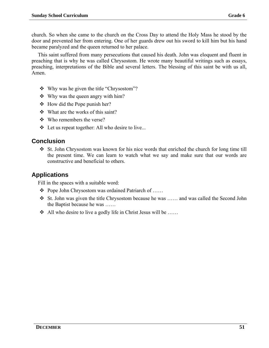church. So when she came to the church on the Cross Day to attend the Holy Mass he stood by the door and prevented her from entering. One of her guards drew out his sword to kill him but his hand became paralyzed and the queen returned to her palace.

This saint suffered from many persecutions that caused his death. John was eloquent and fluent in preaching that is why he was called Chrysostom. He wrote many beautiful writings such as essays, preaching, interpretations of the Bible and several letters. The blessing of this saint be with us all, Amen.

- Why was he given the title "Chrysostom"?
- $\triangleleft$  Why was the queen angry with him?
- $\triangleleft$  How did the Pope punish her?
- What are the works of this saint?
- Who remembers the verse?
- $\triangleleft$  Let us repeat together: All who desire to live...

#### **Conclusion**

 $\div$  St. John Chrysostom was known for his nice words that enriched the church for long time till the present time. We can learn to watch what we say and make sure that our words are constructive and beneficial to others.

#### **Applications**

Fill in the spaces with a suitable word:

- ❖ Pope John Chrysostom was ordained Patriarch of ……
- St. John was given the title Chrysostom because he was ...... and was called the Second John the Baptist because he was ……
- $\triangle$  All who desire to live a godly life in Christ Jesus will be .....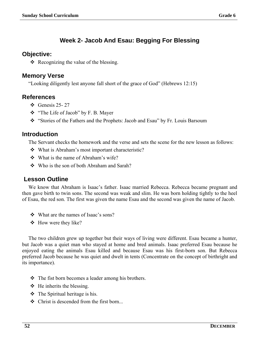## **Week 2- Jacob And Esau: Begging For Blessing**

#### **Objective:**

 $\triangleleft$  Recognizing the value of the blessing.

#### **Memory Verse**

"Looking diligently lest anyone fall short of the grace of God" (Hebrews 12:15)

#### **References**

- $\div$  Genesis 25-27
- "The Life of Jacob" by F. B. Mayer
- "Stories of the Fathers and the Prophets: Jacob and Esau" by Fr. Louis Barsoum

## **Introduction**

The Servant checks the homework and the verse and sets the scene for the new lesson as follows:

- What is Abraham's most important characteristic?
- ❖ What is the name of Abraham's wife?
- Who is the son of both Abraham and Sarah?

## **Lesson Outline**

We know that Abraham is Isaac's father. Isaac married Rebecca. Rebecca became pregnant and then gave birth to twin sons. The second was weak and slim. He was born holding tightly to the heel of Esau, the red son. The first was given the name Esau and the second was given the name of Jacob.

- What are the names of Isaac's sons?
- $\div$  How were they like?

The two children grew up together but their ways of living were different. Esau became a hunter, but Jacob was a quiet man who stayed at home and bred animals. Isaac preferred Esau because he enjoyed eating the animals Esau killed and because Esau was his first-born son. But Rebecca preferred Jacob because he was quiet and dwelt in tents (Concentrate on the concept of birthright and its importance).

- The fist born becomes a leader among his brothers.
- $\triangleleft$  He inherits the blessing.
- $\div$  The Spiritual heritage is his.
- $\triangleleft$  Christ is descended from the first born...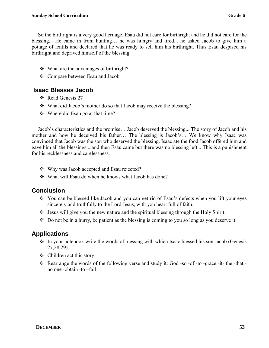So the birthright is a very good heritage. Esau did not care for birthright and he did not care for the blessing... He came in from hunting… he was hungry and tired... he asked Jacob to give him a pottage of lentils and declared that he was ready to sell him his birthright. Thus Esau despised his birthright and deprived himself of the blessing.

- What are the advantages of birthright?
- Compare between Esau and Jacob.

#### **Isaac Blesses Jacob**

- ❖ Read Genesis 27
- What did Jacob's mother do so that Jacob may receive the blessing?
- Where did Esau go at that time?

Jacob's characteristics and the promise… Jacob deserved the blessing... The story of Jacob and his mother and how he deceived his father… The blessing is Jacob's… We know why Isaac was convinced that Jacob was the son who deserved the blessing. Isaac ate the food Jacob offered him and gave him all the blessings... and then Esau came but there was no blessing left... This is a punishment for his recklessness and carelessness.

- Why was Jacob accepted and Esau rejected?
- What will Esau do when he knows what Jacob has done?

#### **Conclusion**

- You can be blessed like Jacob and you can get rid of Esau's defects when you lift your eyes sincerely and truthfully to the Lord Jesus, with you heart full of faith.
- $\div$  Jesus will give you the new nature and the spiritual blessing through the Holy Spirit.
- $\bullet$  Do not be in a hurry, be patient as the blessing is coming to you so long as you deserve it.

- In your notebook write the words of blessing with which Isaac blessed his son Jacob (Genesis 27,28,29)
- Children act this story.
- Rearrange the words of the following verse and study it: God -so -of -to -grace -it- the -that no one -obtain -to –fail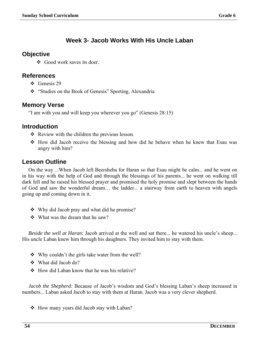## **Week 3- Jacob Works With His Uncle Laban**

#### **Objective**

Good work saves its doer.

#### **References**

- ❖ Genesis 29
- "Studies on the Book of Genesis" Sporting, Alexandria

#### **Memory Verse**

"I am with you and will keep you wherever you go" (Genesis 28:15)

#### **Introduction**

- $\triangleleft$  Review with the children the previous lesson.
- How did Jacob receive the blessing and how did he behave when he knew that Esau was angry with him?

## **Lesson Outline**

On the way ...When Jacob left Beersheba for Haran so that Esau might be calm... and he went on in his way with the help of God and through the blessings of his parents... he went on walking till dark fell and he raised his blessed prayer and promised the holy promise and slept between the hands of God and saw the wonderful dream… the ladder... a stairway from earth to heaven with angels going up and coming down in it.

- **❖** Why did Jacob pray and what did he promise?
- $\div$  What was the dream that he saw?

*Beside the well at Haran:* Jacob arrived at the well and sat there... he watered his uncle's sheep... His uncle Laban knew him through his daughters. They invited him to stay with them.

- $\cdot \cdot \cdot$  Why couldn't the girls take water from the well?
- What did Jacob do?
- How did Laban know that he was his relative?

*Jacob the Shepherd:* Because of Jacob's wisdom and God's blessing Laban's sheep increased in numbers... Laban asked Jacob to stay with them at Haran. Jacob was a very clever shepherd.

 $\triangleleft$  How many years did Jacob stay with Laban?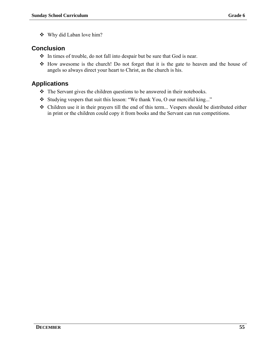Why did Laban love him?

#### **Conclusion**

- $\cdot \cdot$  In times of trouble, do not fall into despair but be sure that God is near.
- How awesome is the church! Do not forget that it is the gate to heaven and the house of angels so always direct your heart to Christ, as the church is his.

- The Servant gives the children questions to be answered in their notebooks.
- Studying vespers that suit this lesson: "We thank You, O our merciful king..."
- Children use it in their prayers till the end of this term... Vespers should be distributed either in print or the children could copy it from books and the Servant can run competitions.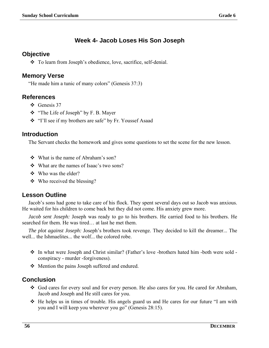## **Week 4- Jacob Loses His Son Joseph**

#### **Objective**

To learn from Joseph's obedience, love, sacrifice, self-denial.

#### **Memory Verse**

"He made him a tunic of many colors" (Genesis 37:3)

#### **References**

- Genesis 37
- $\triangleleft$  "The Life of Joseph" by F. B. Mayer
- "I'll see if my brothers are safe" by Fr. Youssef Asaad

#### **Introduction**

The Servant checks the homework and gives some questions to set the scene for the new lesson.

- What is the name of Abraham's son?
- What are the names of Isaac's two sons?
- ❖ Who was the elder?
- Who received the blessing?

#### **Lesson Outline**

Jacob's sons had gone to take care of his flock. They spent several days out so Jacob was anxious. He waited for his children to come back but they did not come. His anxiety grew more.

*Jacob sent Joseph:* Joseph was ready to go to his brothers. He carried food to his brothers. He searched for them. He was tired… at last he met them.

*The plot against Joseph:* Joseph's brothers took revenge. They decided to kill the dreamer... The well... the Ishmaelites... the wolf... the colored robe.

- In what were Joseph and Christ similar? (Father's love -brothers hated him -both were sold conspiracy - murder -forgiveness).
- Mention the pains Joseph suffered and endured.

## **Conclusion**

- God cares for every soul and for every person. He also cares for you. He cared for Abraham, Jacob and Joseph and He still cares for you.
- He helps us in times of trouble. His angels guard us and He cares for our future "I am with you and I will keep you wherever you go" (Genesis 28:15).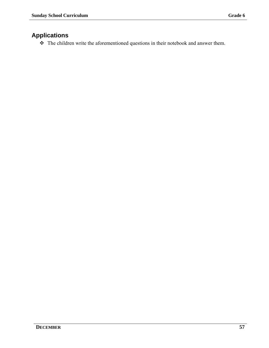# **Applications**

The children write the aforementioned questions in their notebook and answer them.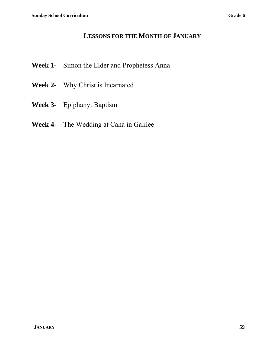# **LESSONS FOR THE MONTH OF JANUARY**

- **Week 1-** Simon the Elder and Prophetess Anna
- **Week 2-** Why Christ is Incarnated
- **Week 3-** Epiphany: Baptism
- **Week 4-** The Wedding at Cana in Galilee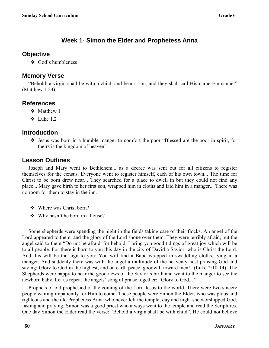## **Week 1- Simon the Elder and Prophetess Anna**

#### **Objective**

God's humbleness

#### **Memory Verse**

"Behold, a virgin shall be with a child, and bear a son, and they shall call His name Emmanuel" (Matthew 1:23)

## **References**

- ❖ Matthew 1
- $\div$  Luke 1,2

#### **Introduction**

 Jesus was born in a humble manger to comfort the poor "Blessed are the poor in spirit, for theirs is the kingdom of heaven"

## **Lesson Outlines**

Joseph and Mary went to Bethlehem... as a decree was sent out for all citizens to register themselves for the census. Everyone went to register himself, each of his own town... The time for Christ to be born drew near... They searched for a place to dwell in but they could not find any place... Mary gave birth to her first son, wrapped him in cloths and laid him in a manger... There was no room for them to stay in the inn.

- Where was Christ born?
- Why hasn't he born in a house?

Some shepherds were spending the night in the fields taking care of their flocks. An angel of the Lord appeared to them, and the glory of the Lord shone over them. They were terribly afraid, but the angel said to them "Do not be afraid, for behold, I bring you good tidings of great joy which will be to all people. For there is born to you this day in the city of David a Savior, who is Christ the Lord. And this will be the sign to you: You will find a Babe wrapped in swaddling cloths, lying in a manger. And suddenly there was with the angel a multitude of the heavenly host praising God and saying: Glory to God in the highest, and on earth peace, goodwill toward men!" (Luke 2:10-14). The Shepherds were happy to hear the good news of the Savior's birth and went to the manger to see the newborn baby. Let us repeat the angels' song of praise together: "Glory to God... "

Prophets of old prophesied of the coming of the Lord Jesus to the world. There were two sincere people waiting impatiently for Him to come. Those people were Simon the Elder, who was pious and righteous and the old Prophetess Anna who never left the temple; day and night she worshipped God, fasting and praying. Simon was a good priest who always went to the temple and read the Scriptures. One day Simon the Elder read the verse: "Behold a virgin shall be with child". He could not believe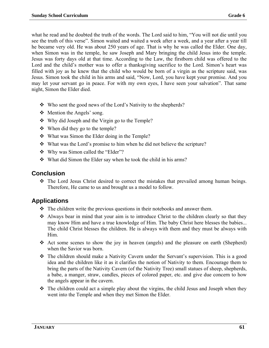what he read and he doubted the truth of the words. The Lord said to him, "You will not die until you see the truth of this verse". Simon waited and waited a week after a week, and a year after a year till he became very old. He was about 250 years of age. That is why he was called the Elder. One day, when Simon was in the temple, he saw Joseph and Mary bringing the child Jesus into the temple. Jesus was forty days old at that time. According to the Law, the firstborn child was offered to the Lord and the child's mother was to offer a thanksgiving sacrifice to the Lord. Simon's heart was filled with joy as he knew that the child who would be born of a virgin as the scripture said, was Jesus. Simon took the child in his arms and said, "Now, Lord, you have kept your promise. And you may let your servant go in peace. For with my own eyes, I have seen your salvation". That same night, Simon the Elder died.

- Who sent the good news of the Lord's Nativity to the shepherds?
- Mention the Angels' song.
- Why did Joseph and the Virgin go to the Temple?
- When did they go to the temple?
- What was Simon the Elder doing in the Temple?
- What was the Lord's promise to him when he did not believe the scripture?
- Why was Simon called the "Elder"?
- What did Simon the Elder say when he took the child in his arms?

#### **Conclusion**

 The Lord Jesus Christ desired to correct the mistakes that prevailed among human beings. Therefore, He came to us and brought us a model to follow.

- The children write the previous questions in their notebooks and answer them.
- Always bear in mind that your aim is to introduce Christ to the children clearly so that they may know Him and have a true knowledge of Him. The baby Christ here blesses the babies... The child Christ blesses the children. He is always with them and they must be always with Him.
- Act some scenes to show the joy in heaven (angels) and the pleasure on earth (Shepherd) when the Savior was born.
- The children should make a Nativity Cavern under the Servant's supervision. This is a good idea and the children like it as it clarifies the notion of Nativity to them. Encourage them to bring the parts of the Nativity Cavern (of the Nativity Tree) small statues of sheep, shepherds, a babe, a manger, straw, candles, pieces of colored paper, etc. and give due concern to how the angels appear in the cavern.
- $\cdot \cdot$  The children could act a simple play about the virgins, the child Jesus and Joseph when they went into the Temple and when they met Simon the Elder.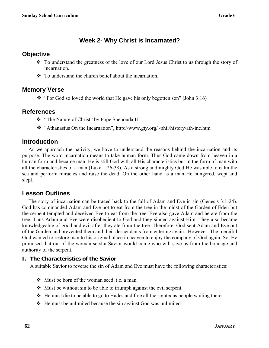## **Week 2- Why Christ is Incarnated?**

#### **Objective**

- To understand the greatness of the love of our Lord Jesus Christ to us through the story of incarnation.
- To understand the church belief about the incarnation.

#### **Memory Verse**

 $\bullet$  "For God so loved the world that He gave his only begotten son" (John 3:16)

#### **References**

- \* "The Nature of Christ" by Pope Shenouda III
- \*\* "Athanasius On the Incarnation", http://www.gty.org/~phil/history/ath-inc.htm

#### **Introduction**

As we approach the nativity, we have to understand the reasons behind the incarnation and its purpose. The word incarnation means to take human form. Thus God came down from heaven in a human form and became man. He is still God with all His characteristics but in the form of man with all the characteristics of a man (Luke 1:26-38). As a strong and mighty God He was able to calm the sea and perform miracles and raise the dead. On the other hand as a man He hungered, wept and slept.

#### **Lesson Outlines**

The story of incarnation can be traced back to the fall of Adam and Eve in sin (Genesis 3:1-24). God has commanded Adam and Eve not to eat from the tree in the midst of the Garden of Eden but the serpent tempted and deceived Eve to eat from the tree. Eve also gave Adam and he ate from the tree. Thus Adam and Eve were disobedient to God and they sinned against Him. They also became knowledgeable of good and evil after they ate from the tree. Therefore, God sent Adam and Eve out of the Garden and prevented them and their descendants from entering again. However, The merciful God wanted to restore man to his original place in heaven to enjoy the company of God again. So, He promised that out of the woman seed a Savior would come who will save us from the bondage and authority of the serpent.

#### **I. The Characteristics of the Savior**

A suitable Savior to reverse the sin of Adam and Eve must have the following characteristics:

- Must be born of the woman seed, i.e. a man.
- $\triangleleft$  Must be without sin to be able to triumph against the evil serpent.
- $\div$  He must die to be able to go to Hades and free all the righteous people waiting there.
- $\triangleleft$  He must be unlimited because the sin against God was unlimited.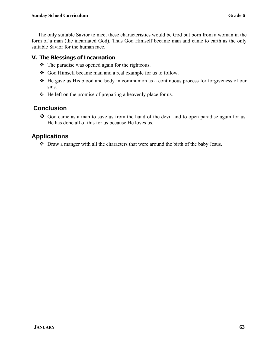The only suitable Savior to meet these characteristics would be God but born from a woman in the form of a man (the incarnated God). Thus God Himself became man and came to earth as the only suitable Savior for the human race.

#### **V. The Blessings of Incarnation**

- $\triangleleft$  The paradise was opened again for the righteous.
- God Himself became man and a real example for us to follow.
- He gave us His blood and body in communion as a continuous process for forgiveness of our sins.
- $\triangle$  He left on the promise of preparing a heavenly place for us.

## **Conclusion**

 God came as a man to save us from the hand of the devil and to open paradise again for us. He has done all of this for us because He loves us.

## **Applications**

Draw a manger with all the characters that were around the birth of the baby Jesus.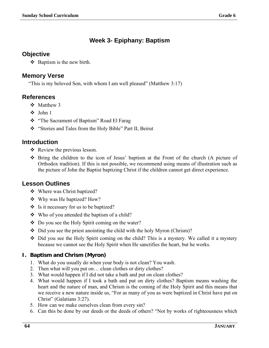## **Week 3- Epiphany: Baptism**

### **Objective**

 $\triangleleft$  Baptism is the new birth.

## **Memory Verse**

"This is my beloved Son, with whom I am well pleased" (Matthew 3:17)

## **References**

- ❖ Matthew 3
- John 1
- \* "The Sacrament of Baptism" Road El Farag
- "Stories and Tales from the Holy Bible" Part II, Beirut

## **Introduction**

- Review the previous lesson.
- Bring the children to the icon of Jesus' baptism at the Front of the church (A picture of Orthodox tradition). If this is not possible, we recommend using means of illustration such as the picture of John the Baptist baptizing Christ if the children cannot get direct experience.

## **Lesson Outlines**

- Where was Christ baptized?
- Why was He baptized? How?
- $\cdot \cdot$  Is it necessary for us to be baptized?
- Who of you attended the baptism of a child?
- Do you see the Holy Spirit coming on the water?
- $\bullet$  Did you see the priest anointing the child with the holy Myron (Chrism)?
- Did you see the Holy Spirit coming on the child? This is a mystery. We called it a mystery because we cannot see the Holy Spirit when He sanctifies the heart, but he works.

#### **I. Baptism and Chrism (Myron)**

- 1. What do you usually do when your body is not clean? You wash.
- 2. Then what will you put on… clean clothes or dirty clothes?
- 3. What would happen if I did not take a bath and put on clean clothes?
- 4. What would happen if I took a bath and put on dirty clothes? Baptism means washing the heart and the nature of man, and Chrism is the coming of the Holy Spirit and this means that we receive a new nature inside us, "For as many of you as were baptized in Christ have put on Christ" (Galatians 3:27).
- 5. How can we make ourselves clean from every sin?
- 6. Can this be done by our deeds or the deeds of others? "Not by works of righteousness which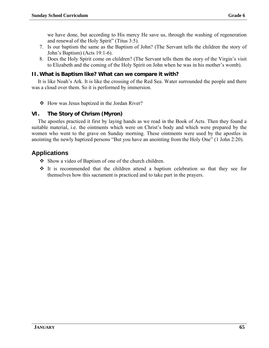- 7. Is our baptism the same as the Baptism of John? (The Servant tells the children the story of John's Baptism) (Acts 19:1-6).
- 8. Does the Holy Spirit come on children? (The Servant tells them the story of the Virgin's visit to Elizabeth and the coming of the Holy Spirit on John when he was in his mother's womb).

#### **II. What is Baptism like? What can we compare it with?**

It is like Noah's Ark. It is like the crossing of the Red Sea. Water surrounded the people and there was a cloud over them. So it is performed by immersion.

❖ How was Jesus baptized in the Jordan River?

#### **VI. The Story of Chrism (Myron)**

The apostles practiced it first by laying hands as we read in the Book of Acts. Then they found a suitable material, i.e. the ointments which were on Christ's body and which were prepared by the women who went to the grave on Sunday morning. These ointments were used by the apostles in anointing the newly baptized persons "But you have an anointing from the Holy One" (1 John 2:20).

- $\bullet$  Show a video of Baptism of one of the church children.
- It is recommended that the children attend a baptism celebration so that they see for themselves how this sacrament is practiced and to take part in the prayers.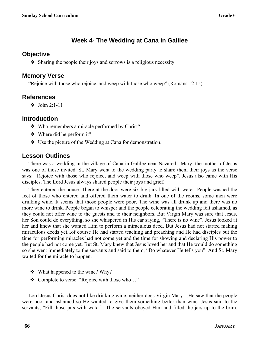## **Week 4- The Wedding at Cana in Galilee**

#### **Objective**

 $\triangleleft$  Sharing the people their joys and sorrows is a religious necessity.

#### **Memory Verse**

"Rejoice with those who rejoice, and weep with those who weep" (Romans 12:15)

#### **References**

John 2:1-11

#### **Introduction**

- Who remembers a miracle performed by Christ?
- $\triangleleft$  Where did he perform it?
- Use the picture of the Wedding at Cana for demonstration.

#### **Lesson Outlines**

There was a wedding in the village of Cana in Galilee near Nazareth. Mary, the mother of Jesus was one of those invited. St. Mary went to the wedding party to share them their joys as the verse says: "Rejoice with those who rejoice, and weep with those who weep". Jesus also came with His disciples. The Lord Jesus always shared people their joys and grief.

They entered the house. There at the door were six big jars filled with water. People washed the feet of those who entered and offered them water to drink. In one of the rooms, some men were drinking wine. It seems that those people were poor. The wine was all drunk up and there was no more wine to drink. People began to whisper and the people celebrating the wedding felt ashamed, as they could not offer wine to the guests and to their neighbors. But Virgin Mary was sure that Jesus, her Son could do everything, so she whispered in His ear saying, "There is no wine". Jesus looked at her and knew that she wanted Him to perform a miraculous deed. But Jesus had not started making miraculous deeds yet...of course He had started teaching and preaching and He had disciples but the time for performing miracles had not come yet and the time for showing and declaring His power to the people had not come yet. But St. Mary knew that Jesus loved her and that He would do something so she went immediately to the servants and said to them, "Do whatever He tells you". And St. Mary waited for the miracle to happen.

- $\triangleleft$  What happened to the wine? Why?
- Complete to verse: "Rejoice with those who…"

Lord Jesus Christ does not like drinking wine, neither does Virgin Mary ...He saw that the people were poor and ashamed so He wanted to give them something better than wine. Jesus said to the servants, "Fill those jars with water". The servants obeyed Him and filled the jars up to the brim.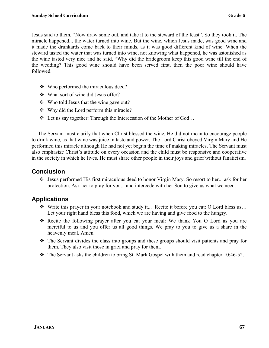Jesus said to them, "Now draw some out, and take it to the steward of the feast". So they took it. The miracle happened... the water turned into wine. But the wine, which Jesus made, was good wine and it made the drunkards come back to their minds, as it was good different kind of wine. When the steward tasted the water that was turned into wine, not knowing what happened, he was astonished as the wine tasted very nice and he said, "Why did the bridegroom keep this good wine till the end of the wedding? This good wine should have been served first, then the poor wine should have followed.

- Who performed the miraculous deed?
- What sort of wine did Jesus offer?
- Who told Jesus that the wine gave out?
- Why did the Lord perform this miracle?
- Let us say together: Through the Intercession of the Mother of God…

The Servant must clarify that when Christ blessed the wine, He did not mean to encourage people to drink wine, as that wine was juice in taste and power. The Lord Christ obeyed Virgin Mary and He performed this miracle although He had not yet begun the time of making miracles. The Servant must also emphasize Christ's attitude on every occasion and the child must be responsive and cooperative in the society in which he lives. He must share other people in their joys and grief without fanaticism.

#### **Conclusion**

 Jesus performed His first miraculous deed to honor Virgin Mary. So resort to her... ask for her protection. Ask her to pray for you... and intercede with her Son to give us what we need.

- Write this prayer in your notebook and study it... Recite it before you eat: O Lord bless us... Let your right hand bless this food, which we are having and give food to the hungry.
- Recite the following prayer after you eat your meal: We thank You O Lord as you are merciful to us and you offer us all good things. We pray to you to give us a share in the heavenly meal. Amen.
- The Servant divides the class into groups and these groups should visit patients and pray for them. They also visit those in grief and pray for them.
- The Servant asks the children to bring St. Mark Gospel with them and read chapter 10:46-52.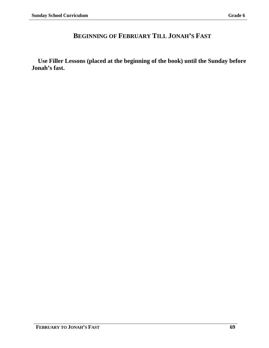## **BEGINNING OF FEBRUARY TILL JONAH'S FAST**

**Use Filler Lessons (placed at the beginning of the book) until the Sunday before Jonah's fast.**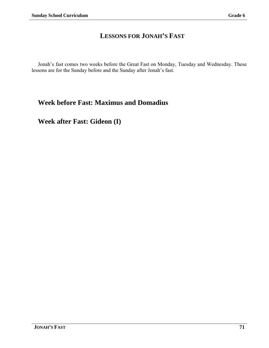# **LESSONS FOR JONAH'S FAST**

Jonah's fast comes two weeks before the Great Fast on Monday, Tuesday and Wednesday. These lessons are for the Sunday before and the Sunday after Jonah's fast.

## **Week before Fast: Maximus and Domadius**

**Week after Fast: Gideon (I)**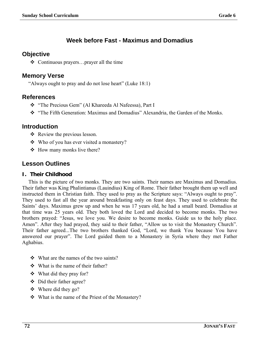## **Week before Fast - Maximus and Domadius**

### **Objective**

Continuous prayers…prayer all the time

## **Memory Verse**

"Always ought to pray and do not lose heart" (Luke 18:1)

## **References**

- "The Precious Gem" (Al Khareeda Al Nafeessa), Part I
- \* "The Fifth Generation: Maximus and Domadius" Alexandria, the Garden of the Monks.

## **Introduction**

- $\triangleleft$  Review the previous lesson.
- Who of you has ever visited a monastery?
- $\triangleleft$  How many monks live there?

## **Lesson Outlines**

#### **I. Their Childhood**

This is the picture of two monks. They are two saints. Their names are Maximus and Domadius. Their father was King Phalintianus (Lauindius) King of Rome. Their father brought them up well and instructed them in Christian faith. They used to pray as the Scripture says: "Always ought to pray". They used to fast all the year around breakfasting only on feast days. They used to celebrate the Saints' days. Maximus grew up and when he was 17 years old, he had a small beard. Domadius at that time was 25 years old. They both loved the Lord and decided to become monks. The two brothers prayed: "Jesus, we love you. We desire to become monks. Guide us to the holy place. Amen". After they had prayed, they said to their father, "Allow us to visit the Monastery Church". Their father agreed...The two brothers thanked God, "Lord, we thank You because You have answered our prayer". The Lord guided them to a Monastery in Syria where they met Father Aghabius.

- $\div$  What are the names of the two saints?
- What is the name of their father?
- What did they pray for?
- Did their father agree?
- $\bullet$  Where did they go?
- What is the name of the Priest of the Monastery?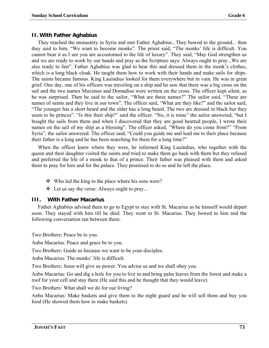#### **II. With Father Aghabius**

They reached the monastery in Syria and met Father Aghabius...They bowed to the ground... then they said to him, "We want to become monks". The priest said, "The monks' life is difficult. You cannot bear it as I see you are accustomed to the life of luxury". They said, "May God strengthen us and we are ready to work by our hands and pray as the Scripture says: Always ought to pray...We are also ready to fast". Father Aghabius was glad to hear this and dressed them in the monk's clothes, which is a long black cloak. He taught them how to work with their hands and make sails for ships. The saints became famous. King Lauindius looked for them everywhere but in vain. He was in great grief. One day, one of his officers was traveling on a ship and he saw that there was a big cross on the sail and the two names Maximus and Domadius were written on the cross. The officer kept silent, as he was surprised. Then he said to the sailor, "What are these names?" The sailor said, "These are names of saints and they live in our town". The officer said, "What are they like?" and the sailor said, "The younger has a short beard and the elder has a long beard. The two are dressed in black but they seem to be princes". "Is this their ship?" said the officer. "No, it is mine" the sailor answered, "but I bought the sails from them and when I discovered that they are good hearted people, I wrote their names on the sail of my ship as a blessing". The officer asked, "Where do you come from?" "From Syria", the sailor answered. The officer said, "Could you guide me and lead me to their place because their father is a king and he has been searching for them for a long time?"

When the officer knew where they were, he informed King Lauindius, who together with the queen and their daughter visited the saints and tried to make them go back with them but they refused and preferred the life of a monk to that of a prince. Their father was pleased with them and asked them to pray for him and for the palace. They promised to do so and he left the place.

- Who led the king to the place where his sons were?
- $\triangleleft$  Let us say the verse: Always ought to pray...

#### **III. With Father Macarius**

Father Aghabius advised them to go to Egypt to stay with St. Macarius as he himself would depart soon. They stayed with him till he died. They went to St. Macarius. They bowed to him and the following conversation ran between them:

Two Brothers: Peace be to you.

Anba Macarius: Peace and grace be to you.

Two Brothers: Guide us because we want to be your disciples.

Anba Macarius: The monks' life is difficult.

Two Brothers: Jesus will give us power. You advise us and we shall obey you.

Anba Macarius: Go and dig a hole for you to live in and bring palm leaves from the forest and make a roof for your cell and stay there (He said this and he thought that they would leave).

Two Brothers: What shall we do for our living?

Anba Macarius: Make baskets and give them to the night guard and he will sell them and buy you food (He showed them how to make baskets).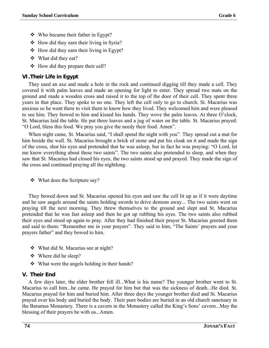- **❖** Who became their father in Egypt?
- $\triangleleft$  How did they earn their living in Syria?
- $\triangleleft$  How did they earn their living in Egypt?
- What did they eat?
- $\div$  How did they prepare their cell?

#### **VI. Their Life in Egypt**

They used an axe and made a hole in the rock and continued digging till they made a cell. They covered it with palm leaves and made an opening for light to enter. They spread two mats on the ground and made a wooden cross and raised it to the top of the door of their cell. They spent three years in that place. They spoke to no one. They left the cell only to go to church. St. Macarius was anxious so he went there to visit them to know how they lived. They welcomed him and were pleased to see him. They bowed to him and kissed his hands. They wove the palm leaves. At three O'clock, St. Macarius laid the table. He put three loaves and a jug of water on the table. St. Macarius prayed: "O Lord, bless this food. We pray you give the needy their food. Amen".

When night came, St. Macarius said, "I shall spend the night with you". They spread out a mat for him beside the wall. St. Macarius brought a brick of stone and put his cloak on it and made the sign of the cross, shut his eyes and pretended that he was asleep, but in fact he was praying: "O Lord, let me know everything about these two saints". The two saints also pretended to sleep, and when they saw that St. Macarius had closed his eyes, the two saints stood up and prayed. They made the sign of the cross and continued praying all the nightlong.

What does the Scripture say?

They bowed down and St. Macarius opened his eyes and saw the cell lit up as if it were daytime and he saw angels around the saints holding swords to drive demons away... The two saints went on praying till the next morning. They threw themselves to the ground and slept and St. Macarius pretended that he was fast asleep and then he got up rubbing his eyes. The two saints also rubbed their eyes and stood up again to pray. After they had finished their prayer St. Macarius greeted them and said to them: "Remember me in your prayers". They said to him, "The Saints' prayers and your prayers father" and they bowed to him.

- **❖** What did St. Macarius see at night?
- Where did he sleep?
- $\triangleleft$  What were the angels holding in their hands?

#### **V. Their End**

A few days later, the elder brother fell ill...What is his name? The younger brother went to St. Macarius to call him...he came. He prayed for him but that was the sickness of death...He died. St. Macarius prayed for him and buried him. After three days the younger brother died and St. Macarius prayed over his body and buried the body. Their pure bodies are buried in an old church sanctuary in the Baramus Monastery. There is a cavern in the Monastery called the King's Sons' cavern...May the blessing of their prayers be with us...Amen.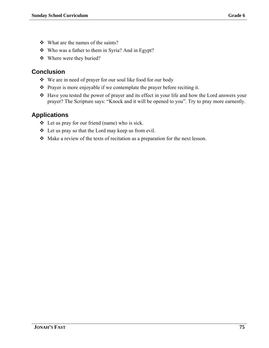- What are the names of the saints?
- Who was a father to them in Syria? And in Egypt?
- Where were they buried?

#### **Conclusion**

- We are in need of prayer for our soul like food for our body
- Prayer is more enjoyable if we contemplate the prayer before reciting it.
- Have you tested the power of prayer and its effect in your life and how the Lord answers your prayer? The Scripture says: "Knock and it will be opened to you". Try to pray more earnestly.

- Let us pray for our friend (name) who is sick.
- Let us pray so that the Lord may keep us from evil.
- Make a review of the texts of recitation as a preparation for the next lesson.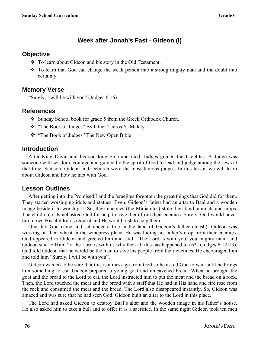## **Week after Jonah's Fast - Gideon (I)**

#### **Objective**

- ◆ To learn about Gideon and his story in the Old Testament.
- To learn that God can change the weak person into a strong mighty man and the doubt into certainty.

#### **Memory Verse**

"Surely, I will be with you" (Judges 6:16)

#### **References**

- Sunday School book for grade 5 from the Greek Orthodox Church.
- \* "The Book of Judges" By father Tadros Y. Malaty
- "The Book of Judges" The New Open Bible

## **Introduction**

After King David and his son king Solomon died, Judges guided the Israelites. A Judge was someone with wisdom, courage and guided by the spirit of God to lead and judge among the Jews at that time. Samson, Gideon and Deborah were the most famous judges. In this lesson we will learn about Gideon and how he met with God.

## **Lesson Outlines**

After getting into the Promised Land the Israelites forgotten the great things that God did for them. They started worshiping idols and statues. Even, Gideon's father had an altar to Baal and a wooden image beside it to worship it. So, their enemies (the Midianites) stole their land, animals and crops. The children of Israel asked God for help to save them from their enemies. Surely, God would never turn down His children's request and He would rush to help them.

One day God came and sat under a tree in the land of Gideon's father (Joash). Gideon was working on their wheat in the winepress place. He was hiding his father's crop from their enemies. God appeared to Gideon and greeted him and said: "The Lord is with you, you mighty man" and Gideon said to Him: "if the Lord is with us why then all this has happened to us?" (Judges 6:12-13). God told Gideon that he would be the man to save his people from their enemies. He encouraged him and told him "Surely, I will be with you".

Gideon wanted to be sure that this is a message from God so he asked God to wait until he brings him something to eat. Gideon prepared a young goat and unleavened bread. When he brought the goat and the bread to the Lord to eat, the Lord instructed him to put the meat and the bread on a rock. Then, the Lord touched the meat and the bread with a staff that He had in His hand and fire rose from the rock and consumed the meat and the bread. The Lord also disappeared instantly. So, Gideon was amazed and was sure that he had seen God. Gideon built an altar to the Lord in this place.

The Lord had asked Gideon to destroy Baal's altar and the wooden image in his father's house. He also asked him to take a bull and to offer it as a sacrifice. In the same night Gideon took ten men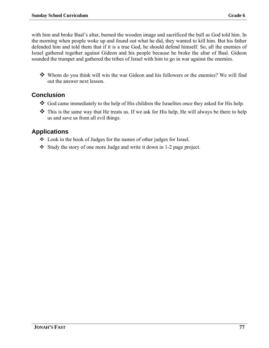with him and broke Baal's altar, burned the wooden image and sacrificed the bull as God told him. In the morning when people woke up and found out what he did, they wanted to kill him. But his father defended him and told them that if it is a true God, he should defend himself. So, all the enemies of Israel gathered together against Gideon and his people because he broke the altar of Baal. Gideon sounded the trumpet and gathered the tribes of Israel with him to go in war against the enemies.

 Whom do you think will win the war Gideon and his followers or the enemies? We will find out the answer next lesson.

#### **Conclusion**

- God came immediately to the help of His children the Israelites once they asked for His help.
- This is the same way that He treats us. If we ask for His help, He will always be there to help us and save us from all evil things.

- Look in the book of Judges for the names of other judges for Israel.
- Study the story of one more Judge and write it down in 1-2 page project.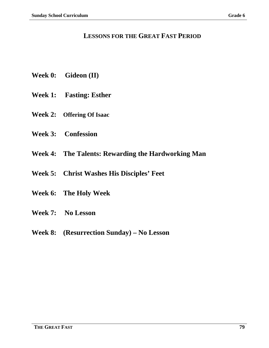## **LESSONS FOR THE GREAT FAST PERIOD**

- **Week 0: Gideon (II)**
- **Week 1: Fasting: Esther**
- **Week 2: Offering Of Isaac**
- **Week 3: Confession**
- **Week 4: The Talents: Rewarding the Hardworking Man**
- **Week 5: Christ Washes His Disciples' Feet**
- **Week 6: The Holy Week**
- **Week 7: No Lesson**
- **Week 8: (Resurrection Sunday) No Lesson**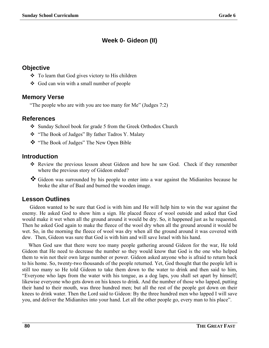## **Week 0- Gideon (II)**

#### **Objective**

- To learn that God gives victory to His children
- $\triangleleft$  God can win with a small number of people

#### **Memory Verse**

"The people who are with you are too many for Me" (Judges 7:2)

#### **References**

- ❖ Sunday School book for grade 5 from the Greek Orthodox Church
- \* "The Book of Judges" By father Tadros Y. Malaty
- \* "The Book of Judges" The New Open Bible

## **Introduction**

- Review the previous lesson about Gideon and how he saw God. Check if they remember where the previous story of Gideon ended?
- Gideon was surrounded by his people to enter into a war against the Midianites because he broke the altar of Baal and burned the wooden image.

## **Lesson Outlines**

Gideon wanted to be sure that God is with him and He will help him to win the war against the enemy. He asked God to show him a sign. He placed fleece of wool outside and asked that God would make it wet when all the ground around it would be dry. So, it happened just as he requested. Then he asked God again to make the fleece of the wool dry when all the ground around it would be wet. So, in the morning the fleece of wool was dry when all the ground around it was covered with dew. Then, Gideon was sure that God is with him and will save Israel with his hand.

When God saw that there were too many people gathering around Gideon for the war, He told Gideon that He need to decrease the number so they would know that God is the one who helped them to win not their own large number or power. Gideon asked anyone who is afraid to return back to his home. So, twenty-two thousands of the people returned. Yet, God thought that the people left is still too many so He told Gideon to take them down to the water to drink and then said to him, "Everyone who laps from the water with his tongue, as a dog laps, you shall set apart by himself; likewise everyone who gets down on his knees to drink. And the number of those who lapped, putting their hand to their mouth, was three hundred men; but all the rest of the people got down on their knees to drink water. Then the Lord said to Gideon: By the three hundred men who lapped I will save you, and deliver the Midianites into your hand. Let all the other people go, every man to his place".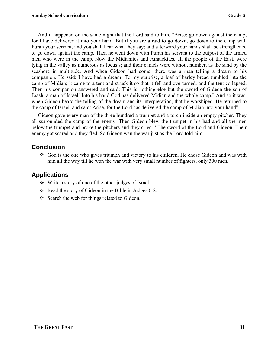And it happened on the same night that the Lord said to him, "Arise; go down against the camp, for I have delivered it into your hand. But if you are afraid to go down, go down to the camp with Purah your servant, and you shall hear what they say; and afterward your hands shall be strengthened to go down against the camp. Then he went down with Purah his servant to the outpost of the armed men who were in the camp. Now the Midianites and Amalekites, all the people of the East, were lying in the valley as numerous as locusts; and their camels were without number, as the sand by the seashore in multitude. And when Gideon had come, there was a man telling a dream to his companion. He said: I have had a dream: To my surprise, a loaf of barley bread tumbled into the camp of Midian; it came to a tent and struck it so that it fell and overturned, and the tent collapsed. Then his companion answered and said: This is nothing else but the sword of Gideon the son of Joash, a man of Israel! Into his hand God has delivered Midian and the whole camp." And so it was, when Gideon heard the telling of the dream and its interpretation, that he worshiped. He returned to the camp of Israel, and said: Arise, for the Lord has delivered the camp of Midian into your hand".

Gideon gave every man of the three hundred a trumpet and a torch inside an empty pitcher. They all surrounded the camp of the enemy. Then Gideon blew the trumpet in his had and all the men below the trumpet and broke the pitchers and they cried " The sword of the Lord and Gideon. Their enemy got scared and they fled. So Gideon wan the war just as the Lord told him.

## **Conclusion**

 God is the one who gives triumph and victory to his children. He chose Gideon and was with him all the way till he won the war with very small number of fighters, only 300 men.

- Write a story of one of the other judges of Israel.
- $\cdot$  Read the story of Gideon in the Bible in Judges 6-8.
- ❖ Search the web for things related to Gideon.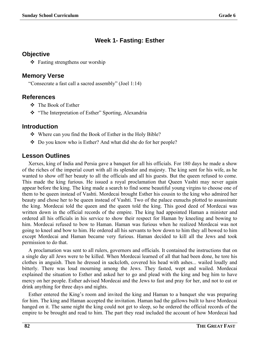## **Week 1- Fasting: Esther**

#### **Objective**

❖ Fasting strengthens our worship

#### **Memory Verse**

"Consecrate a fast call a sacred assembly" (Joel 1:14)

#### **References**

- The Book of Esther
- \* "The Interpretation of Esther" Sporting, Alexandria

## **Introduction**

- Where can you find the Book of Esther in the Holy Bible?
- Do you know who is Esther? And what did she do for her people?

## **Lesson Outlines**

Xerxes, king of India and Persia gave a banquet for all his officials. For 180 days he made a show of the riches of the imperial court with all its splendor and majesty. The king sent for his wife, as he wanted to show off her beauty to all the officials and all his guests. But the queen refused to come. This made the king furious. He issued a royal proclamation that Queen Vashti may never again appear before the king. The king made a search to find some beautiful young virgins to choose one of them to be queen instead of Vashti. Mordecai brought Esther his cousin to the king who admired her beauty and chose her to be queen instead of Vashti. Two of the palace eunuchs plotted to assassinate the king. Mordecai told the queen and the queen told the king. This good deed of Mordecai was written down in the official records of the empire. The king had appointed Haman a minister and ordered all his officials in his service to show their respect for Haman by kneeling and bowing to him. Mordecai refused to bow to Haman. Haman was furious when he realized Mordecai was not going to kneel and bow to him. He ordered all his servants to bow down to him they all bowed to him except Mordecai and Haman became very furious. Haman decided to kill all the Jews and took permission to do that.

A proclamation was sent to all rulers, governors and officials. It contained the instructions that on a single day all Jews were to be killed. When Mordecai learned of all that had been done, he tore his clothes in anguish. Then he dressed in sackcloth, covered his head with ashes... wailed loudly and bitterly. There was loud mourning among the Jews. They fasted, wept and wailed. Mordecai explained the situation to Esther and asked her to go and plead with the king and beg him to have mercy on her people. Esther advised Mordecai and the Jews to fast and pray for her, and not to eat or drink anything for three days and nights.

Esther entered the King's room and invited the king and Haman to a banquet she was preparing for him. The king and Haman accepted the invitation. Haman had the gallows built to have Mordecai hanged on it. The same night the king could not get to sleep, so he ordered the official records of the empire to be brought and read to him. The part they read included the account of how Mordecai had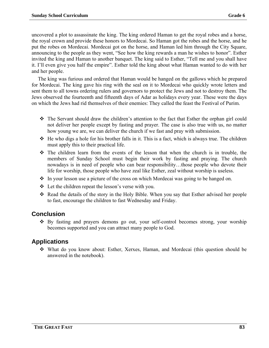uncovered a plot to assassinate the king. The king ordered Haman to get the royal robes and a horse, the royal crown and provide these honors to Mordecai. So Haman got the robes and the horse, and he put the robes on Mordecai. Mordecai got on the horse, and Haman led him through the City Square, announcing to the people as they went, "See how the king rewards a man he wishes to honor". Esther invited the king and Haman to another banquet. The king said to Esther, "Tell me and you shall have it. I'll even give you half the empire". Esther told the king about what Haman wanted to do with her and her people.

The king was furious and ordered that Haman would be hanged on the gallows which he prepared for Mordecai. The king gave his ring with the seal on it to Mordecai who quickly wrote letters and sent them to all towns ordering rulers and governors to protect the Jews and not to destroy them. The Jews observed the fourteenth and fifteenth days of Adar as holidays every year. These were the days on which the Jews had rid themselves of their enemies: They called the feast the Festival of Purim.

- The Servant should draw the children's attention to the fact that Esther the orphan girl could not deliver her people except by fasting and prayer. The case is also true with us, no matter how young we are, we can deliver the church if we fast and pray with submission.
- $\cdot \cdot$  He who digs a hole for his brother falls in it. This is a fact, which is always true. The children must apply this to their practical life.
- $\hat{\mathbf{v}}$  The children learn from the events of the lesson that when the church is in trouble, the members of Sunday School must begin their work by fasting and praying. The church nowadays is in need of people who can bear responsibility…those people who devote their life for worship, those people who have zeal like Esther, zeal without worship is useless.
- $\cdot \cdot$  In your lesson use a picture of the cross on which Mordecai was going to be hanged on.
- Let the children repeat the lesson's verse with you.
- $\div$  Read the details of the story in the Holy Bible. When you say that Esther advised her people to fast, encourage the children to fast Wednesday and Friday.

#### **Conclusion**

 By fasting and prayers demons go out, your self-control becomes strong, your worship becomes supported and you can attract many people to God.

#### **Applications**

 What do you know about: Esther, Xerxes, Haman, and Mordecai (this question should be answered in the notebook).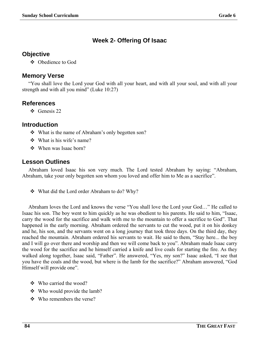## **Week 2- Offering Of Isaac**

### **Objective**

Obedience to God

## **Memory Verse**

"You shall love the Lord your God with all your heart, and with all your soul, and with all your strength and with all you mind" (Luke 10:27)

## **References**

❖ Genesis 22

## **Introduction**

- What is the name of Abraham's only begotten son?
- $\div$  What is his wife's name?
- When was Isaac born?

## **Lesson Outlines**

Abraham loved Isaac his son very much. The Lord tested Abraham by saying: "Abraham, Abraham, take your only begotten son whom you loved and offer him to Me as a sacrifice".

What did the Lord order Abraham to do? Why?

Abraham loves the Lord and knows the verse "You shall love the Lord your God…" He called to Isaac his son. The boy went to him quickly as he was obedient to his parents. He said to him, "Isaac, carry the wood for the sacrifice and walk with me to the mountain to offer a sacrifice to God". That happened in the early morning. Abraham ordered the servants to cut the wood, put it on his donkey and he, his son, and the servants went on a long journey that took three days. On the third day, they reached the mountain. Abraham ordered his servants to wait. He said to them, "Stay here... the boy and I will go over there and worship and then we will come back to you". Abraham made Isaac carry the wood for the sacrifice and he himself carried a knife and live coals for starting the fire. As they walked along together, Isaac said, "Father". He answered, "Yes, my son?" Isaac asked, "I see that you have the coals and the wood, but where is the Iamb for the sacrifice?" Abraham answered, "God Himself will provide one".

- Who carried the wood?
- $\triangleleft$  Who would provide the lamb?
- Who remembers the verse?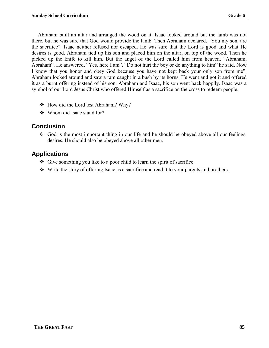Abraham built an altar and arranged the wood on it. Isaac looked around but the lamb was not there, but he was sure that God would provide the lamb. Then Abraham declared, "You my son, are the sacrifice". Isaac neither refused nor escaped. He was sure that the Lord is good and what He desires is good. Abraham tied up his son and placed him on the altar, on top of the wood. Then he picked up the knife to kill him. But the angel of the Lord called him from heaven, "Abraham, Abraham". He answered, "Yes, here I am". "Do not hurt the boy or do anything to him" he said. Now I know that you honor and obey God because you have not kept back your only son from me". Abraham looked around and saw a ram caught in a bush by its horns. He went and got it and offered it as a burnt offering instead of his son. Abraham and Isaac, his son went back happily. Isaac was a symbol of our Lord Jesus Christ who offered Himself as a sacrifice on the cross to redeem people.

- $\triangleleft$  How did the Lord test Abraham? Why?
- Whom did Isaac stand for?

#### **Conclusion**

• God is the most important thing in our life and he should be obeyed above all our feelings, desires. He should also be obeyed above all other men.

- $\bullet$  Give something you like to a poor child to learn the spirit of sacrifice.
- Write the story of offering Isaac as a sacrifice and read it to your parents and brothers.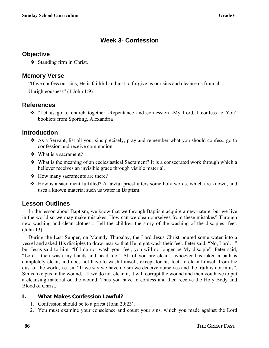## **Week 3- Confession**

#### **Objective**

 $\triangleleft$  Standing firm in Christ.

## **Memory Verse**

"If we confess our sins, He is faithful and just to forgive us our sins and cleanse us from all Unrighteousness" (1 John 1:9)

## **References**

\* "Let us go to church together -Repentance and confession -My Lord, I confess to You" booklets from Sporting, Alexandria

## **Introduction**

- As a Servant, list all your sins precisely, pray and remember what you should confess, go to confession and receive communion.
- What is a sacrament?
- What is the meaning of an ecclesiastical Sacrament? It is a consecrated work through which a believer receives an invisible grace through visible material.
- How many sacraments are there?
- How is a sacrament fulfilled? A lawful priest utters some holy words, which are known, and uses a known material such us water in Baptism.

# **Lesson Outlines**

In the lesson about Baptism, we know that we through Baptism acquire a new nature, but we live in the world so we may make mistakes. How can we clean ourselves from these mistakes? Through new washing and clean clothes... Tell the children the story of the washing of the disciples' feet. (John 13).

During the Last Supper, on Maundy Thursday, the Lord Jesus Christ poured some water into a vessel and asked His disciples to draw near so that He might wash their feet. Peter said, "No, Lord…" but Jesus said to him, "If I do not wash your feet, you will no longer be My disciple". Peter said, "Lord... then wash my hands and head too". All of you are clean... whoever has taken a bath is completely clean, and does not have to wash himself, except for his feet, to clean himself from the dust of the world, i.e. sin "If we say we have no sin we deceive ourselves and the truth is not in us". Sin is like pus in the wound... If we do not clean it, it will corrupt the wound and then you have to put a cleansing material on the wound. Thus you have to confess and then receive the Holy Body and Blood of Christ.

#### **I. What Makes Confession Lawful?**

- 1. Confession should be to a priest (John 20:23).
- 2. You must examine your conscience and count your sins, which you made against the Lord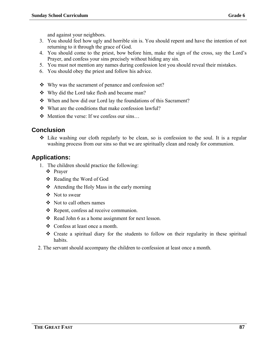and against your neighbors.

- 3. You should feel how ugly and horrible sin is. You should repent and have the intention of not returning to it through the grace of God.
- 4. You should come to the priest, bow before him, make the sign of the cross, say the Lord's Prayer, and confess your sins precisely without hiding any sin.
- 5. You must not mention any names during confession lest you should reveal their mistakes.
- 6. You should obey the priest and follow his advice.
- Why was the sacrament of penance and confession set?
- Why did the Lord take flesh and became man?
- When and how did our Lord lay the foundations of this Sacrament?
- $\div$  What are the conditions that make confession lawful?
- $\div$  Mention the verse: If we confess our sins

#### **Conclusion**

 Like washing our cloth regularly to be clean, so is confession to the soul. It is a regular washing process from our sins so that we are spiritually clean and ready for communion.

- 1. The children should practice the following:
	- Prayer
	- Reading the Word of God
	- Attending the Holy Mass in the early morning
	- ❖ Not to swear
	- $\div$  Not to call others names
	- Repent, confess ad receive communion.
	- Read John 6 as a home assignment for next lesson.
	- Confess at least once a month.
	- Create a spiritual diary for the students to follow on their regularity in these spiritual habits.
- 2. The servant should accompany the children to confession at least once a month.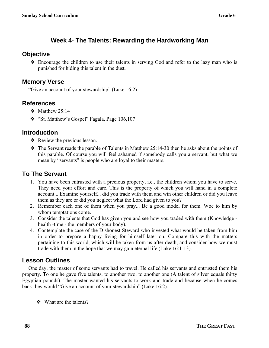## **Week 4- The Talents: Rewarding the Hardworking Man**

#### **Objective**

 Encourage the children to use their talents in serving God and refer to the lazy man who is punished for hiding this talent in the dust.

### **Memory Verse**

"Give an account of your stewardship" (Luke 16:2)

## **References**

- $\div$  Matthew 25:14
- \* "St. Matthew's Gospel" Fagala, Page 106,107

#### **Introduction**

- Review the previous lesson.
- $\cdot \cdot$  The Servant reads the parable of Talents in Matthew 25:14-30 then he asks about the points of this parable. Of course you will feel ashamed if somebody calls you a servant, but what we mean by "servants" is people who are loyal to their masters.

## **To The Servant**

- 1. You have been entrusted with a precious property, i.e., the children whom you have to serve. They need your effort and care. This is the property of which you will hand in a complete account... Examine yourself... did you trade with them and win other children or did you leave them as they are or did you neglect what the Lord had given to you?
- 2. Remember each one of them when you pray... Be a good model for them. Woe to him by whom temptations come.
- 3. Consider the talents that God has given you and see how you traded with them (Knowledge health -time - the members of your body).
- 4. Contemplate the case of the Dishonest Steward who invested what would be taken from him in order to prepare a happy living for himself later on. Compare this with the matters pertaining to this world, which will be taken from us after death, and consider how we must trade with them in the hope that we may gain eternal life (Luke 16:1-13).

## **Lesson Outlines**

One day, the master of some servants had to travel. He called his servants and entrusted them his property. To one he gave five talents, to another two, to another one (A talent of silver equals thirty Egyptian pounds). The master wanted his servants to work and trade and because when he comes back they would "Give an account of your stewardship" (Luke 16:2).

What are the talents?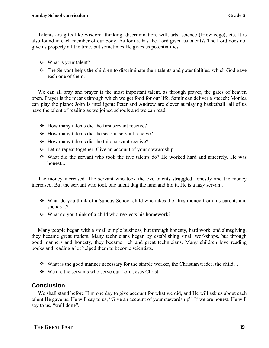Talents are gifts like wisdom, thinking, discrimination, will, arts, science (knowledge), etc. It is also found in each member of our body. As for us, has the Lord given us talents? The Lord does not give us property all the time, but sometimes He gives us potentialities.

- What is your talent?
- $\div$  The Servant helps the children to discriminate their talents and potentialities, which God gave each one of them.

We can all pray and prayer is the most important talent, as through prayer, the gates of heaven open. Prayer is the means through which we get food for our life. Samir can deliver a speech; Monica can play the piano; John is intelligent; Peter and Andrew are clever at playing basketball; all of us have the talent of reading as we joined schools and we can read.

- How many talents did the first servant receive?
- ❖ How many talents did the second servant receive?
- ❖ How many talents did the third servant receive?
- Let us repeat together: Give an account of your stewardship.
- What did the servant who took the five talents do? He worked hard and sincerely. He was honest...

The money increased. The servant who took the two talents struggled honestly and the money increased. But the servant who took one talent dug the land and hid it. He is a lazy servant.

- What do you think of a Sunday School child who takes the alms money from his parents and spends it?
- $\triangleleft$  What do you think of a child who neglects his homework?

Many people began with a small simple business, but through honesty, hard work, and almsgiving, they became great traders. Many technicians began by establishing small workshops, but through good manners and honesty, they became rich and great technicians. Many children love reading books and reading a lot helped them to become scientists.

- $\cdot$  What is the good manner necessary for the simple worker, the Christian trader, the child…
- We are the servants who serve our Lord Jesus Christ.

#### **Conclusion**

We shall stand before Him one day to give account for what we did, and He will ask us about each talent He gave us. He will say to us, "Give an account of your stewardship". If we are honest, He will say to us, "well done".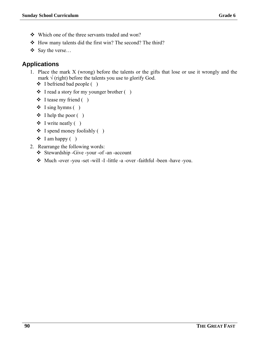- Which one of the three servants traded and won?
- \* How many talents did the first win? The second? The third?
- Say the verse…

- 1. Place the mark X (wrong) before the talents or the gifts that lose or use it wrongly and the mark  $\sqrt{(right)}$  before the talents you use to glorify God.
	- $\div$  I befriend bad people ()
	- $\cdot \cdot$  I read a story for my younger brother ()
	- $\div$  I tease my friend ()
	- $\div$  I sing hymns ()
	- $\div$  I help the poor ()
	- $\div$  I write neatly ()
	- $\div$  I spend money foolishly ()
	- $\div$  I am happy ()
- 2. Rearrange the following words:
	- Stewardship -Give -your -of -an -account
	- Much -over -you -set -will -I -little -a -over -faithful -been -have -you.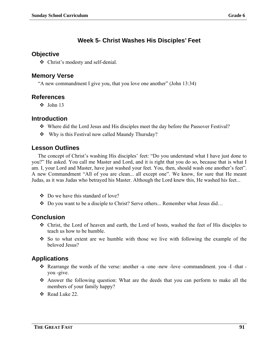## **Week 5- Christ Washes His Disciples' Feet**

#### **Objective**

Christ's modesty and self-denial.

#### **Memory Verse**

"A new commandment I give you, that you love one another" (John 13:34)

#### **References**

John 13

#### **Introduction**

- Where did the Lord Jesus and His disciples meet the day before the Passover Festival?
- ❖ Why is this Festival now called Maundy Thursday?

#### **Lesson Outlines**

The concept of Christ's washing His disciples' feet: "Do you understand what I have just done to you?" He asked. You call me Master and Lord, and it is right that you do so, because that is what I am. I, your Lord and Master, have just washed your feet. You, then, should wash one another's feet". A new Commandment "All of you are clean... all except one". We know, for sure that He meant Judas, as it was Judas who betrayed his Master. Although the Lord knew this, He washed his feet...

- Do we have this standard of love?
- Do you want to be a disciple to Christ? Serve others... Remember what Jesus did…

## **Conclusion**

- Christ, the Lord of heaven and earth, the Lord of hosts, washed the feet of His disciples to teach us how to be humble.
- So to what extent are we humble with those we live with following the example of the beloved Jesus?

- $\clubsuit$  Rearrange the words of the verse: another -a -one -new -love -commandment. you -I -that you -give.
- Answer the following question: What are the deeds that you can perform to make all the members of your family happy?
- Read Luke 22.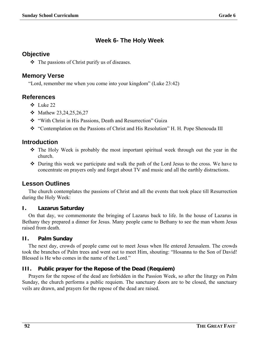## **Week 6- The Holy Week**

## **Objective**

 $\triangleleft$  The passions of Christ purify us of diseases.

## **Memory Verse**

"Lord, remember me when you come into your kingdom" (Luke 23:42)

## **References**

- Luke 22
- Mathew 23,24,25,26,27
- "With Christ in His Passions, Death and Resurrection" Guiza
- "Contemplation on the Passions of Christ and His Resolution" H. H. Pope Shenouda III

## **Introduction**

- The Holy Week is probably the most important spiritual week through out the year in the church.
- During this week we participate and walk the path of the Lord Jesus to the cross. We have to concentrate on prayers only and forget about TV and music and all the earthly distractions.

# **Lesson Outlines**

The church contemplates the passions of Christ and all the events that took place till Resurrection during the Holy Week:

#### **I. Lazarus Saturday**

On that day, we commemorate the bringing of Lazarus back to life. In the house of Lazarus in Bethany they prepared a dinner for Jesus. Many people came to Bethany to see the man whom Jesus raised from death.

#### **II. Palm Sunday**

The next day, crowds of people came out to meet Jesus when He entered Jerusalem. The crowds took the branches of Palm trees and went out to meet Him, shouting: "Hosanna to the Son of David! Blessed is He who comes in the name of the Lord."

## **III. Public prayer for the Repose of the Dead (Requiem)**

Prayers for the repose of the dead are forbidden in the Passion Week, so after the liturgy on Palm Sunday, the church performs a public requiem. The sanctuary doors are to be closed, the sanctuary veils are drawn, and prayers for the repose of the dead are raised.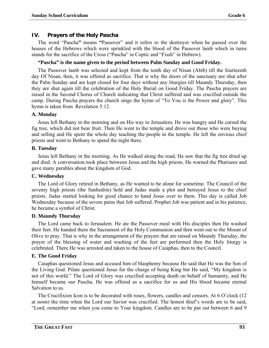#### **IV. Prayers of the Holy Pascha**

The word "Pascha**"** means **"**Passover" and it refers to the destroyer when he passed over the houses of the Hebrews which were sprinkled with the blood of the Passover lamb which in turns stands for the sacrifice of the Cross ("Pascha" in Coptic and "Fissh" in Hebrew).

#### **"Pascha" is the name given to the period between Palm Sunday and Good Friday.**

The Passover lamb was selected and kept from the tenth day of Nisan (Abib) till the fourteenth day Of Nisan, then, it was offered as sacrifice. That is why the doors of the sanctuary are shut after the Palm Sunday and are kept closed for four days without any liturgies till Maundy Thursday, then they are shut again till the celebration of the Holy Burial on Good Friday. The Pascha prayers are raised in the Second Chorus of Church indicating that Christ suffered and was crucified outside the camp. During Pascha prayers the church sings the hymn of "To You is the Power and glory". This hymn is taken from Revelation 5:12.

#### **A. Monday**

Jesus left Bethany in the morning and on His way to Jerusalem, He was hungry and He cursed the fig tree, which did not bear fruit. Then He went to the temple and drove out those who were buying and selling and He spent the whole day teaching the people in the temple. He left the envious chief priests and went to Bethany to spend the night there.

#### **B. Tuesday**

Jesus left Bethany in the morning. As He walked along the road, He saw that the fig tree dried up and died. A conversation took place between Jesus and the high priests. He warned the Pharisees and gave many parables about the kingdom of God.

#### **C. Wednesday**

The Lord of Glory retired in Bethany, as He wanted to be alone for sometime. The Council of the seventy high priests (the Sanhedrin) held and Judas made a plot and betrayed Jesus to the chief priests. Judas started looking for good chance to hand Jesus over to them. This day is called Job Wednesday because of the severe pains that Job suffered. Prophet Job was patient and in his patience, he became a symbol of Christ.

#### **D. Maundy Thursday**

The Lord came back to Jerusalem. He ate the Passover meal with His disciples then He washed their feet. He handed them the Sacrament of the Holy Communion and then went out to the Mount of Olive to pray. That is why in the arrangement of the prayers that are raised on Maundy Thursday, the prayer of the blessing of water and washing of the feet are performed then the Holy liturgy is celebrated. There He was arrested and taken to the house of Caiaphas, then to the Council.

#### **E. The Good Friday**

Caiaphas questioned Jesus and accused him of blasphemy because He said that He was the Son of the Living God. Pilate questioned Jesus for the charge of being King but He said, "My kingdom is not of this world." The Lord of Glory was crucified accepting death on behalf of humanity, and He himself became our Pascha. He was offered as a sacrifice for us and His blood became eternal Salvation to us.

The Crucifixion Icon is to be decorated with roses, flowers, candles and censors. At 6 O'clock (12 at noon) the time when the Lord our Savior was crucified. The honest thief's words are to be said, "Lord, remember me when you come to Your kingdom. Candles are to be put out between 6 and 9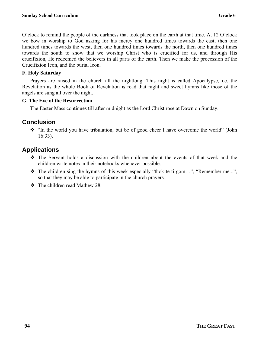O'clock to remind the people of the darkness that took place on the earth at that time. At 12 O'clock we bow in worship to God asking for his mercy one hundred times towards the east, then one hundred times towards the west, then one hundred times towards the north, then one hundred times towards the south to show that we worship Christ who is crucified for us, and through His crucifixion, He redeemed the believers in all parts of the earth. Then we make the procession of the Crucifixion Icon, and the burial Icon.

#### **F. Holy Saturday**

Prayers are raised in the church all the nightlong. This night is called Apocalypse, i.e. the Revelation as the whole Book of Revelation is read that night and sweet hymns like those of the angels are sung all over the night.

#### **G. The Eve of the Resurrection**

The Easter Mass continues till after midnight as the Lord Christ rose at Dawn on Sunday.

#### **Conclusion**

 $\cdot$  "In the world you have tribulation, but be of good cheer I have overcome the world" (John 16:33).

- The Servant holds a discussion with the children about the events of that week and the children write notes in their notebooks whenever possible.
- The children sing the hymns of this week especially "thok te ti gom…", "Remember me...", so that they may be able to participate in the church prayers.
- The children read Mathew 28.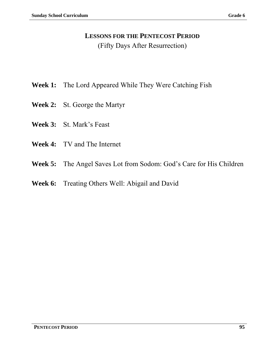# **LESSONS FOR THE PENTECOST PERIOD**

(Fifty Days After Resurrection)

- **Week 1:** The Lord Appeared While They Were Catching Fish
- **Week 2:** St. George the Martyr
- **Week 3:** St. Mark's Feast
- **Week 4:** TV and The Internet
- **Week 5:** The Angel Saves Lot from Sodom: God's Care for His Children
- **Week 6:** Treating Others Well: Abigail and David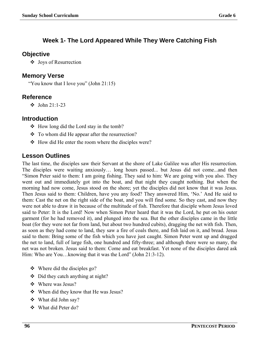## **Week 1- The Lord Appeared While They Were Catching Fish**

### **Objective**

Joys of Resurrection

## **Memory Verse**

"You know that I love you" (John 21:15)

## **Reference**

 $\div$  John 21:1-23

## **Introduction**

- How long did the Lord stay in the tomb?
- **❖** To whom did He appear after the resurrection?
- ❖ How did He enter the room where the disciples were?

## **Lesson Outlines**

The last time, the disciples saw their Servant at the shore of Lake Galilee was after His resurrection. The disciples were waiting anxiously… long hours passed... but Jesus did not come...and then "Simon Peter said to them: I am going fishing. They said to him: We are going with you also. They went out and immediately got into the boat, and that night they caught nothing. But when the morning had now come, Jesus stood on the shore; yet the disciples did not know that it was Jesus. Then Jesus said to them: Children, have you any food? They answered Him, 'No.' And He said to them: Cast the net on the right side of the boat, and you will find some. So they cast, and now they were not able to draw it in because of the multitude of fish. Therefore that disciple whom Jesus loved said to Peter: It is the Lord! Now when Simon Peter heard that it was the Lord, he put on his outer garment (for he had removed it), and plunged into the sea. But the other disciples came in the little boat (for they were not far from land, but about two hundred cubits), dragging the net with fish. Then, as soon as they had come to land, they saw a fire of coals there, and fish laid on it, and bread. Jesus said to them: Bring some of the fish which you have just caught. Simon Peter went up and dragged the net to land, full of large fish, one hundred and fifty-three; and although there were so many, the net was not broken. Jesus said to them: Come and eat breakfast. Yet none of the disciples dared ask Him: Who are You...knowing that it was the Lord" (John 21:3-12).

- Where did the disciples go?
- Did they catch anything at night?
- Where was Jesus?
- ❖ When did they know that He was Jesus?
- What did John say?
- What did Peter do?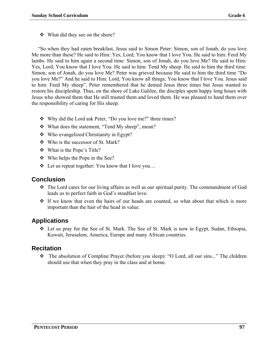What did they see on the shore?

"So when they had eaten breakfast, Jesus said to Simon Peter: Simon, son of Jonah, do you love Me more than these? He said to Him: Yes, Lord; You know that I love You. He said to him: Feed My lambs. He said to him again a second time: Simon, son of Jonah, do you love Me? He said to Him: Yes, Lord; You know that I love You. He said to him: Tend My sheep. He said to him the third time: Simon, son of Jonah, do you love Me? Peter was grieved because He said to him the third time "Do you love Me?" And he said to Him: Lord, You know all things; You know that I love You. Jesus said to him: Feed My sheep". Peter remembered that he denied Jesus three times but Jesus wanted to restore his discipleship. Thus, on the shore of Lake Galilee, the disciples spent happy long hours with Jesus who showed them that He still trusted them and loved them. He was pleased to hand them over the responsibility of caring for His sheep.

- Why did the Lord ask Peter, "Do you love me?" three times?
- What does the statement, "Tend My sheep", mean?
- Who evangelized Christianity in Egypt?
- Who is the successor of St. Mark?
- What is the Pope's Title?
- Who helps the Pope in the See?
- $\triangleleft$  Let us repeat together: You know that I love you...

## **Conclusion**

- The Lord cares for our living affairs as well as our spiritual purity. The commandment of God leads us to perfect faith in God's steadfast love.
- $\div$  If we know that even the hairs of our heads are counted, so what about that which is more important than the hair of the head in value.

## **Applications**

 Let us pray for the See of St. Mark. The See of St. Mark is now in Egypt, Sudan, Ethiopia, Kuwait, Jerusalem, America, Europe and many African countries.

## **Recitation**

 The absolution of Compline Prayer (before you sleep): "O Lord, all our sins..." The children should use that when they pray in the class and at home.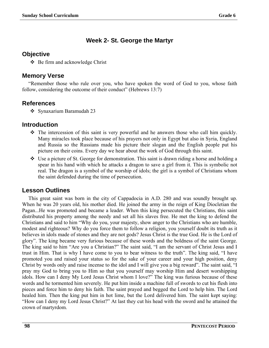# **Week 2- St. George the Martyr**

#### **Objective**

Be firm and acknowledge Christ

## **Memory Verse**

"Remember those who rule over you, who have spoken the word of God to you, whose faith follow, considering the outcome of their conduct" (Hebrews 13:7)

# **References**

Synaxarium Baramudah 23

# **Introduction**

- The intercession of this saint is very powerful and he answers those who call him quickly. Many miracles took place because of his prayers not only in Egypt but also in Syria, England and Russia so the Russians made his picture their slogan and the English people put his picture on their coins. Every day we hear about the work of God through this saint.
- $\bullet\bullet\;$  Use a picture of St. George for demonstration. This saint is drawn riding a horse and holding a spear in his hand with which he attacks a dragon to save a girl from it. This is symbolic not real. The dragon is a symbol of the worship of idols; the girl is a symbol of Christians whom the saint defended during the time of persecution.

# **Lesson Outlines**

This great saint was born in the city of Cappadocia in A.D. 280 and was soundly brought up. When he was 20 years old, his mother died. He joined the army in the reign of King Diocletian the Pagan...He was promoted and became a leader. When this king persecuted the Christians, this saint distributed his property among the needy and set all his slaves free. He met the king to defend the Christians and said to him "Why do you, your majesty, show anger to the Christians who are humble, modest and righteous? Why do you force them to follow a religion, you yourself doubt its truth as it believes in idols made of stones and they are not gods? Jesus Christ is the true God. He is the Lord of glory". The king became very furious because of these words and the boldness of the saint George. The king said to him "Are you a Christian?" The saint said, "I am the servant of Christ Jesus and I trust in Him. That is why I have come to you to bear witness to the truth". The king said, "I have promoted you and raised your status so for the sake of your career and your high position, deny Christ by words only and raise incense to the idol and I will give you a big reward". The saint said, "I pray my God to bring you to Him so that you yourself may worship Him and desert worshipping idols. How can I deny My Lord Jesus Christ whom I love?" The king was furious because of these words and he tormented him severely. He put him inside a machine full of swords to cut his flesh into pieces and force him to deny his faith. The saint prayed and begged the Lord to help him. The Lord healed him. Then the king put him in hot lime, but the Lord delivered him. The saint kept saying: "How can I deny my Lord Jesus Christ?" At last they cut his head with the sword and he attained the crown of martyrdom.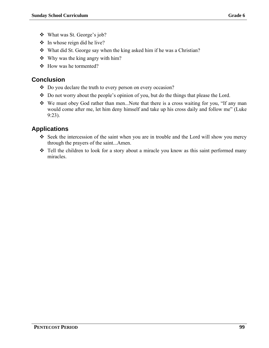- What was St. George's job?
- $\triangleleft$  In whose reign did he live?
- What did St. George say when the king asked him if he was a Christian?
- $\bullet\bullet\text{ Why was the king angry with him?}$
- ❖ How was he tormented?

# **Conclusion**

- Do you declare the truth to every person on every occasion?
- Do not worry about the people's opinion of you, but do the things that please the Lord.
- We must obey God rather than men...Note that there is a cross waiting for you, "If any man would come after me, let him deny himself and take up his cross daily and follow me" (Luke 9:23).

- Seek the intercession of the saint when you are in trouble and the Lord will show you mercy through the prayers of the saint...Amen.
- Tell the children to look for a story about a miracle you know as this saint performed many miracles.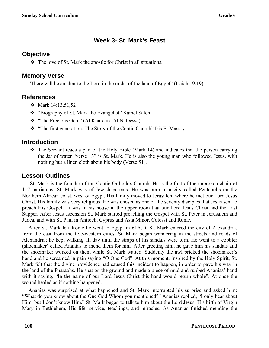## **Week 3- St. Mark's Feast**

#### **Objective**

 $\cdot \cdot$  The love of St. Mark the apostle for Christ in all situations.

## **Memory Verse**

"There will be an altar to the Lord in the midst of the land of Egypt" (Isaiah 19:19)

# **References**

- Mark  $14:13,51,52$
- ❖ "Biography of St. Mark the Evangelist" Kamel Saleh
- \* "The Precious Gem" (Al Khareeda Al Nafeessa)
- \* "The first generation: The Story of the Coptic Church" Iris El Massry

# **Introduction**

 $\cdot \cdot$  The Servant reads a part of the Holy Bible (Mark 14) and indicates that the person carrying the Jar of water "verse 13" is St. Mark. He is also the young man who followed Jesus, with nothing but a linen cloth about his body (Verse 51).

# **Lesson Outlines**

St. Mark is the founder of the Coptic Orthodox Church. He is the first of the unbroken chain of 117 patriarchs. St. Mark was of Jewish parents. He was born in a city called Pentapolis on the Northern African coast, west of Egypt. His family moved to Jerusalem where he met our Lord Jesus Christ. His family was very religious. He was chosen as one of the seventy disciples that Jesus sent to preach His Gospel. It was in his house in the upper room that our Lord Jesus Christ had the Last Supper. After Jesus ascension St. Mark started preaching the Gospel with St. Peter in Jerusalem and Judea, and with St. Paul in Antioch, Cyprus and Asia Minor, Colossi and Rome.

After St. Mark left Rome he went to Egypt in 61A.D. St. Mark entered the city of Alexandria, from the east from the five-western cities. St. Mark began wandering in the streets and roads of Alexandria; he kept walking all day until the straps of his sandals were torn. He went to a cobbler (shoemaker) called Ananias to mend them for him. After greeting him, he gave him his sandals and the shoemaker worked on them while St. Mark waited. Suddenly the awl pricked the shoemaker's hand and he screamed in pain saying "O One God". At this moment, inspired by the Holy Spirit, St. Mark felt that the divine providence had caused this incident to happen, in order to pave his way in the land of the Pharaohs. He spat on the ground and made a piece of mud and rubbed Ananias' hand with it saying, "In the name of our Lord Jesus Christ this hand would return whole". At once the wound healed as if nothing happened.

Ananias was surprised at what happened and St. Mark interrupted his surprise and asked him: "What do you know about the One God Whom you mentioned?" Ananias replied, "I only hear about Him, but I don't know Him." St. Mark began to talk to him about the Lord Jesus, His birth of Virgin Mary in Bethlehem, His life, service, teachings, and miracles. As Ananias finished mending the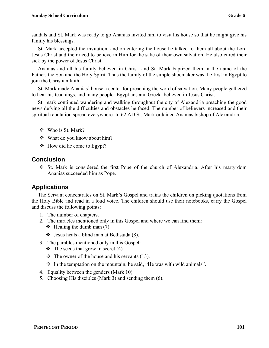sandals and St. Mark was ready to go Ananias invited him to visit his house so that he might give his family his blessings.

St. Mark accepted the invitation, and on entering the house he talked to them all about the Lord Jesus Christ and their need to believe in Him for the sake of their own salvation. He also cured their sick by the power of Jesus Christ.

Ananias and all his family believed in Christ, and St. Mark baptized them in the name of the Father, the Son and the Holy Spirit. Thus the family of the simple shoemaker was the first in Egypt to join the Christian faith.

St. Mark made Ananias' house a center for preaching the word of salvation. Many people gathered to hear his teachings, and many people -Egyptians and Greek- believed in Jesus Christ.

St. mark continued wandering and walking throughout the city of Alexandria preaching the good news defying all the difficulties and obstacles he faced. The number of believers increased and their spiritual reputation spread everywhere. In 62 AD St. Mark ordained Ananias bishop of Alexandria.

- Who is St. Mark?
- What do you know about him?
- How did he come to Egypt?

## **Conclusion**

St. Mark is considered the first Pope of the church of Alexandria. After his martyrdom Ananias succeeded him as Pope.

## **Applications**

The Servant concentrates on St. Mark's Gospel and trains the children on picking quotations from the Holy Bible and read in a loud voice. The children should use their notebooks, carry the Gospel and discuss the following points:

- 1. The number of chapters.
- 2. The miracles mentioned only in this Gospel and where we can find them:
	- $\triangleleft$  Healing the dumb man (7).
	- $\bullet$  Jesus heals a blind man at Bethsaida (8).
- 3. The parables mentioned only in this Gospel:
	- $\triangleleft$  The seeds that grow in secret (4).
	- $\div$  The owner of the house and his servants (13).
	- $\cdot$  In the temptation on the mountain, he said, "He was with wild animals".
- 4. Equality between the genders (Mark 10).
- 5. Choosing His disciples (Mark 3) and sending them (6).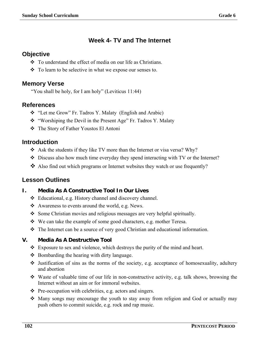# **Week 4- TV and The Internet**

# **Objective**

- $\bullet$  To understand the effect of media on our life as Christians.
- To learn to be selective in what we expose our senses to.

# **Memory Verse**

"You shall be holy, for I am holy" (Leviticus 11:44)

# **References**

- \* "Let me Grow" Fr. Tadros Y. Malaty (English and Arabic)
- "Worshiping the Devil in the Present Age" Fr. Tadros Y. Malaty
- The Story of Father Youstos El Antoni

# **Introduction**

- Ask the students if they like TV more than the Internet or visa versa? Why?
- Discuss also how much time everyday they spend interacting with TV or the Internet?
- Also find out which programs or Internet websites they watch or use frequently?

# **Lesson Outlines**

#### **I. Media As A Constructive Tool In Our Lives**

- Educational, e.g. History channel and discovery channel.
- ❖ Awareness to events around the world, e.g. News.
- Some Christian movies and religious messages are very helpful spiritually.
- $\mathbf{\hat{P}}$  We can take the example of some good characters, e.g. mother Teresa.
- The Internet can be a source of very good Christian and educational information.

#### **V. Media As A Destructive Tool**

- Exposure to sex and violence, which destroys the purity of the mind and heart.
- $\triangleleft$  Bombarding the hearing with dirty language.
- $\bullet$  Justification of sins as the norms of the society, e.g. acceptance of homosexuality, adultery and abortion
- Waste of valuable time of our life in non-constructive activity, e.g. talk shows, browsing the Internet without an aim or for immoral websites.
- $\triangle$  Pre-occupation with celebrities, e.g. actors and singers.
- Many songs may encourage the youth to stay away from religion and God or actually may push others to commit suicide, e.g. rock and rap music.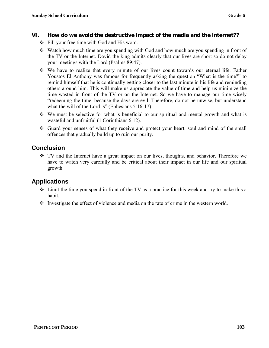#### **VI. How do we avoid the destructive impact of the media and the internet??**

- Fill your free time with God and His word.
- Watch how much time are you spending with God and how much are you spending in front of the TV or the Internet. David the king admits clearly that our lives are short so do not delay your meetings with the Lord (Psalms 89:47).
- We have to realize that every minute of our lives count towards our eternal life. Father Youstos El Anthony was famous for frequently asking the question "What is the time?" to remind himself that he is continually getting closer to the last minute in his life and reminding others around him. This will make us appreciate the value of time and help us minimize the time wasted in front of the TV or on the Internet. So we have to manage our time wisely "redeeming the time, because the days are evil. Therefore, do not be unwise, but understand what the will of the Lord is" (Ephesians 5:16-17).
- $\div$  We must be selective for what is beneficial to our spiritual and mental growth and what is wasteful and unfruitful (1 Corinthians 6:12).
- Guard your senses of what they receive and protect your heart, soul and mind of the small offences that gradually build up to ruin our purity.

#### **Conclusion**

 TV and the Internet have a great impact on our lives, thoughts, and behavior. Therefore we have to watch very carefully and be critical about their impact in our life and our spiritual growth.

- $\cdot$  Limit the time you spend in front of the TV as a practice for this week and try to make this a habit.
- $\cdot$  Investigate the effect of violence and media on the rate of crime in the western world.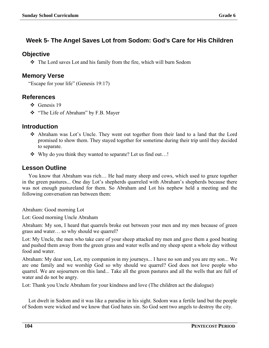# **Week 5- The Angel Saves Lot from Sodom: God's Care for His Children**

#### **Objective**

The Lord saves Lot and his family from the fire, which will burn Sodom

## **Memory Verse**

"Escape for your life" (Genesis 19:17)

## **References**

- ❖ Genesis 19
- $\triangleq$  "The Life of Abraham" by F.B. Mayer

## **Introduction**

- Abraham was Lot's Uncle. They went out together from their land to a land that the Lord promised to show them. They stayed together for sometime during their trip until they decided to separate.
- ❖ Why do you think they wanted to separate? Let us find out...!

# **Lesson Outline**

You know that Abraham was rich… He had many sheep and cows, which used to graze together in the green pastures... One day Lot's shepherds quarreled with Abraham's shepherds because there was not enough pastureland for them. So Abraham and Lot his nephew held a meeting and the following conversation ran between them:

Abraham: Good morning Lot

Lot: Good morning Uncle Abraham

Abraham: My son, I heard that quarrels broke out between your men and my men because of green grass and water… so why should we quarrel?

Lot: My Uncle, the men who take care of your sheep attacked my men and gave them a good beating and pushed them away from the green grass and water wells and my sheep spent a whole day without food and water.

Abraham: My dear son, Lot, my companion in my journeys... I have no son and you are my son... We are one family and we worship God so why should we quarrel? God does not love people who quarrel. We are sojourners on this land... Take all the green pastures and all the wells that are full of water and do not be angry.

Lot: Thank you Uncle Abraham for your kindness and love (The children act the dialogue)

Lot dwelt in Sodom and it was like a paradise in his sight. Sodom was a fertile land but the people of Sodom were wicked and we know that God hates sin. So God sent two angels to destroy the city.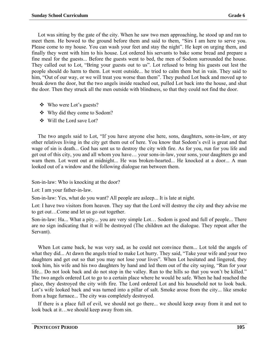Lot was sitting by the gate of the city. When he saw two men approaching, he stood up and ran to meet them. He bowed to the ground before them and said to them, "Sirs I am here to serve you. Please come to my house. You can wash your feet and stay the night". He kept on urging them, and finally they went with him to his house. Lot ordered his servants to bake some bread and prepare a fine meal for the guests... Before the guests went to bed, the men of Sodom surrounded the house. They called out to Lot, "Bring your guests out to us". Lot refused to bring his guests out lest the people should do harm to them. Lot went outside... he tried to calm them but in vain. They said to him, "Out of our way, or we will treat you worse than them". They pushed Lot back and moved up to break down the door, but the two angels inside reached out, pulled Lot back into the house, and shut the door. Then they struck all the men outside with blindness, so that they could not find the door.

- Who were Lot's guests?
- Why did they come to Sodom?
- Will the Lord save Lot?

The two angels said to Lot, "If you have anyone else here, sons, daughters, sons-in-law, or any other relatives living in the city get them out of here. You know that Sodom's evil is great and that wage of sin is death... God has sent us to destroy the city with fire. As for you, run for you life and get out of this city, you and all whom you have… your sons-in-law, your sons, your daughters go and warn them. Lot went out at midnight... He was broken-hearted... He knocked at a door... A man looked out of a window and the following dialogue ran between them.

Son-in-law: Who is knocking at the door?

Lot: I am your father-in-law.

Son-in-law: Yes, what do you want? All people are asleep... It is late at night.

Lot: I have two visitors from heaven. They say that the Lord will destroy the city and they advise me to get out…Come and let us go out together.

Son-in-law: Ha... What a pity... you are very simple Lot… Sodom is good and full of people... There are no sign indicating that it will be destroyed (The children act the dialogue. They repeat after the Servant).

When Lot came back, he was very sad, as he could not convince them... Lot told the angels of what they did... At dawn the angels tried to make Lot hurry. They said, "Take your wife and your two daughters and get out so that you may not lose your lives". When Lot hesitated and lingered, they took him, his wife and his two daughters by hand and led them out of the city saying, "Run for your life... Do not look back and do not stop in the valley. Run to the hills so that you won't be killed." The two angels ordered Lot to go to a certain place where he would be safe. When he had reached the place, they destroyed the city with fire. The Lord ordered Lot and his household not to look back. Lot's wife looked back and was turned into a pillar of salt. Smoke arose from the city... like smoke from a huge furnace... The city was completely destroyed.

If there is a place full of evil, we should not go there... we should keep away from it and not to look back at it…we should keep away from sin.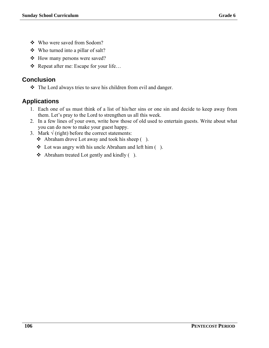- Who were saved from Sodom?
- Who turned into a pillar of salt?
- ❖ How many persons were saved?
- ❖ Repeat after me: Escape for your life...

# **Conclusion**

The Lord always tries to save his children from evil and danger.

- 1. Each one of us must think of a list of his/her sins or one sin and decide to keep away from them. Let's pray to the Lord to strengthen us all this week.
- 2. In a few lines of your own, write how those of old used to entertain guests. Write about what you can do now to make your guest happy.
- 3. Mark  $\sqrt{(right)}$  before the correct statements:
	- $\triangleleft$  Abraham drove Lot away and took his sheep ().
	- $\triangleleft$  Lot was angry with his uncle Abraham and left him ().
	- $\triangleleft$  Abraham treated Lot gently and kindly ().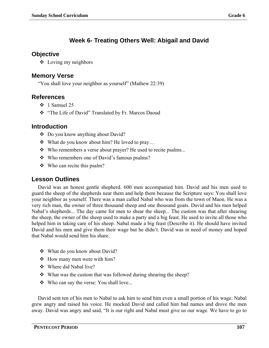# **Week 6- Treating Others Well: Abigail and David**

#### **Objective**

Loving my neighbors

#### **Memory Verse**

"You shall love your neighbor as yourself" (Mathew 22:39)

## **References**

- $\div$  1 Samuel 25
- \* "The Life of David" Translated by Fr. Marcos Daoud

#### **Introduction**

- **❖** Do you know anything about David?
- $\triangleleft$  What do you know about him? He loved to pray...
- Who remembers a verse about prayer? He used to recite psalms...
- Who remembers one of David's famous psalms?
- Who can recite this psalm?

## **Lesson Outlines**

David was an honest gentle shepherd. 600 men accompanied him. David and his men used to guard the sheep of the shepherds near them and help them because the Scripture says: You shall love your neighbor as yourself. There was a man called Nabal who was from the town of Maon. He was a very rich man, the owner of three thousand sheep and one thousand goats. David and his men helped Nabal's shepherds... The day came for men to shear the sheep... The custom was that after shearing the sheep, the owner of the sheep used to make a party and a big feast. He used to invite all those who helped him in taking care of his sheep. Nabal made a big feast (Describe it). He should have invited David and his men and give them their wage but he didn't. David was in need of money and hoped that Nabal would send him his share.

- What do you know about David?
- $\div$  How many men were with him?
- Where did Nabal live?
- What was the custom that was followed during shearing the sheep?
- Who can say the verse: You shall love...

David sent ten of his men to Nabal to ask him to send him even a small portion of his wage. Nabal grew angry and raised his voice. He mocked David and called him bad names and drove the men away. David was angry and said, "It is our right and Nabal must give us our wage. We have to go to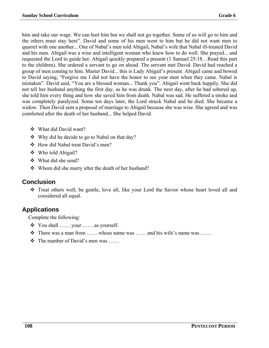him and take our wage. We can hurt him but we shall not go together. Some of us will go to him and the others must stay here". David and some of his men went to him but he did not want men to quarrel with one another... One of Nabal's men told Abigail, Nabal's wife that Nabal ill-treated David and his men. Abigail was a wise and intelligent woman who knew how to do well. She prayed... and requested the Lord to guide her. Abigail quickly prepared a present (1 Samuel 25:18…Read this part to the children). She ordered a servant to go on ahead. The servant met David. David had reached a group of men coming to him. Master David... this is Lady Abigail's present. Abigail came and bowed to David saying, "Forgive me I did not have the honor to see your men when they came. Nabal is mistaken". David said, "You are a blessed woman... Thank you". Abigail went back happily. She did not tell her husband anything the first day, as he was drunk. The next day, after he had sobered up, she told him every thing and how she saved him from death. Nabal was sad. He suffered a stroke and was completely paralyzed. Some ten days later, the Lord struck Nabal and he died. She became a widow. Then David sent a proposal of marriage to Abigail because she was wise. She agreed and was comforted after the death of her husband... She helped David.

- What did David want?
- **❖** Why did he decide to go to Nabal on that day?
- How did Nabal treat David's men?
- Who told Abigail?
- What did she send?
- Whom did she marry after the death of her husband?

# **Conclusion**

 Treat others well, be gentle, love all, like your Lord the Savior whose heart loved all and considered all equal.

# **Applications**

Complete the following:

- $\triangleleft$  You shall …… your …… as yourself.
- $\clubsuit$  There was a man from …… whose name was …… and his wife's name was ……
- $\triangleleft$  The number of David's men was .....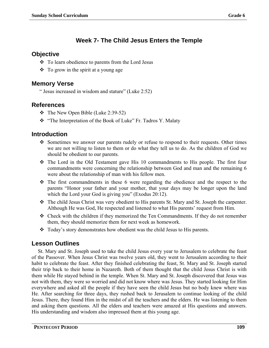# **Week 7- The Child Jesus Enters the Temple**

## **Objective**

- $\cdot \cdot$  To learn obedience to parents from the Lord Jesus
- $\bullet$  To grow in the spirit at a young age

# **Memory Verse**

" Jesus increased in wisdom and stature" (Luke 2:52)

# **References**

- $\div$  The New Open Bible (Luke 2:39-52)
- \* "The Interpretation of the Book of Luke" Fr. Tadros Y. Malaty

# **Introduction**

- Sometimes we answer our parents rudely or refuse to respond to their requests. Other times we are not willing to listen to them or do what they tell us to do. As the children of God we should be obedient to our parents.
- The Lord in the Old Testament gave His 10 commandments to His people. The first four commandments were concerning the relationship between God and man and the remaining 6 were about the relationship of man with his fellow men.
- The first commandments in these 6 were regarding the obedience and the respect to the parents "Honor your father and your mother, that your days may be longer upon the land which the Lord your God is giving you" (Exodus 20:12).
- The child Jesus Christ was very obedient to His parents St. Mary and St. Joseph the carpenter. Although He was God, He respected and listened to what His parents' request from Him.
- Check with the children if they memorized the Ten Commandments. If they do not remember them, they should memorize them for next week as homework.
- Today's story demonstrates how obedient was the child Jesus to His parents.

# **Lesson Outlines**

St. Mary and St. Joseph used to take the child Jesus every year to Jerusalem to celebrate the feast of the Passover. When Jesus Christ was twelve years old, they went to Jerusalem according to their habit to celebrate the feast. After they finished celebrating the feast, St. Mary and St. Joseph started their trip back to their home in Nazareth. Both of them thought that the child Jesus Christ is with them while He stayed behind in the temple. When St. Mary and St. Joseph discovered that Jesus was not with them, they were so worried and did not know where was Jesus. They started looking for Him everywhere and asked all the people if they have seen the child Jesus but no body knew where was He. After searching for three days, they rushed back to Jerusalem to continue looking of the child Jesus. There, they found Him in the midst of all the teachers and the elders. He was listening to them and asking them questions. All the elders and teachers were amazed at His questions and answers. His understanding and wisdom also impressed them at this young age.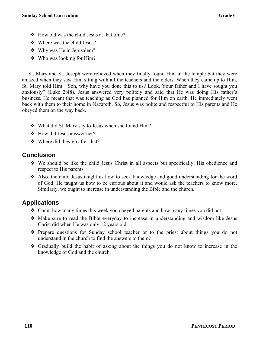- $\div$  How old was the child Jesus at that time?
- Where was the child Jesus?
- Why was He in Jerusalem?
- $\div$  Who was looking for Him?

St. Mary and St. Joseph were relieved when they finally found Him in the temple but they were amazed when they saw Him sitting with all the teachers and the elders. When they came up to Him, St. Mary told Him: "Son, why have you done this to us? Look, Your father and I have sought you anxiously" (Luke 2:48). Jesus answered very politely and said that He was doing His father's business. He meant that was teaching as God has planned for Him on earth. He immediately went back with them to their home in Nazareth. So, Jesus was polite and respectful to His parents and He obeyed them on the way back.

- What did St. Mary say to Jesus when she found Him?
- How did Jesus answer her?
- $\triangleleft$  Where did they go after that?

#### **Conclusion**

- We should be like the child Jesus Christ in all aspects but specifically, His obedience and respect to His parents.
- Also, the child Jesus taught us how to seek knowledge and good understanding for the word of God. He taught us how to be curious about it and would ask the teachers to know more. Similarly, we ought to increase in understanding the Bible and the church.

- Count how many times this week you obeyed parents and how many times you did not.
- Make sure to read the Bible everyday to increase in understanding and wisdom like Jesus Christ did when He was only 12 years old.
- Prepare questions for Sunday school teacher or to the priest about things you do not understand in the church to find the answers to them?
- Gradually build the habit of asking about the things you do not know to increase in the knowledge of God and the church.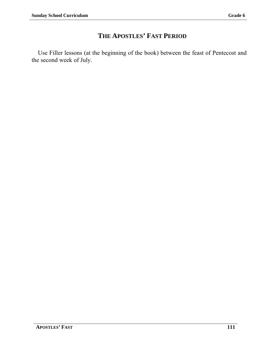# **THE APOSTLES' FAST PERIOD**

Use Filler lessons (at the beginning of the book) between the feast of Pentecost and the second week of July.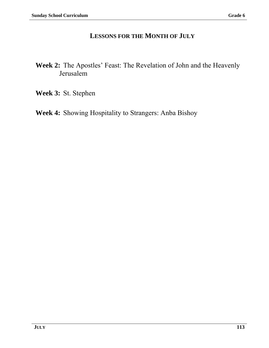# **LESSONS FOR THE MONTH OF JULY**

- **Week 2:** The Apostles' Feast: The Revelation of John and the Heavenly Jerusalem
- **Week 3:** St. Stephen
- **Week 4:** Showing Hospitality to Strangers: Anba Bishoy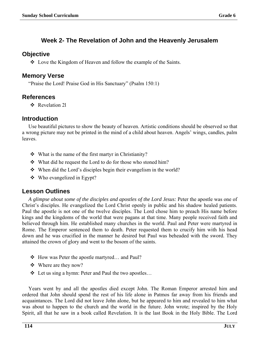# **Week 2- The Revelation of John and the Heavenly Jerusalem**

#### **Objective**

Love the Kingdom of Heaven and follow the example of the Saints.

# **Memory Verse**

"Praise the Lord! Praise God in His Sanctuary" (Psalm 150:1)

# **References**

Revelation 2l

# **Introduction**

Use beautiful pictures to show the beauty of heaven. Artistic conditions should be observed so that a wrong picture may not be printed in the mind of a child about heaven. Angels' wings, candles, palm leaves.

- What is the name of the first martyr in Christianity?
- What did he request the Lord to do for those who stoned him?
- When did the Lord's disciples begin their evangelism in the world?
- Who evangelized in Egypt?

# **Lesson Outlines**

*A glimpse about some of the disciples and apostles of the Lord Jesus:* Peter the apostle was one of Christ's disciples. He evangelized the Lord Christ openly in public and his shadow healed patients. Paul the apostle is not one of the twelve disciples. The Lord chose him to preach His name before kings and the kingdoms of the world that were pagans at that time. Many people received faith and believed through him. He established many churches in the world. Paul and Peter were martyred in Rome. The Emperor sentenced them to death. Peter requested them to crucify him with his head down and he was crucified in the manner he desired but Paul was beheaded with the sword. They attained the crown of glory and went to the bosom of the saints.

- ❖ How was Peter the apostle martyred... and Paul?
- Where are they now?
- Let us sing a hymn: Peter and Paul the two apostles…

Years went by and all the apostles died except John. The Roman Emperor arrested him and ordered that John should spend the rest of his life alone in Patmos far away from his friends and acquaintances. The Lord did not leave John alone, but he appeared to him and revealed to him what was about to happen to the church and the world in the future. John wrote; inspired by the Holy Spirit, all that he saw in a book called Revelation. It is the last Book in the Holy Bible. The Lord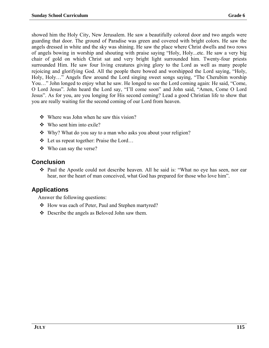showed him the Holy City, New Jerusalem. He saw a beautifully colored door and two angels were guarding that door. The ground of Paradise was green and covered with bright colors. He saw the angels dressed in white and the sky was shining. He saw the place where Christ dwells and two rows of angels bowing in worship and shouting with praise saying "Holy, Holy...etc. He saw a very big chair of gold on which Christ sat and very bright light surrounded him. Twenty-four priests surrounded Him. He saw four living creatures giving glory to the Lord as well as many people rejoicing and glorifying God. All the people there bowed and worshipped the Lord saying, "Holy, Holy, Holy…" Angels flew around the Lord singing sweet songs saying, "The Cherubim worship You…" John longed to enjoy what he saw. He longed to see the Lord coming again: He said, "Come, O Lord Jesus". John heard the Lord say, "I'll come soon" and John said, "Amen, Come O Lord Jesus". As for you, are you longing for His second coming? Lead a good Christian life to show that you are really waiting for the second coming of our Lord from heaven.

- Where was John when he saw this vision?
- $\div$  Who sent him into exile?
- Why? What do you say to a man who asks you about your religion?
- Let us repeat together: Praise the Lord…
- Who can say the verse?

#### **Conclusion**

◆ Paul the Apostle could not describe heaven. All he said is: "What no eye has seen, nor ear hear, nor the heart of man conceived, what God has prepared for those who love him".

# **Applications**

Answer the following questions:

- How was each of Peter, Paul and Stephen martyred?
- Describe the angels as Beloved John saw them.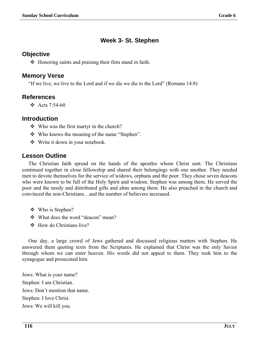# **Week 3- St. Stephen**

## **Objective**

 $\triangleleft$  Honoring saints and praising their firm stand in faith.

## **Memory Verse**

"If we live, we live to the Lord and if we die we die to the Lord" (Romans 14:8)

# **References**

 $\div$  Acts 7:54-60

## **Introduction**

- Who was the first martyr in the church?
- Who knows the meaning of the name "Stephen".
- Write it down in your notebook.

# **Lesson Outline**

The Christian faith spread on the hands of the apostles whom Christ sent. The Christians continued together in close fellowship and shared their belongings with one another. They needed men to devote themselves for the service of widows, orphans and the poor. They chose seven deacons who were known to be full of the Holy Spirit and wisdom. Stephen was among them. He served the poor and the needy and distributed gifts and alms among them. He also preached in the church and convinced the non-Christians…and the number of believers increased.

- ❖ Who is Stephen?
- What does the word "deacon" mean?
- How do Christians live?

One day, a large crowd of Jews gathered and discussed religious matters with Stephen. He answered them quoting texts from the Scriptures. He explained that Christ was the only Savior through whom we can enter heaven. His words did not appeal to them. They took him to the synagogue and prosecuted him.

Jews: What is your name? Stephen: I am Christian. Jews: Don't mention that name. Stephen: I love Christ. Jews: We will kill you.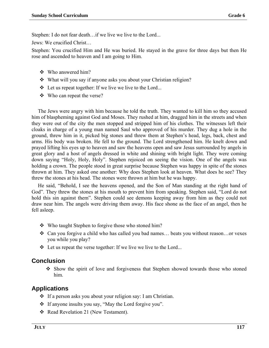Stephen: I do not fear death... if we live we live to the Lord...

Jews: We crucified Christ…

Stephen: You crucified Him and He was buried. He stayed in the grave for three days but then He rose and ascended to heaven and I am going to Him.

- Who answered him?
- What will you say if anyone asks you about your Christian religion?
- $\triangleleft$  Let us repeat together: If we live we live to the Lord...
- Who can repeat the verse?

The Jews were angry with him because he told the truth. They wanted to kill him so they accused him of blaspheming against God and Moses. They rushed at him, dragged him in the streets and when they were out of the city the men stopped and stripped him of his clothes. The witnesses left their cloaks in charge of a young man named Saul who approved of his murder. They dug a hole in the ground, threw him in it, picked big stones and threw them at Stephen's head, legs, back, chest and arms. His body was broken. He fell to the ground. The Lord strengthened him. He knelt down and prayed lifting his eyes up to heaven and saw the heavens open and saw Jesus surrounded by angels in great glory and a host of angels dressed in white and shining with bright light. They were coming down saying "Holy, Holy, Holy". Stephen rejoiced on seeing the vision. One of the angels was holding a crown. The people stood in great surprise because Stephen was happy in spite of the stones thrown at him. They asked one another: Why does Stephen look at heaven. What does he see? They threw the stones at his head. The stones were thrown at him but he was happy.

He said, "Behold, I see the heavens opened, and the Son of Man standing at the right hand of God". They threw the stones at his mouth to prevent him from speaking. Stephen said, "Lord do not hold this sin against them". Stephen could see demons keeping away from him as they could not draw near him. The angels were driving them away. His face shone as the face of an angel, then he fell asleep.

- Who taught Stephen to forgive those who stoned him?
- Can you forgive a child who has called you bad names… beats you without reason…or vexes you while you play?
- $\triangle$  Let us repeat the verse together: If we live we live to the Lord...

# **Conclusion**

 Show the spirit of love and forgiveness that Stephen showed towards those who stoned him.

- $\cdot \cdot$  If a person asks you about your religion say: I am Christian.
- $\cdot$  If anyone insults you say, "May the Lord forgive you".
- Read Revelation 21 (New Testament).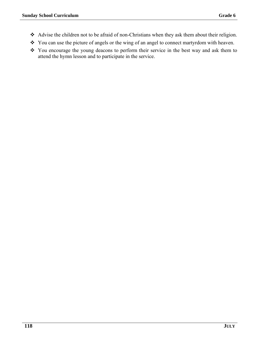- Advise the children not to be afraid of non-Christians when they ask them about their religion.
- \* You can use the picture of angels or the wing of an angel to connect martyrdom with heaven.
- \* You encourage the young deacons to perform their service in the best way and ask them to attend the hymn lesson and to participate in the service.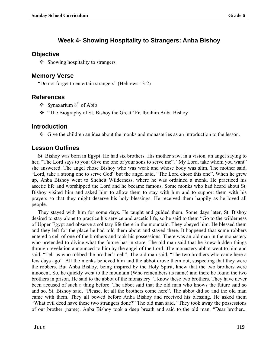# **Week 4- Showing Hospitality to Strangers: Anba Bishoy**

## **Objective**

 $\triangleleft$  Showing hospitality to strangers

# **Memory Verse**

"Do not forget to entertain strangers" (Hebrews 13:2)

# **References**

- $\div$  Synaxarium 8<sup>th</sup> of Abib
- \* "The Biography of St. Bishoy the Great" Fr. Ibrahim Anba Bishoy

# **Introduction**

 $\div$  Give the children an idea about the monks and monasteries as an introduction to the lesson.

# **Lesson Outlines**

St. Bishoy was born in Egypt. He had six brothers. His mother saw, in a vision, an angel saying to her, "The Lord says to you: Give me one of your sons to serve me". "My Lord, take whom you want" she answered. The angel chose Bishoy who was weak and whose body was slim. The mother said, "Lord, take a strong one to serve God" but the angel said, "The Lord chose this one". When he grew up, Anba Bishoy went to Sheheit Wilderness, where he was ordained a monk. He practiced his ascetic life and worshipped the Lord and he became famous. Some monks who had heard about St. Bishoy visited him and asked him to allow them to stay with him and to support them with his prayers so that they might deserve his holy blessings. He received them happily as he loved all people.

They stayed with him for some days. He taught and guided them. Some days later, St. Bishoy desired to stay alone to practice his service and ascetic life, so he said to them "Go to the wilderness of Upper Egypt and observe a solitary life there in the mountain. They obeyed him. He blessed them and they left for the place he had told them about and stayed there. It happened that some robbers entered a cell of one of the brothers and took his possessions. There was an old man in the monastery who pretended to divine what the future has in store. The old man said that he knew hidden things through revelation announced to him by the angel of the Lord. The monastery abbot went to him and said, "Tell us who robbed the brother's cell". The old man said, "The two brothers who came here a few days ago". All the monks believed him and the abbot drove them out, suspecting that they were the robbers. But Anba Bishoy, being inspired by the Holy Spirit, knew that the two brothers were innocent. So, he quickly went to the mountain (Who remembers its name) and there he found the two brothers in prison. He said to the abbot of the monastery "I know these two brothers. They have never been accused of such a thing before. The abbot said that the old man who knows the future said so and so. St. Bishoy said, "Please, let all the brothers come here". The abbot did so and the old man came with them. They all bowed before Anba Bishoy and received his blessing. He asked them "What evil deed have these two strangers done?" The old man said, "They took away the possessions of our brother (name). Anba Bishoy took a deep breath and said to the old man, "Dear brother...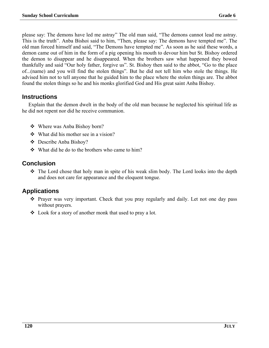please say: The demons have led me astray" The old man said, "The demons cannot lead me astray. This is the truth". Anba Bishoi said to him, "Then, please say: The demons have tempted me". The old man forced himself and said, "The Demons have tempted me". As soon as he said these words, a demon came out of him in the form of a pig opening his mouth to devour him but St. Bishoy ordered the demon to disappear and he disappeared. When the brothers saw what happened they bowed thankfully and said "Our holy father, forgive us". St. Bishoy then said to the abbot, "Go to the place of...(name) and you will find the stolen things". But he did not tell him who stole the things. He advised him not to tell anyone that he guided him to the place where the stolen things are. The abbot found the stolen things so he and his monks glorified God and His great saint Anba Bishoy.

## **Instructions**

Explain that the demon dwelt in the body of the old man because he neglected his spiritual life as he did not repent nor did he receive communion.

- Where was Anba Bishoy born?
- $\bullet\bullet\text{ What did his mother see in a vision?}$
- Describe Anba Bishoy?
- What did he do to the brothers who came to him?

# **Conclusion**

 The Lord chose that holy man in spite of his weak slim body. The Lord looks into the depth and does not care for appearance and the eloquent tongue.

- \* Prayer was very important. Check that you pray regularly and daily. Let not one day pass without prayers.
- $\triangle$  Look for a story of another monk that used to pray a lot.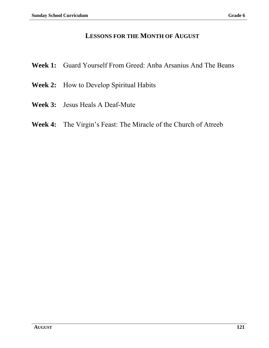# **LESSONS FOR THE MONTH OF AUGUST**

- **Week 1:** Guard Yourself From Greed: Anba Arsanius And The Beans
- **Week 2:** How to Develop Spiritual Habits
- **Week 3:** Jesus Heals A Deaf-Mute
- **Week 4:** The Virgin's Feast: The Miracle of the Church of Atreeb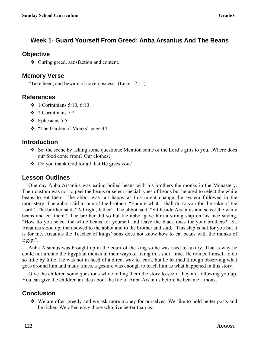# **Week 1- Guard Yourself From Greed: Anba Arsanius And The Beans**

#### **Objective**

Curing greed, satisfaction and content.

#### **Memory Verse**

"Take heed, and beware of covetousness" (Luke 12:15)

#### **References**

- $\div$  1 Corinthians 5:10, 6:10
- $\div$  2 Corinthians 7:2
- $\div$  Ephesians 5:5
- \* "The Garden of Monks" page 44

# **Introduction**

- Set the scene by asking some questions: Mention some of the Lord's gifts to you...Where does our food come from? Our clothes?
- Do you thank God for all that He gives you?

## **Lesson Outlines**

One day Anba Arsanius was eating boiled beans with his brothers the monks in the Monastery. Their custom was not to peel the beans or select special types of beans but he used to select the white beans to eat them. The abbot was not happy as this might change the system followed in the monastery. The abbot said to one of the brothers "Endure what I shall do to you for the sake of the Lord". The brother said, "All right, father". The abbot said, "Sit beside Arsanius and select the white beans and eat them". The brother did so but the abbot gave him a strong slap on his face saying, "How do you select the white beans for yourself and leave the black ones for your brothers?" St. Arsanius stood up, then bowed to the abbot and to the brother and said, "This slap is not for you but it is for me. Arsanius the Teacher of kings' sons does not know how to eat beans with the monks of Egypt".

Anba Arsanius was brought up in the court of the king so he was used to luxury. That is why he could not imitate the Egyptian monks in their ways of living in a short time. He trained himself to do so little by little. He was not in need of a direct way to learn, but he learned through observing what goes around him and many times, a gesture was enough to teach him as what happened in this story.

Give the children some questions while telling them the story to see if they are following you up. You can give the children an idea about the life of Anba Arsanius before he became a monk.

# **Conclusion**

 We are often greedy and we ask more money for ourselves. We like to hold better posts and be richer. We often envy those who live better than us.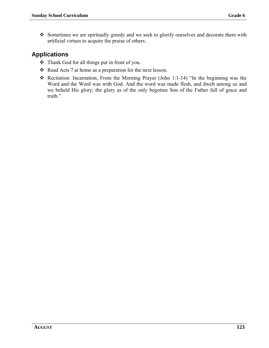- \* Thank God for all things put in front of you.
- $\triangle$  Read Acts 7 at home as a preparation for the next lesson.
- Recitation: Incarnation, From the Morning Prayer (John 1:1-14) "In the beginning was the Word and the Word was with God. And the word was made flesh, and dwelt among us and we beheld His glory; the glory as of the only begotten Son of the Father full of grace and truth."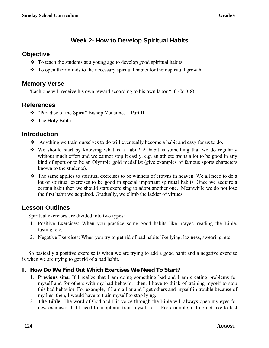# **Week 2- How to Develop Spiritual Habits**

## **Objective**

- $\cdot \cdot$  To teach the students at a young age to develop good spiritual habits
- To open their minds to the necessary spiritual habits for their spiritual growth.

#### **Memory Verse**

"Each one will receive his own reward according to his own labor " (1Co 3:8)

## **References**

- $\triangleq$  "Paradise of the Spirit" Bishop Youannes Part II
- The Holy Bible

## **Introduction**

- Anything we train ourselves to do will eventually become a habit and easy for us to do.
- We should start by knowing what is a habit? A habit is something that we do regularly without much effort and we cannot stop it easily, e.g. an athlete trains a lot to be good in any kind of sport or to be an Olympic gold medallist (give examples of famous sports characters known to the students).
- The same applies to spiritual exercises to be winners of crowns in heaven. We all need to do a lot of spiritual exercises to be good in special important spiritual habits. Once we acquire a certain habit then we should start exercising to adopt another one. Meanwhile we do not lose the first habit we acquired. Gradually, we climb the ladder of virtues.

# **Lesson Outlines**

Spiritual exercises are divided into two types:

- 1. Positive Exercises: When you practice some good habits like prayer, reading the Bible, fasting, etc.
- 2. Negative Exercises: When you try to get rid of bad habits like lying, laziness, swearing, etc.

So basically a positive exercise is when we are trying to add a good habit and a negative exercise is when we are trying to get rid of a bad habit.

#### **I. How Do We Find Out Which Exercises We Need To Start?**

- 1. **Previous sins:** If I realize that I am doing something bad and I am creating problems for myself and for others with my bad behavior, then, I have to think of training myself to stop this bad behavior. For example, if I am a liar and I get others and myself in trouble because of my lies, then, I would have to train myself to stop lying.
- 2. **The Bible:** The word of God and His voice through the Bible will always open my eyes for new exercises that I need to adopt and train myself to it. For example, if I do not like to fast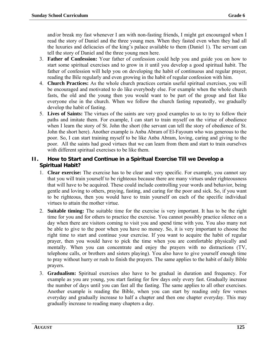and/or break my fast whenever I am with non-fasting friends, I might get encouraged when I read the story of Daniel and the three young men. When they fasted even when they had all the luxuries and delicacies of the king's palace available to them (Daniel 1). The servant can tell the story of Daniel and the three young men here.

- 3. **Father of Confession:** Your father of confession could help you and guide you on how to start some spiritual exercises and to grow in it until you develop a good spiritual habit. The father of confession will help you on developing the habit of continuous and regular prayer, reading the Bile regularly and even growing in the habit of regular confession with him.
- 4. **Church Practices:** As the whole church practices certain useful spiritual exercises, you will be encouraged and motivated to do like everybody else. For example when the whole church fasts, the old and the young then you would want to be part of the group and fast like everyone else in the church. When we follow the church fasting repeatedly, we gradually develop the habit of fasting.
- 5. **Lives of Saints:** The virtues of the saints are very good examples to us to try to follow their paths and imitate them. For example, I can start to train myself on the virtue of obedience when I learn the story of St. John the short (the servant can tell the story of obedience of St. John the short here). Another example is Anba Abram of El-Fayoum who was generous to the poor. So, I can start training myself to be like Anba Abram, loving, caring and giving to the poor. All the saints had good virtues that we can learn from them and start to train ourselves with different spiritual exercises to be like them.

#### **II. How to Start and Continue in a Spiritual Exercise Till we Develop a Spiritual Habit?**

- 1. **Clear exercise:** The exercise has to be clear and very specific. For example, you cannot say that you will train yourself to be righteous because there are many virtues under righteousness that will have to be acquired. These could include controlling your words and behavior, being gentle and loving to others, praying, fasting, and caring for the poor and sick. So, if you want to be righteous, then you would have to train yourself on each of the specific individual virtues to attain the mother virtue.
- 2. **Suitable timing:** The suitable time for the exercise is very important. It has to be the right time for you and for others to practice the exercise. You cannot possibly practice silence on a day when there are visitors coming to visit you and spend time with you. You also many not be able to give to the poor when you have no money. So, it is very important to choose the right time to start and continue your exercise. If you want to acquire the habit of regular prayer, then you would have to pick the time when you are comfortable physically and mentally. When you can concentrate and enjoy the prayers with no distractions (TV, telephone calls, or brothers and sisters playing). You also have to give yourself enough time to pray without hurry or rush to finish the prayers. The same applies to the habit of daily Bible prayers.
- 3. **Gradualism:** Spiritual exercises also have to be gradual in duration and frequency. For example as you are young, you start fasting for few days only every fast. Gradually increase the number of days until you can fast all the fasting. The same applies to all other exercises. Another example is reading the Bible, when you can start by reading only few verses everyday and gradually increase to half a chapter and then one chapter everyday. This may gradually increase to reading many chapters a day.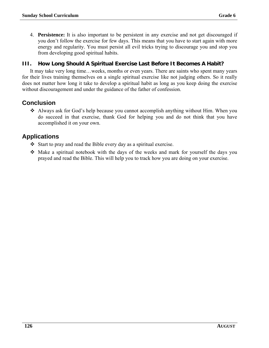4. **Persistence:** It is also important to be persistent in any exercise and not get discouraged if you don't follow the exercise for few days. This means that you have to start again with more energy and regularity. You must persist all evil tricks trying to discourage you and stop you from developing good spiritual habits.

#### **III. How Long Should A Spiritual Exercise Last Before It Becomes A Habit?**

It may take very long time…weeks, months or even years. There are saints who spent many years for their lives training themselves on a single spiritual exercise like not judging others. So it really does not matter how long it take to develop a spiritual habit as long as you keep doing the exercise without discouragement and under the guidance of the father of confession.

# **Conclusion**

 $\triangle$  Always ask for God's help because you cannot accomplish anything without Him. When you do succeed in that exercise, thank God for helping you and do not think that you have accomplished it on your own.

- $\triangleleft$  Start to pray and read the Bible every day as a spiritual exercise.
- Make a spiritual notebook with the days of the weeks and mark for yourself the days you prayed and read the Bible. This will help you to track how you are doing on your exercise.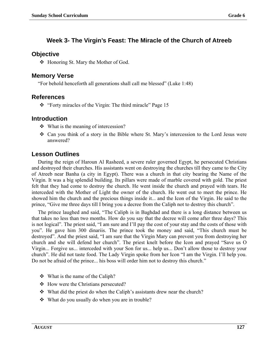# **Week 3- The Virgin's Feast: The Miracle of the Church of Atreeb**

#### **Objective**

❖ Honoring St. Mary the Mother of God.

## **Memory Verse**

"For behold henceforth all generations shall call me blessed" (Luke 1:48)

## **References**

 $\cdot$  "Forty miracles of the Virgin: The third miracle" Page 15

#### **Introduction**

- $\div$  What is the meaning of intercession?
- $\div$  Can you think of a story in the Bible where St. Mary's intercession to the Lord Jesus were answered?

# **Lesson Outlines**

During the reign of Haroun Al Rasheed, a severe ruler governed Egypt, he persecuted Christians and destroyed their churches. His assistants went on destroying the churches till they came to the City of Atreeb near Banha (a city in Egypt). There was a church in that city bearing the Name of the Virgin. It was a big splendid building. Its pillars were made of marble covered with gold. The priest felt that they had come to destroy the church. He went inside the church and prayed with tears. He interceded with the Mother of Light the owner of the church. He went out to meet the prince. He showed him the church and the precious things inside it... and the Icon of the Virgin. He said to the prince, "Give me three days till I bring you a decree from the Caliph not to destroy this church".

The prince laughed and said, "The Caliph is in Baghdad and there is a long distance between us that takes no less than two months. How do you say that the decree will come after three days? This is not logical". The priest said, "I am sure and I'll pay the cost of your stay and the costs of those with you". He gave him 300 dinariis. The prince took the money and said, "This church must be destroyed". And the priest said, "I am sure that the Virgin Mary can prevent you from destroying her church and she will defend her church". The priest knelt before the Icon and prayed "Save us O Virgin... Forgive us... interceded with your Son for us... help us... Don't allow those to destroy your church". He did not taste food. The Lady Virgin spoke from her Icon "I am the Virgin. I'll help you. Do not be afraid of the prince... his boss will order him not to destroy this church."

- What is the name of the Caliph?
- ❖ How were the Christians persecuted?
- What did the priest do when the Caliph's assistants drew near the church?
- What do you usually do when you are in trouble?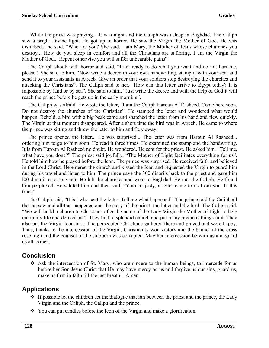While the priest was praying... It was night and the Caliph was asleep in Baghdad. The Caliph saw a bright Divine light. He got up in horror. He saw the Virgin the Mother of God. He was disturbed... he said, "Who are you? She said, I am Mary, the Mother of Jesus whose churches you destroy... How do you sleep in comfort and all the Christians are suffering. I am the Virgin the Mother of God... Repent otherwise you will suffer unbearable pains".

The Caliph shook with horror and said, "I am ready to do what you want and do not hurt me, please". She said to him, "Now write a decree in your own handwriting, stamp it with your seal and send it to your assistants in Atreeb. Give an order that your soldiers stop destroying the churches and attacking the Christians". The Caliph said to her, "How can this letter arrive to Egypt today? It is impossible by land or by sea". She said to him, "Just write the decree and with the help of God it will reach the prince before he gets up in the early morning".

The Caliph was afraid. He wrote the letter, "I am the Caliph Haroun Al Rasheed. Come here soon. Do not destroy the churches of the Christian". He stamped the letter and wondered what would happen. Behold, a bird with a big beak came and snatched the letter from his hand and flew quickly. The Virgin at that moment disappeared. After a short time the bird was in Atreeb. He came to where the prince was sitting and threw the letter to him and flew away.

The prince opened the letter... He was surprised... The letter was from Haroun Al Rasheed... ordering him to go to him soon. He read it three times. He examined the stamp and the handwriting. It is from Haroun Al Rasheed no doubt. He wondered. He sent for the priest. He asked him, "Tell me, what have you done?" The priest said joyfully, "The Mother of Light facilitates everything for us". He told him how he prayed before the Icon. The prince was surprised. He received faith and believed in the Lord Christ. He entered the church and kissed the Icon and requested the Virgin to guard him during his travel and listen to him. The prince gave the 300 dinariis back to the priest and gave him l00 dinariis as a souvenir. He left the churches and went to Baghdad. He met the Caliph. He found him perplexed. He saluted him and then said, "Your majesty, a letter came to us from you. Is this true?"

The Caliph said, "It is I who sent the letter. Tell me what happened". The prince told the Caliph all that he saw and all that happened and the story of the priest, the letter and the bird. The Caliph said, "We will build a church to Christians after the name of the Lady Virgin the Mother of Light to help me in my life and deliver me". They built a splendid church and put many precious things in it. They also put the Virgin Icon in it. The persecuted Christians gathered there and prayed and were happy. Thus, thanks to the intercession of the Virgin, Christianity won victory and the banner of the cross rose high and the counsel of the stubborn was corrupted. May her Intercession be with us and guard us all. Amen.

## **Conclusion**

 $\triangle$  Ask the intercession of St. Mary, who are sincere to the human beings, to intercede for us before her Son Jesus Christ that He may have mercy on us and forgive us our sins, guard us, make us firm in faith till the last breath... Amen.

- If possible let the children act the dialogue that ran between the priest and the prince, the Lady Virgin and the Caliph, the Caliph and the prince.
- $\bullet\bullet\text{ You can put can}$  before the Icon of the Virgin and make a glorification.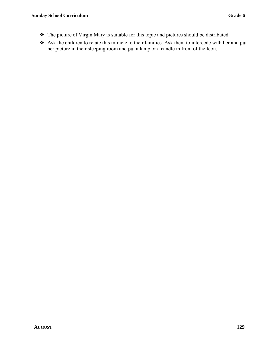- The picture of Virgin Mary is suitable for this topic and pictures should be distributed.
- Ask the children to relate this miracle to their families. Ask them to intercede with her and put her picture in their sleeping room and put a lamp or a candle in front of the Icon.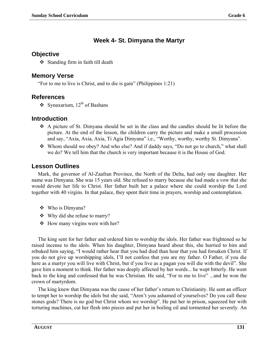# **Week 4- St. Dimyana the Martyr**

## **Objective**

 $\triangleleft$  Standing firm in faith till death

# **Memory Verse**

"For to me to live is Christ, and to die is gain" (Philippines 1:21)

# **References**

 $\div$  Synaxarium, 12<sup>th</sup> of Bashans

# **Introduction**

- $\triangle$  A picture of St. Dimyana should be set in the class and the candles should be lit before the picture. At the end of the lesson, the children carry the picture and make a small procession and say, "Axia, Axia, Axia, Ti Agia Dimyana" i.e., "Worthy, worthy, worthy St. Dimyana".
- Whom should we obey? And who else? And if daddy says, "Do not go to church," what shall we do? We tell him that the church is very important because it is the House of God.

# **Lesson Outlines**

Mark, the governor of Al-Zaafran Province, the North of the Delta, had only one daughter. Her name was Dimyana. She was 15 years old. She refused to marry because she had made a vow that she would devote her life to Christ. Her father built her a palace where she could worship the Lord together with 40 virgins. In that palace, they spent their time in prayers, worship and contemplation.

- Who is Dimyana?
- Why did she refuse to marry?
- $\triangleleft$  How many virgins were with her?

The king sent for her father and ordered him to worship the idols. Her father was frightened so he raised incense to the idols. When his daughter, Dimyana heard about this, she hurried to him and rebuked him saying, "I would rather hear that you had died than hear that you had forsaken Christ. If you do not give up worshipping idols, I'll not confess that you are my father. O Father, if you die here as a martyr you will live with Christ, but if you live as a pagan you will die with the devil". She gave him a moment to think. Her father was deeply affected by her words... he wept bitterly. He went back to the king and confessed that he was Christian. He said, "For to me to live" ...and he won the crown of martyrdom.

The king knew that Dimyana was the cause of her father's return to Christianity. He sent an officer to tempt her to worship the idols but she said, "Aren't you ashamed of yourselves? Do you call these stones gods? There is no god but Christ whom we worship". He put her in prison, squeezed her with torturing machines, cut her flesh into pieces and put her in boiling oil and tormented her severely. An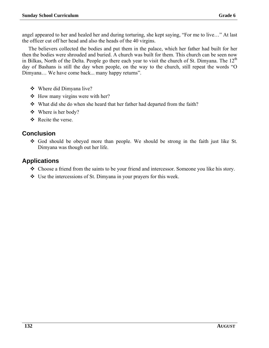angel appeared to her and healed her and during torturing, she kept saying, "For me to live…" At last the officer cut off her head and also the heads of the 40 virgins.

The believers collected the bodies and put them in the palace, which her father had built for her then the bodies were shrouded and buried. A church was built for them. This church can be seen now in Bilkas, North of the Delta. People go there each year to visit the church of St. Dimyana. The 12<sup>th</sup> day of Bashans is still the day when people, on the way to the church, still repeat the words "O Dimyana… We have come back... many happy returns".

- Where did Dimyana live?
- $\triangleleft$  How many virgins were with her?
- $\div$  What did she do when she heard that her father had departed from the faith?
- Where is her body?
- $\triangle$  Recite the verse.

#### **Conclusion**

 God should be obeyed more than people. We should be strong in the faith just like St. Dimyana was though out her life.

- Choose a friend from the saints to be your friend and intercessor. Someone you like his story.
- $\triangleleft$  Use the intercessions of St. Dimyana in your prayers for this week.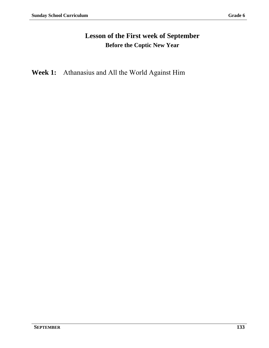# **Lesson of the First week of September Before the Coptic New Year**

**Week 1:** Athanasius and All the World Against Him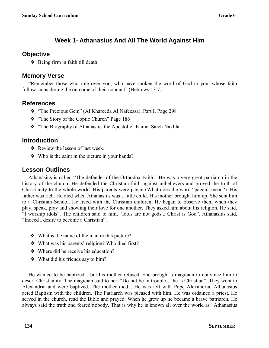## **Week 1- Athanasius And All The World Against Him**

#### **Objective**

 $\triangleleft$  Being firm in faith till death.

#### **Memory Verse**

"Remember those who rule over you, who have spoken the word of God to you, whose faith follow, considering the outcome of their conduct" (Hebrews 13:7)

## **References**

- \* "The Precious Gem" (Al Khareeda Al Nafeessa), Part I, Page 298
- \* "The Story of the Coptic Church" Page 186
- \* "The Biography of Athanasius the Apostolic" Kamel Saleh Nakhla

#### **Introduction**

- Review the lesson of last week.
- $\cdot \cdot \cdot$  Who is the saint in the picture in your hands?

## **Lesson Outlines**

Athanasius is called "The defender of the Orthodox Faith". He was a very great patriarch in the history of the church. He defended the Christian faith against unbelievers and proved the truth of Christianity to the whole world. His parents were pagan (What does the word "pagan" mean?). His father was rich. He died when Athanasius was a little child. His mother brought him up. She sent him to a Christian School. He lived with the Christian children. He began to observe them when they play, speak, pray and showing their love for one another. They asked him about his religion. He said, "I worship idols". The children said to him, "Idols are not gods... Christ is God". Athanasius said, "Indeed I desire to become a Christian".

- $\triangleleft$  What is the name of the man in this picture?
- What was his parents' religion? Who died first?
- **❖** Where did he receive his education?
- What did his friends say to him?

He wanted to be baptized... but his mother refused. She brought a magician to convince him to desert Christianity. The magician said to her, "Do not be in trouble… he is Christian". They went to Alexandria and were baptized. The mother died... He was left with Pope Alexandria. Athanasius acted Baptism with the children. The Patriarch was pleased with him. He was ordained a priest. He served in the church, read the Bible and prayed. When he grew up he became a brave patriarch. He always said the truth and feared nobody. That is why he is known all over the world as "Athanasius